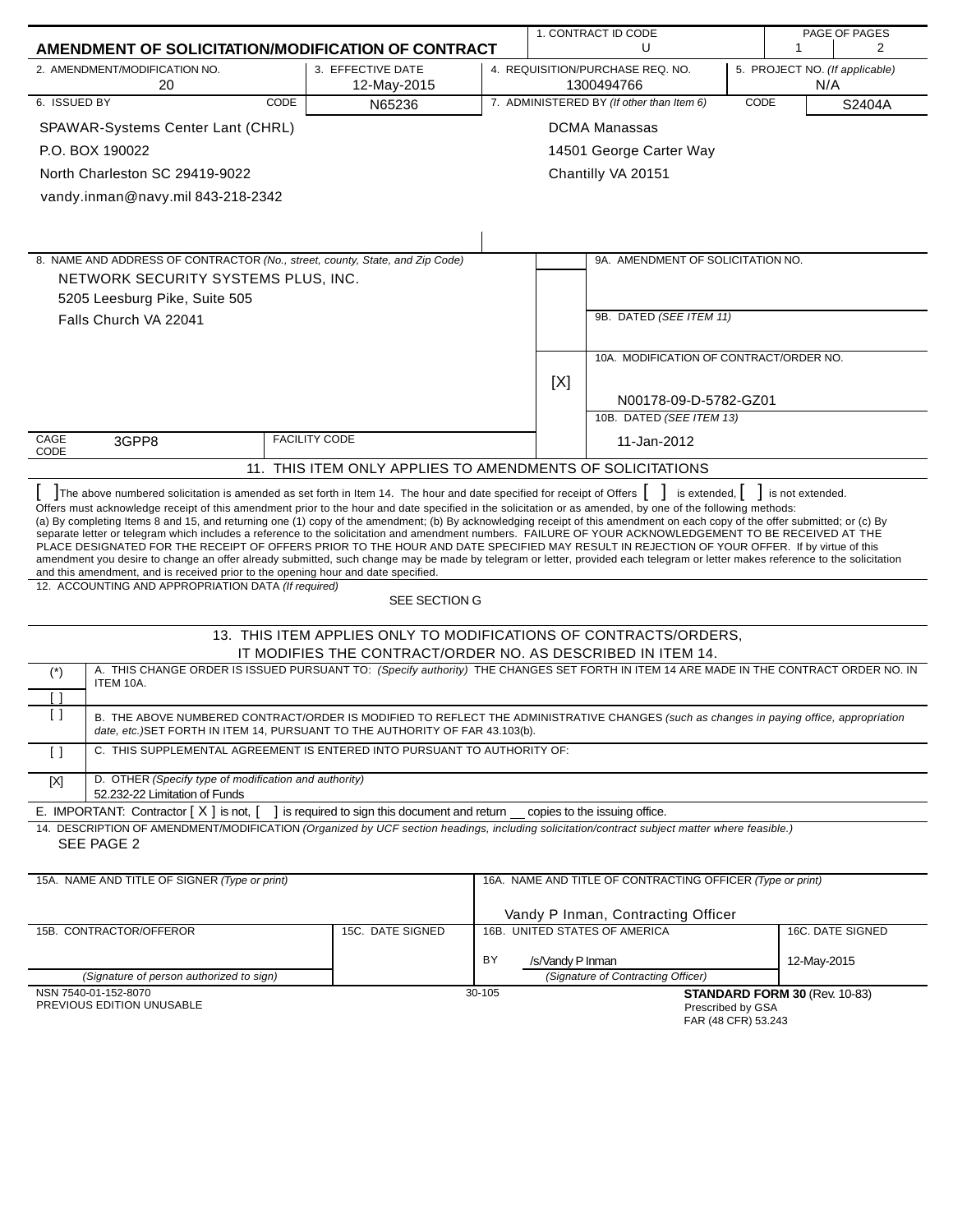|                                                                                                                                                                                                                                                                                                                                                                                                                                                                                                                                                                                                                                                                                                                                                                                                                                                                                                                             | 1. CONTRACT ID CODE                                              |                                                                                         |                  |                                                                     | PAGE OF PAGES |                               |                  |
|-----------------------------------------------------------------------------------------------------------------------------------------------------------------------------------------------------------------------------------------------------------------------------------------------------------------------------------------------------------------------------------------------------------------------------------------------------------------------------------------------------------------------------------------------------------------------------------------------------------------------------------------------------------------------------------------------------------------------------------------------------------------------------------------------------------------------------------------------------------------------------------------------------------------------------|------------------------------------------------------------------|-----------------------------------------------------------------------------------------|------------------|---------------------------------------------------------------------|---------------|-------------------------------|------------------|
| AMENDMENT OF SOLICITATION/MODIFICATION OF CONTRACT                                                                                                                                                                                                                                                                                                                                                                                                                                                                                                                                                                                                                                                                                                                                                                                                                                                                          |                                                                  |                                                                                         |                  | U                                                                   |               | 1                             | 2                |
| 2. AMENDMENT/MODIFICATION NO.<br>20                                                                                                                                                                                                                                                                                                                                                                                                                                                                                                                                                                                                                                                                                                                                                                                                                                                                                         | 3. EFFECTIVE DATE<br>12-May-2015                                 | 4. REQUISITION/PURCHASE REQ. NO.<br>5. PROJECT NO. (If applicable)<br>1300494766<br>N/A |                  |                                                                     |               |                               |                  |
| 6. ISSUED BY<br>CODE                                                                                                                                                                                                                                                                                                                                                                                                                                                                                                                                                                                                                                                                                                                                                                                                                                                                                                        | N65236                                                           |                                                                                         |                  | 7. ADMINISTERED BY (If other than Item 6)                           | CODE          |                               | S2404A           |
| SPAWAR-Systems Center Lant (CHRL)                                                                                                                                                                                                                                                                                                                                                                                                                                                                                                                                                                                                                                                                                                                                                                                                                                                                                           |                                                                  |                                                                                         |                  | <b>DCMA Manassas</b>                                                |               |                               |                  |
| P.O. BOX 190022                                                                                                                                                                                                                                                                                                                                                                                                                                                                                                                                                                                                                                                                                                                                                                                                                                                                                                             |                                                                  |                                                                                         |                  | 14501 George Carter Way                                             |               |                               |                  |
| North Charleston SC 29419-9022                                                                                                                                                                                                                                                                                                                                                                                                                                                                                                                                                                                                                                                                                                                                                                                                                                                                                              |                                                                  |                                                                                         |                  | Chantilly VA 20151                                                  |               |                               |                  |
| vandy.inman@navy.mil 843-218-2342                                                                                                                                                                                                                                                                                                                                                                                                                                                                                                                                                                                                                                                                                                                                                                                                                                                                                           |                                                                  |                                                                                         |                  |                                                                     |               |                               |                  |
|                                                                                                                                                                                                                                                                                                                                                                                                                                                                                                                                                                                                                                                                                                                                                                                                                                                                                                                             |                                                                  |                                                                                         |                  |                                                                     |               |                               |                  |
|                                                                                                                                                                                                                                                                                                                                                                                                                                                                                                                                                                                                                                                                                                                                                                                                                                                                                                                             |                                                                  |                                                                                         |                  |                                                                     |               |                               |                  |
| 8. NAME AND ADDRESS OF CONTRACTOR (No., street, county, State, and Zip Code)                                                                                                                                                                                                                                                                                                                                                                                                                                                                                                                                                                                                                                                                                                                                                                                                                                                |                                                                  |                                                                                         |                  | 9A. AMENDMENT OF SOLICITATION NO.                                   |               |                               |                  |
| NETWORK SECURITY SYSTEMS PLUS, INC.                                                                                                                                                                                                                                                                                                                                                                                                                                                                                                                                                                                                                                                                                                                                                                                                                                                                                         |                                                                  |                                                                                         |                  |                                                                     |               |                               |                  |
| 5205 Leesburg Pike, Suite 505                                                                                                                                                                                                                                                                                                                                                                                                                                                                                                                                                                                                                                                                                                                                                                                                                                                                                               |                                                                  |                                                                                         |                  |                                                                     |               |                               |                  |
| Falls Church VA 22041                                                                                                                                                                                                                                                                                                                                                                                                                                                                                                                                                                                                                                                                                                                                                                                                                                                                                                       |                                                                  |                                                                                         |                  | 9B. DATED (SEE ITEM 11)                                             |               |                               |                  |
|                                                                                                                                                                                                                                                                                                                                                                                                                                                                                                                                                                                                                                                                                                                                                                                                                                                                                                                             |                                                                  |                                                                                         |                  | 10A. MODIFICATION OF CONTRACT/ORDER NO.                             |               |                               |                  |
|                                                                                                                                                                                                                                                                                                                                                                                                                                                                                                                                                                                                                                                                                                                                                                                                                                                                                                                             |                                                                  |                                                                                         | [X]              |                                                                     |               |                               |                  |
|                                                                                                                                                                                                                                                                                                                                                                                                                                                                                                                                                                                                                                                                                                                                                                                                                                                                                                                             |                                                                  |                                                                                         |                  | N00178-09-D-5782-GZ01                                               |               |                               |                  |
|                                                                                                                                                                                                                                                                                                                                                                                                                                                                                                                                                                                                                                                                                                                                                                                                                                                                                                                             |                                                                  |                                                                                         |                  | 10B. DATED (SEE ITEM 13)                                            |               |                               |                  |
| CAGE<br>3GPP8                                                                                                                                                                                                                                                                                                                                                                                                                                                                                                                                                                                                                                                                                                                                                                                                                                                                                                               | <b>FACILITY CODE</b>                                             |                                                                                         |                  | 11-Jan-2012                                                         |               |                               |                  |
| CODE                                                                                                                                                                                                                                                                                                                                                                                                                                                                                                                                                                                                                                                                                                                                                                                                                                                                                                                        | 11. THIS ITEM ONLY APPLIES TO AMENDMENTS OF SOLICITATIONS        |                                                                                         |                  |                                                                     |               |                               |                  |
| The above numbered solicitation is amended as set forth in Item 14. The hour and date specified for receipt of Offers                                                                                                                                                                                                                                                                                                                                                                                                                                                                                                                                                                                                                                                                                                                                                                                                       |                                                                  |                                                                                         |                  | is extended, $\vert$                                                |               | is not extended.              |                  |
| Offers must acknowledge receipt of this amendment prior to the hour and date specified in the solicitation or as amended, by one of the following methods:<br>(a) By completing Items 8 and 15, and returning one (1) copy of the amendment; (b) By acknowledging receipt of this amendment on each copy of the offer submitted; or (c) By<br>separate letter or telegram which includes a reference to the solicitation and amendment numbers. FAILURE OF YOUR ACKNOWLEDGEMENT TO BE RECEIVED AT THE<br>PLACE DESIGNATED FOR THE RECEIPT OF OFFERS PRIOR TO THE HOUR AND DATE SPECIFIED MAY RESULT IN REJECTION OF YOUR OFFER. If by virtue of this<br>amendment you desire to change an offer already submitted, such change may be made by telegram or letter, provided each telegram or letter makes reference to the solicitation<br>and this amendment, and is received prior to the opening hour and date specified. |                                                                  |                                                                                         |                  |                                                                     |               |                               |                  |
| 12. ACCOUNTING AND APPROPRIATION DATA (If required)                                                                                                                                                                                                                                                                                                                                                                                                                                                                                                                                                                                                                                                                                                                                                                                                                                                                         | SEE SECTION G                                                    |                                                                                         |                  |                                                                     |               |                               |                  |
|                                                                                                                                                                                                                                                                                                                                                                                                                                                                                                                                                                                                                                                                                                                                                                                                                                                                                                                             | 13. THIS ITEM APPLIES ONLY TO MODIFICATIONS OF CONTRACTS/ORDERS, |                                                                                         |                  |                                                                     |               |                               |                  |
|                                                                                                                                                                                                                                                                                                                                                                                                                                                                                                                                                                                                                                                                                                                                                                                                                                                                                                                             | IT MODIFIES THE CONTRACT/ORDER NO. AS DESCRIBED IN ITEM 14.      |                                                                                         |                  |                                                                     |               |                               |                  |
| A. THIS CHANGE ORDER IS ISSUED PURSUANT TO: (Specify authority) THE CHANGES SET FORTH IN ITEM 14 ARE MADE IN THE CONTRACT ORDER NO. IN<br>$(\dot{\phantom{a}})$<br>ITEM 10A.                                                                                                                                                                                                                                                                                                                                                                                                                                                                                                                                                                                                                                                                                                                                                |                                                                  |                                                                                         |                  |                                                                     |               |                               |                  |
| ſΙ                                                                                                                                                                                                                                                                                                                                                                                                                                                                                                                                                                                                                                                                                                                                                                                                                                                                                                                          |                                                                  |                                                                                         |                  |                                                                     |               |                               |                  |
| $\left[ \ \right]$<br>B. THE ABOVE NUMBERED CONTRACT/ORDER IS MODIFIED TO REFLECT THE ADMINISTRATIVE CHANGES (such as changes in paying office, appropriation<br>date, etc.) SET FORTH IN ITEM 14, PURSUANT TO THE AUTHORITY OF FAR 43.103(b).                                                                                                                                                                                                                                                                                                                                                                                                                                                                                                                                                                                                                                                                              |                                                                  |                                                                                         |                  |                                                                     |               |                               |                  |
| C. THIS SUPPLEMENTAL AGREEMENT IS ENTERED INTO PURSUANT TO AUTHORITY OF:<br>$\lceil$ $\rceil$                                                                                                                                                                                                                                                                                                                                                                                                                                                                                                                                                                                                                                                                                                                                                                                                                               |                                                                  |                                                                                         |                  |                                                                     |               |                               |                  |
| D. OTHER (Specify type of modification and authority)<br>$[{\sf X}]$<br>52.232-22 Limitation of Funds                                                                                                                                                                                                                                                                                                                                                                                                                                                                                                                                                                                                                                                                                                                                                                                                                       |                                                                  |                                                                                         |                  |                                                                     |               |                               |                  |
| E. IMPORTANT: Contractor $[X]$ is not,                                                                                                                                                                                                                                                                                                                                                                                                                                                                                                                                                                                                                                                                                                                                                                                                                                                                                      | ] is required to sign this document and return __                |                                                                                         |                  | copies to the issuing office.                                       |               |                               |                  |
| 14. DESCRIPTION OF AMENDMENT/MODIFICATION (Organized by UCF section headings, including solicitation/contract subject matter where feasible.)<br>SEE PAGE 2                                                                                                                                                                                                                                                                                                                                                                                                                                                                                                                                                                                                                                                                                                                                                                 |                                                                  |                                                                                         |                  |                                                                     |               |                               |                  |
|                                                                                                                                                                                                                                                                                                                                                                                                                                                                                                                                                                                                                                                                                                                                                                                                                                                                                                                             |                                                                  |                                                                                         |                  |                                                                     |               |                               |                  |
| 15A. NAME AND TITLE OF SIGNER (Type or print)                                                                                                                                                                                                                                                                                                                                                                                                                                                                                                                                                                                                                                                                                                                                                                                                                                                                               |                                                                  |                                                                                         |                  | 16A. NAME AND TITLE OF CONTRACTING OFFICER (Type or print)          |               |                               |                  |
| 15B. CONTRACTOR/OFFEROR                                                                                                                                                                                                                                                                                                                                                                                                                                                                                                                                                                                                                                                                                                                                                                                                                                                                                                     | 15C. DATE SIGNED                                                 |                                                                                         |                  | Vandy P Inman, Contracting Officer<br>16B. UNITED STATES OF AMERICA |               |                               | 16C. DATE SIGNED |
|                                                                                                                                                                                                                                                                                                                                                                                                                                                                                                                                                                                                                                                                                                                                                                                                                                                                                                                             |                                                                  |                                                                                         |                  |                                                                     |               |                               |                  |
| (Signature of person authorized to sign)                                                                                                                                                                                                                                                                                                                                                                                                                                                                                                                                                                                                                                                                                                                                                                                                                                                                                    |                                                                  | BY                                                                                      | /s/Vandy P Inman | (Signature of Contracting Officer)                                  |               | 12-May-2015                   |                  |
| NSN 7540-01-152-8070                                                                                                                                                                                                                                                                                                                                                                                                                                                                                                                                                                                                                                                                                                                                                                                                                                                                                                        |                                                                  | 30-105                                                                                  |                  |                                                                     |               | STANDARD FORM 30 (Rev. 10-83) |                  |
| PREVIOUS EDITION UNUSABLE                                                                                                                                                                                                                                                                                                                                                                                                                                                                                                                                                                                                                                                                                                                                                                                                                                                                                                   |                                                                  |                                                                                         |                  | Prescribed by GSA<br>FAR (48 CFR) 53.243                            |               |                               |                  |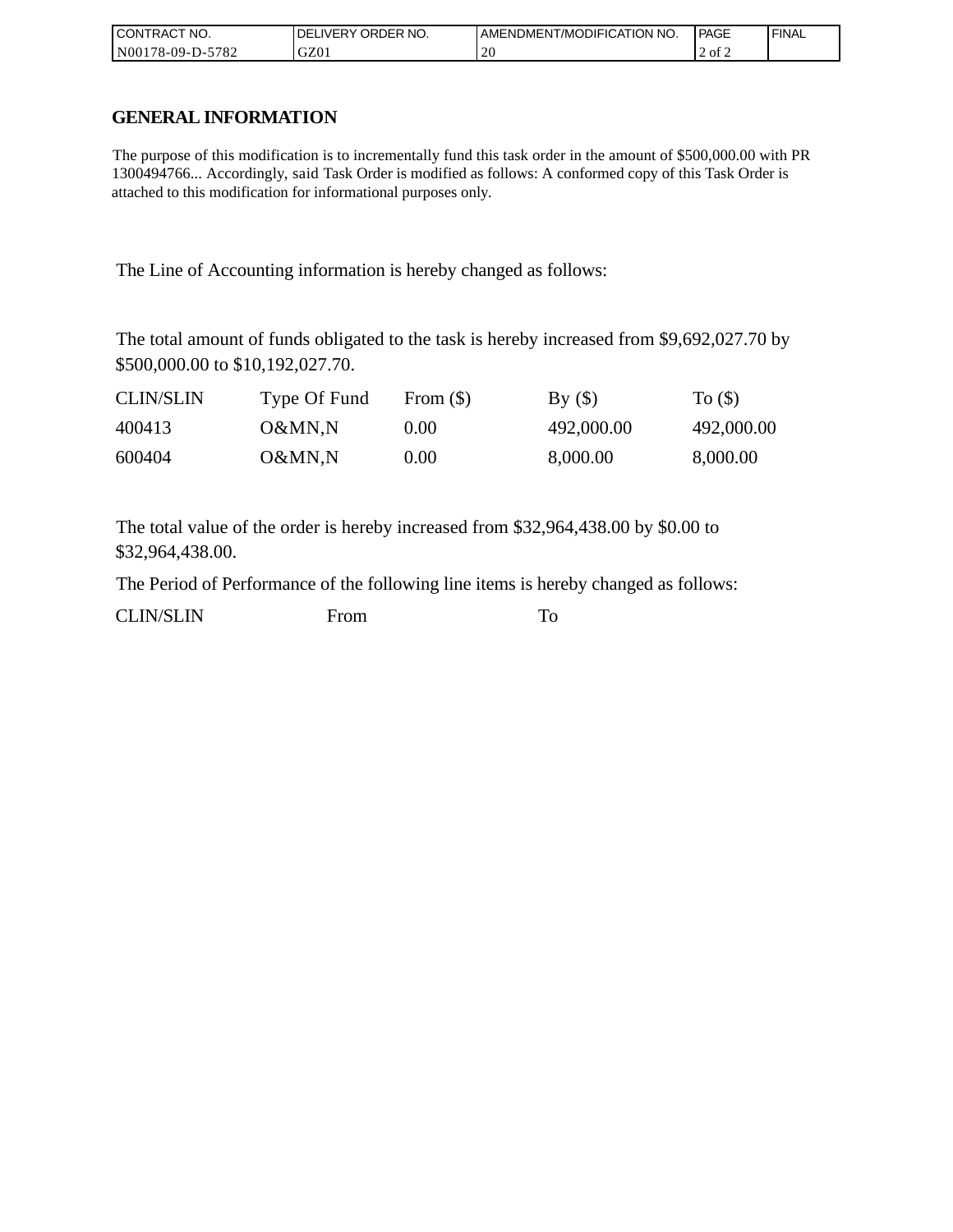| I CONTRACT NO.           | `NO.<br>DELIVERY ORDER | AMENDMENT/MODIFICATION NO. | PAGE   | ' FINAL |
|--------------------------|------------------------|----------------------------|--------|---------|
| N00178-09-D-5<br>$-5782$ | GZ01                   | 20                         | 2 of 2 |         |

# **GENERAL INFORMATION**

The purpose of this modification is to incrementally fund this task order in the amount of \$500,000.00 with PR 1300494766... Accordingly, said Task Order is modified as follows: A conformed copy of this Task Order is attached to this modification for informational purposes only.

The Line of Accounting information is hereby changed as follows:

The total amount of funds obligated to the task is hereby increased from \$9,692,027.70 by \$500,000.00 to \$10,192,027.70.

| <b>CLIN/SLIN</b> | Type Of Fund | From $(\$)$ | By()       | To $($ )   |
|------------------|--------------|-------------|------------|------------|
| 400413           | O&MN.N       | $0.00\,$    | 492,000.00 | 492,000.00 |
| 600404           | O&MN.N       | $0.00\,$    | 8,000.00   | 8,000.00   |

The total value of the order is hereby increased from \$32,964,438.00 by \$0.00 to \$32,964,438.00.

The Period of Performance of the following line items is hereby changed as follows:

| <b>CLIN/SLIN</b><br>From |  |
|--------------------------|--|
|--------------------------|--|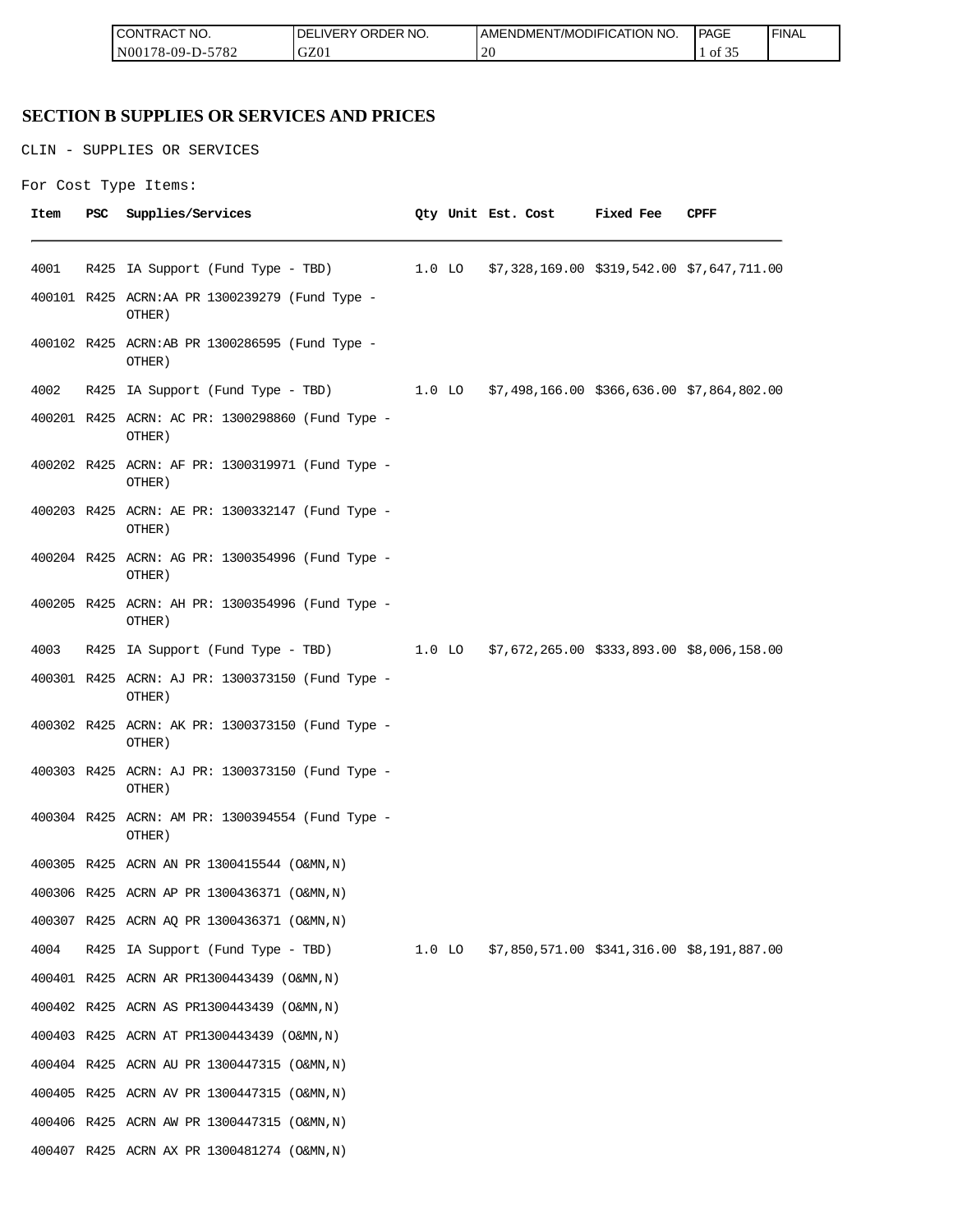| <b>CONTRACT NO.</b> | <b>IDELIVERY ORDER NO.</b> | AMENDMENT/MODIFICATION NO. | <b>PAGE</b>                  | 'FINAL |
|---------------------|----------------------------|----------------------------|------------------------------|--------|
| N00178-09-D-5782    | GZ01                       | . $\cap$ $\cap$<br>20      | $\sim$ $\sim$<br>$\pm$ 0t 5. |        |

# **SECTION B SUPPLIES OR SERVICES AND PRICES**

CLIN - SUPPLIES OR SERVICES

For Cost Type Items:

| Item | PSC | Supplies/Services                                          |  | Qty Unit Est. Cost                                  | Fixed Fee | CPFF |
|------|-----|------------------------------------------------------------|--|-----------------------------------------------------|-----------|------|
| 4001 |     | R425 IA Support (Fund Type - TBD)                          |  | 1.0 LO \$7,328,169.00 \$319,542.00 \$7,647,711.00   |           |      |
|      |     | 400101 R425 ACRN:AA PR 1300239279 (Fund Type -<br>OTHER)   |  |                                                     |           |      |
|      |     | 400102 R425 ACRN:AB PR 1300286595 (Fund Type -<br>OTHER)   |  |                                                     |           |      |
| 4002 |     | R425 IA Support (Fund Type - TBD)                          |  | $1.0$ LO \$7,498,166.00 \$366,636.00 \$7,864,802.00 |           |      |
|      |     | 400201 R425 ACRN: AC PR: 1300298860 (Fund Type -<br>OTHER) |  |                                                     |           |      |
|      |     | 400202 R425 ACRN: AF PR: 1300319971 (Fund Type -<br>OTHER) |  |                                                     |           |      |
|      |     | 400203 R425 ACRN: AE PR: 1300332147 (Fund Type -<br>OTHER) |  |                                                     |           |      |
|      |     | 400204 R425 ACRN: AG PR: 1300354996 (Fund Type -<br>OTHER) |  |                                                     |           |      |
|      |     | 400205 R425 ACRN: AH PR: 1300354996 (Fund Type -<br>OTHER) |  |                                                     |           |      |
| 4003 |     | R425 IA Support (Fund Type - TBD)                          |  | 1.0 LO \$7,672,265.00 \$333,893.00 \$8,006,158.00   |           |      |
|      |     | 400301 R425 ACRN: AJ PR: 1300373150 (Fund Type -<br>OTHER) |  |                                                     |           |      |
|      |     | 400302 R425 ACRN: AK PR: 1300373150 (Fund Type -<br>OTHER) |  |                                                     |           |      |
|      |     | 400303 R425 ACRN: AJ PR: 1300373150 (Fund Type -<br>OTHER) |  |                                                     |           |      |
|      |     | 400304 R425 ACRN: AM PR: 1300394554 (Fund Type -<br>OTHER) |  |                                                     |           |      |
|      |     | 400305 R425 ACRN AN PR 1300415544 (O&MN, N)                |  |                                                     |           |      |
|      |     | 400306 R425 ACRN AP PR 1300436371 (O&MN, N)                |  |                                                     |           |      |
|      |     | 400307 R425 ACRN AQ PR 1300436371 (O&MN, N)                |  |                                                     |           |      |
| 4004 |     | R425 IA Support (Fund Type - TBD)                          |  | 1.0 LO \$7,850,571.00 \$341,316.00 \$8,191,887.00   |           |      |
|      |     | 400401 R425 ACRN AR PR1300443439 (O&MN, N)                 |  |                                                     |           |      |
|      |     | 400402 R425 ACRN AS PR1300443439 (O&MN, N)                 |  |                                                     |           |      |
|      |     | 400403 R425 ACRN AT PR1300443439 (O&MN, N)                 |  |                                                     |           |      |
|      |     | 400404 R425 ACRN AU PR 1300447315 (O&MN, N)                |  |                                                     |           |      |
|      |     | 400405 R425 ACRN AV PR 1300447315 (O&MN, N)                |  |                                                     |           |      |
|      |     | 400406 R425 ACRN AW PR 1300447315 (O&MN, N)                |  |                                                     |           |      |
|      |     | 400407 R425 ACRN AX PR 1300481274 (O&MN, N)                |  |                                                     |           |      |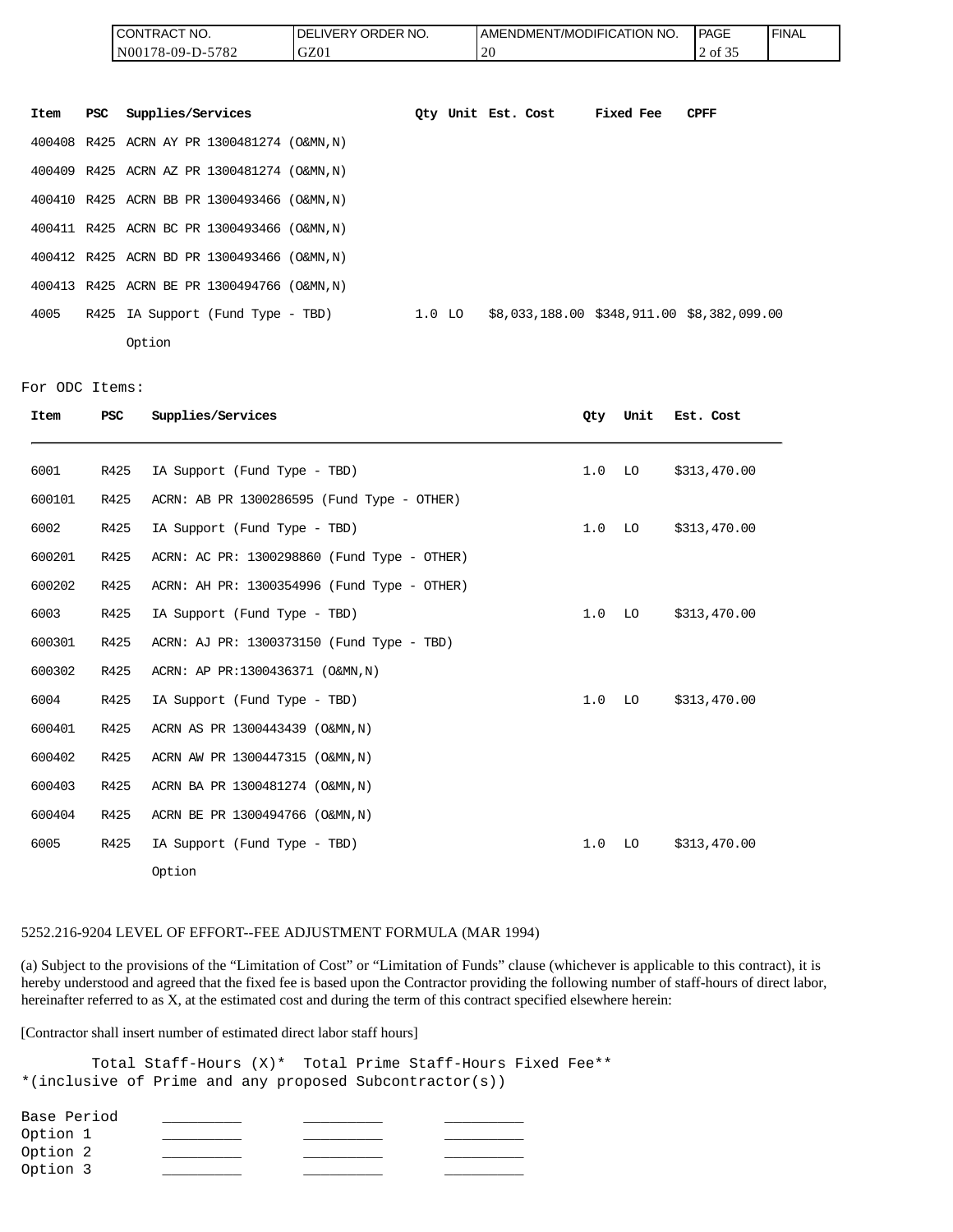| <b>ICONTRACT NO.</b> | LIVERY ORDER NO.<br>DEI | <b>I AMENDMENT/MODIFICATION</b><br>NO. | PAGE    | ' FINAL |
|----------------------|-------------------------|----------------------------------------|---------|---------|
| N00178-09-D-5782     | GZ01                    | $\bigcap$<br>2V                        | 2 of 35 |         |

| Item | PSC | Supplies/Services                           |        | Oty Unit Est. Cost | Fixed Fee | <b>CPFF</b>                                |
|------|-----|---------------------------------------------|--------|--------------------|-----------|--------------------------------------------|
|      |     | 400408 R425 ACRN AY PR 1300481274 (O&MN, N) |        |                    |           |                                            |
|      |     | 400409 R425 ACRN AZ PR 1300481274 (O&MN, N) |        |                    |           |                                            |
|      |     | 400410 R425 ACRN BB PR 1300493466 (O&MN, N) |        |                    |           |                                            |
|      |     | 400411 R425 ACRN BC PR 1300493466 (O&MN, N) |        |                    |           |                                            |
|      |     | 400412 R425 ACRN BD PR 1300493466 (O&MN, N) |        |                    |           |                                            |
|      |     | 400413 R425 ACRN BE PR 1300494766 (O&MN, N) |        |                    |           |                                            |
| 4005 |     | R425 IA Support (Fund Type - TBD)           | 1.0 LO |                    |           | \$8,033,188.00 \$348,911.00 \$8,382,099.00 |
|      |     | Option                                      |        |                    |           |                                            |

For ODC Items:

| Item   | <b>PSC</b> | Supplies/Services                           | 0ty | Unit | Est. Cost    |
|--------|------------|---------------------------------------------|-----|------|--------------|
| 6001   | R425       | IA Support (Fund Type - TBD)                | 1.0 | LO   | \$313,470.00 |
| 600101 | R425       | ACRN: AB PR 1300286595 (Fund Type - OTHER)  |     |      |              |
| 6002   | R425       | IA Support (Fund Type - TBD)                | 1.0 | LO   | \$313,470.00 |
| 600201 | R425       | ACRN: AC PR: 1300298860 (Fund Type - OTHER) |     |      |              |
| 600202 | R425       | ACRN: AH PR: 1300354996 (Fund Type - OTHER) |     |      |              |
| 6003   | R425       | IA Support (Fund Type - TBD)                | 1.0 | LO   | \$313,470.00 |
| 600301 | R425       | ACRN: AJ PR: 1300373150 (Fund Type - TBD)   |     |      |              |
| 600302 | R425       | ACRN: AP PR:1300436371 (O&MN, N)            |     |      |              |
| 6004   | R425       | IA Support (Fund Type - TBD)                | 1.0 | LO   | \$313,470.00 |
| 600401 | R425       | ACRN AS PR 1300443439 (O&MN, N)             |     |      |              |
| 600402 | R425       | ACRN AW PR 1300447315 (O&MN, N)             |     |      |              |
| 600403 | R425       | ACRN BA PR 1300481274 (O&MN, N)             |     |      |              |
| 600404 | R425       | ACRN BE PR 1300494766 (O&MN, N)             |     |      |              |
| 6005   | R425       | IA Support (Fund Type - TBD)                | 1.0 | LO   | \$313,470.00 |
|        |            | Option                                      |     |      |              |

#### 5252.216-9204 LEVEL OF EFFORT--FEE ADJUSTMENT FORMULA (MAR 1994)

(a) Subject to the provisions of the "Limitation of Cost" or "Limitation of Funds" clause (whichever is applicable to this contract), it is hereby understood and agreed that the fixed fee is based upon the Contractor providing the following number of staff-hours of direct labor, hereinafter referred to as X, at the estimated cost and during the term of this contract specified elsewhere herein:

[Contractor shall insert number of estimated direct labor staff hours]

Total Staff-Hours (X)\* Total Prime Staff-Hours Fixed Fee\*\* \*(inclusive of Prime and any proposed Subcontractor(s))

| Base Period |  |  |
|-------------|--|--|
| Option 1    |  |  |
| Option 2    |  |  |
| Option 3    |  |  |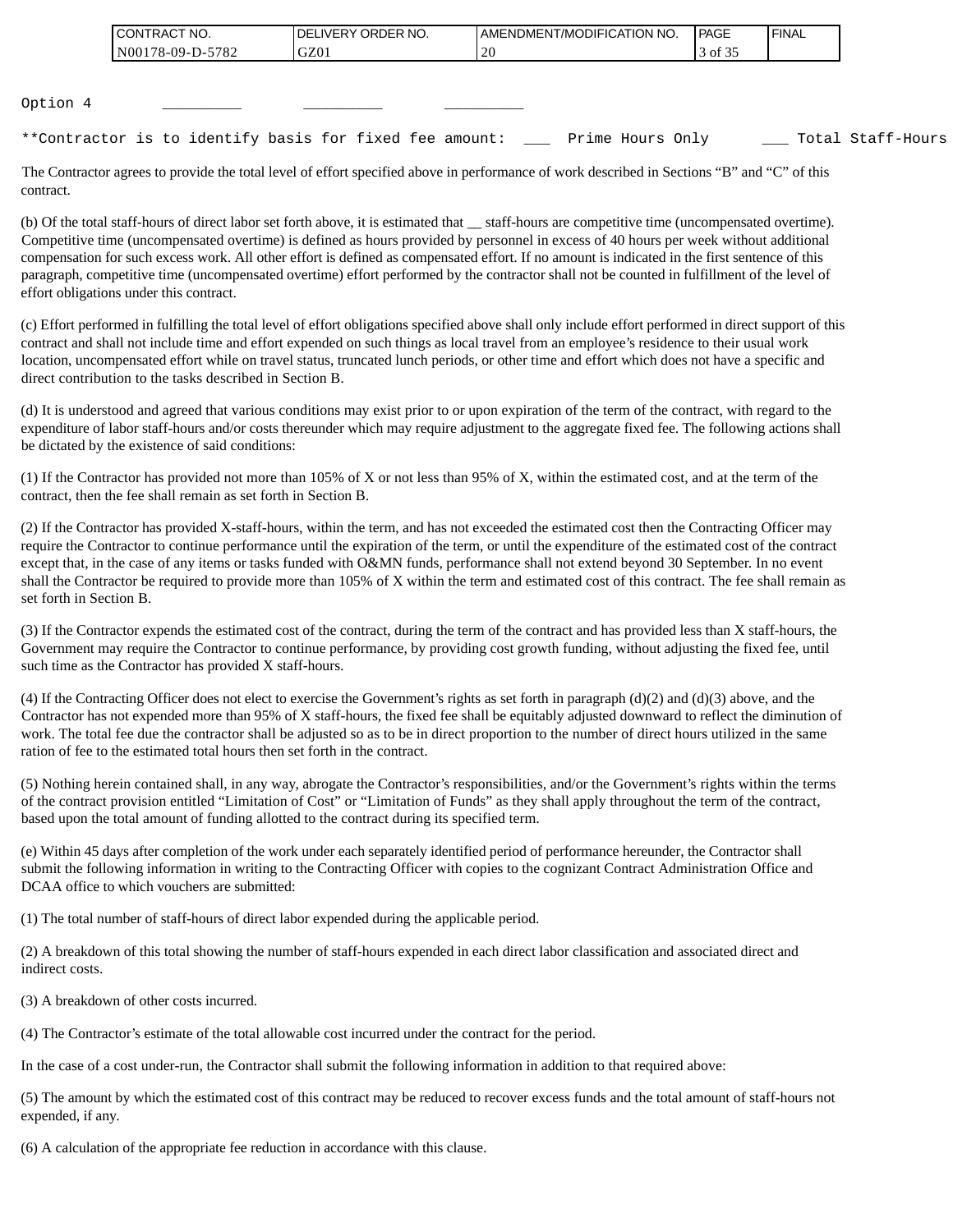| <b>CONTRACT</b><br>TNO.                 | NO.<br>' ORDER<br><b>IDELIVERY</b> | I AMENDMENT/MODIFICATION NO. | <b>PAGE</b>                              | <b>FINAL</b> |
|-----------------------------------------|------------------------------------|------------------------------|------------------------------------------|--------------|
| 5782<br>N00<br>'78-09-L<br>$\mathbf{L}$ | GZ01                               | 20                           | $\sim$ $\sim$ $\sim$<br>ΟĪ<br><u>. .</u> |              |

Option 4

\*\*Contractor is to identify basis for fixed fee amount: \_\_\_ Prime Hours Only \_\_\_ Total Staff-Hours

The Contractor agrees to provide the total level of effort specified above in performance of work described in Sections "B" and "C" of this contract.

(b) Of the total staff-hours of direct labor set forth above, it is estimated that \_\_ staff-hours are competitive time (uncompensated overtime). Competitive time (uncompensated overtime) is defined as hours provided by personnel in excess of 40 hours per week without additional compensation for such excess work. All other effort is defined as compensated effort. If no amount is indicated in the first sentence of this paragraph, competitive time (uncompensated overtime) effort performed by the contractor shall not be counted in fulfillment of the level of effort obligations under this contract. (CONTRACT NO.<br>
(SMOT) 8.60-9.5782 (GZOI)<br>
(SMOT) 8.60-9.5782 (GZOI)<br>
A\*Contractor are the approximate form and the approximate fee reduction in accordance with the approximate fee reduction in accordance with the approxim

(c) Effort performed in fulfilling the total level of effort obligations specified above shall only include effort performed in direct support of this contract and shall not include time and effort expended on such things as local travel from an employee's residence to their usual work location, uncompensated effort while on travel status, truncated lunch periods, or other time and effort which does not have a specific and direct contribution to the tasks described in Section B.

(d) It is understood and agreed that various conditions may exist prior to or upon expiration of the term of the contract, with regard to the expenditure of labor staff-hours and/or costs thereunder which may require adjustment to the aggregate fixed fee. The following actions shall be dictated by the existence of said conditions:

(1) If the Contractor has provided not more than 105% of X or not less than 95% of X, within the estimated cost, and at the term of the contract, then the fee shall remain as set forth in Section B.

(2) If the Contractor has provided X-staff-hours, within the term, and has not exceeded the estimated cost then the Contracting Officer may require the Contractor to continue performance until the expiration of the term, or until the expenditure of the estimated cost of the contract except that, in the case of any items or tasks funded with O&MN funds, performance shall not extend beyond 30 September. In no event shall the Contractor be required to provide more than 105% of X within the term and estimated cost of this contract. The fee shall remain as set forth in Section B.

(3) If the Contractor expends the estimated cost of the contract, during the term of the contract and has provided less than X staff-hours, the Government may require the Contractor to continue performance, by providing cost growth funding, without adjusting the fixed fee, until such time as the Contractor has provided X staff-hours.

(4) If the Contracting Officer does not elect to exercise the Government's rights as set forth in paragraph  $(d)(2)$  and  $(d)(3)$  above, and the Contractor has not expended more than 95% of X staff-hours, the fixed fee shall be equitably adjusted downward to reflect the diminution of work. The total fee due the contractor shall be adjusted so as to be in direct proportion to the number of direct hours utilized in the same ration of fee to the estimated total hours then set forth in the contract.

(5) Nothing herein contained shall, in any way, abrogate the Contractor's responsibilities, and/or the Government's rights within the terms of the contract provision entitled "Limitation of Cost" or "Limitation of Funds" as they shall apply throughout the term of the contract, based upon the total amount of funding allotted to the contract during its specified term.

(e) Within 45 days after completion of the work under each separately identified period of performance hereunder, the Contractor shall submit the following information in writing to the Contracting Officer with copies to the cognizant Contract Administration Office and DCAA office to which vouchers are submitted:

(1) The total number of staff-hours of direct labor expended during the applicable period.

(2) A breakdown of this total showing the number of staff-hours expended in each direct labor classification and associated direct and indirect costs.

(3) A breakdown of other costs incurred.

(4) The Contractor's estimate of the total allowable cost incurred under the contract for the period.

In the case of a cost under-run, the Contractor shall submit the following information in addition to that required above:

(5) The amount by which the estimated cost of this contract may be reduced to recover excess funds and the total amount of staff-hours not expended, if any.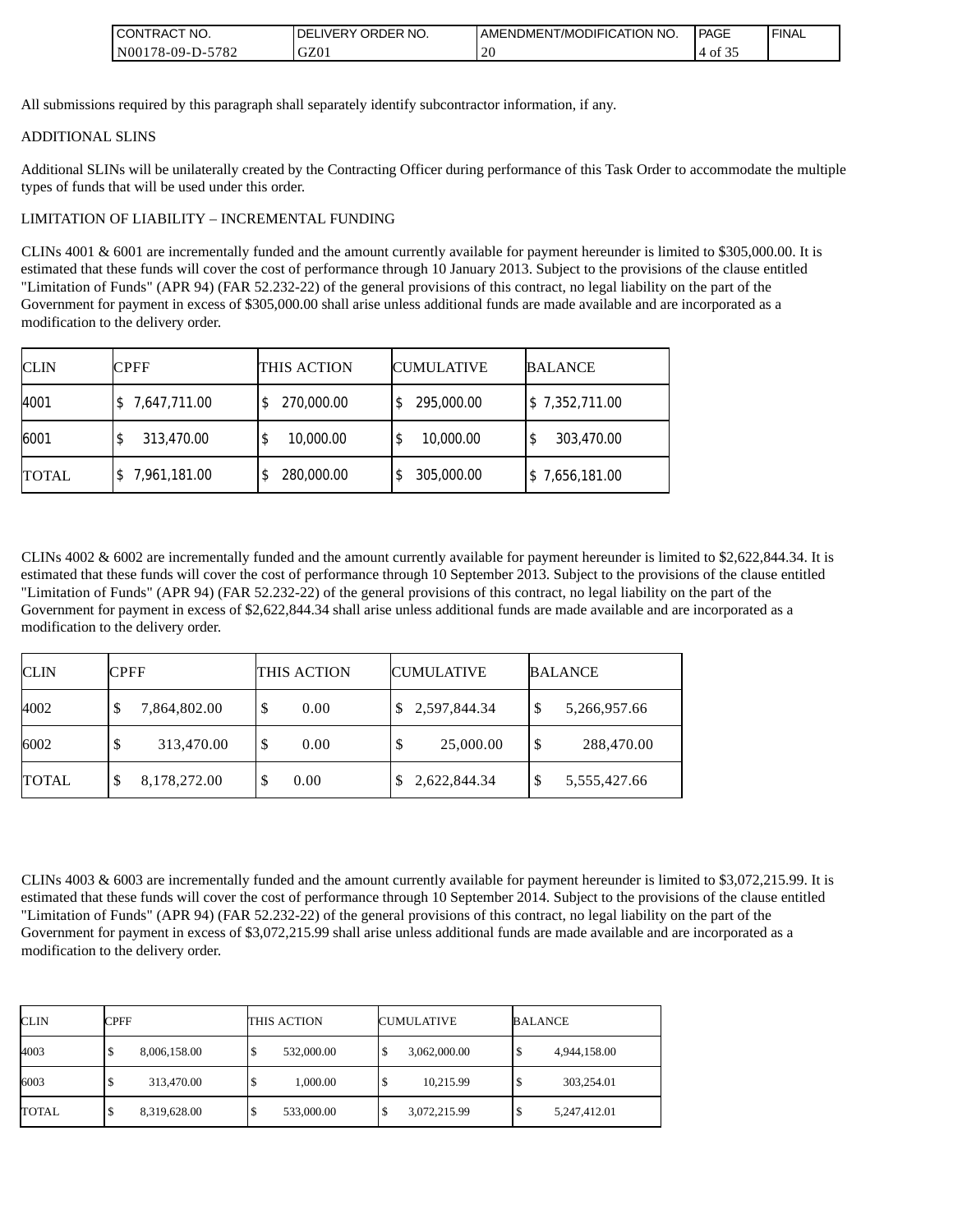| " NO.<br>'TRAL.<br>CON.                                            | NO.<br>' ORDER<br>DELIVERY | VDMENT/MODIFICATION NO.<br>AMENI | PAGE                     | <b>FINAL</b> |
|--------------------------------------------------------------------|----------------------------|----------------------------------|--------------------------|--------------|
| 5700<br>N <sub>00</sub><br>78-09-I<br>.<br>$\circ$ 0 $\angle$<br>ັ | GZ01                       | 20                               | $\sim$ $\sim$<br>ΟĪ<br>້ |              |

All submissions required by this paragraph shall separately identify subcontractor information, if any.

#### ADDITIONAL SLINS

Additional SLINs will be unilaterally created by the Contracting Officer during performance of this Task Order to accommodate the multiple types of funds that will be used under this order.

#### LIMITATION OF LIABILITY – INCREMENTAL FUNDING

CLINs 4001 & 6001 are incrementally funded and the amount currently available for payment hereunder is limited to \$305,000.00. It is estimated that these funds will cover the cost of performance through 10 January 2013. Subject to the provisions of the clause entitled "Limitation of Funds" (APR 94) (FAR 52.232-22) of the general provisions of this contract, no legal liability on the part of the Government for payment in excess of \$305,000.00 shall arise unless additional funds are made available and are incorporated as a modification to the delivery order.

| <b>CLIN</b>  | <b>CPFF</b>  | THIS ACTION     | <b>CUMULATIVE</b> | <b>BALANCE</b> |
|--------------|--------------|-----------------|-------------------|----------------|
| 4001         | 7,647,711.00 | 270,000.00      | 295,000.00        | \$7,352,711.00 |
| 6001         | 313,470.00   | 10,000.00<br>\$ | 10,000.00         | 303,470.00     |
| <b>TOTAL</b> | 7,961,181.00 | 280,000.00      | 305,000.00        | \$7,656,181.00 |

CLINs 4002 & 6002 are incrementally funded and the amount currently available for payment hereunder is limited to \$2,622,844.34. It is estimated that these funds will cover the cost of performance through 10 September 2013. Subject to the provisions of the clause entitled "Limitation of Funds" (APR 94) (FAR 52.232-22) of the general provisions of this contract, no legal liability on the part of the Government for payment in excess of \$2,622,844.34 shall arise unless additional funds are made available and are incorporated as a modification to the delivery order.

| <b>CLIN</b>  | <b>CPFF</b>       | THIS ACTION | <b>CUMULATIVE</b> | <b>BALANCE</b>     |
|--------------|-------------------|-------------|-------------------|--------------------|
| 4002         | 7,864,802.00      | 0.00<br>S   | \$2,597,844.34    | \$<br>5,266,957.66 |
| 6002         | 313,470.00        | 0.00<br>S   | 25,000.00<br>S    | \$<br>288,470.00   |
| <b>TOTAL</b> | 8,178,272.00<br>Φ | 0.00<br>Φ   | 2,622,844.34      | 5,555,427.66<br>\$ |

CLINs 4003 & 6003 are incrementally funded and the amount currently available for payment hereunder is limited to \$3,072,215.99. It is estimated that these funds will cover the cost of performance through 10 September 2014. Subject to the provisions of the clause entitled "Limitation of Funds" (APR 94) (FAR 52.232-22) of the general provisions of this contract, no legal liability on the part of the Government for payment in excess of \$3,072,215.99 shall arise unless additional funds are made available and are incorporated as a modification to the delivery order.

| <b>CLIN</b>  | CPFF              | THIS ACTION | <b>CUMULATIVE</b>   | <b>BALANCE</b>    |
|--------------|-------------------|-------------|---------------------|-------------------|
| 4003         | 8,006,158.00      | 532,000.00  | 3,062,000.00        | 4,944,158.00      |
| 6003         | 313,470.00        | 1.000.00    | 10,215.99<br>دب.    | 303,254.01        |
| <b>TOTAL</b> | 8,319,628.00<br>Ψ | 533,000.00  | 3,072,215.99<br>دب. | 5,247,412.01<br>Ψ |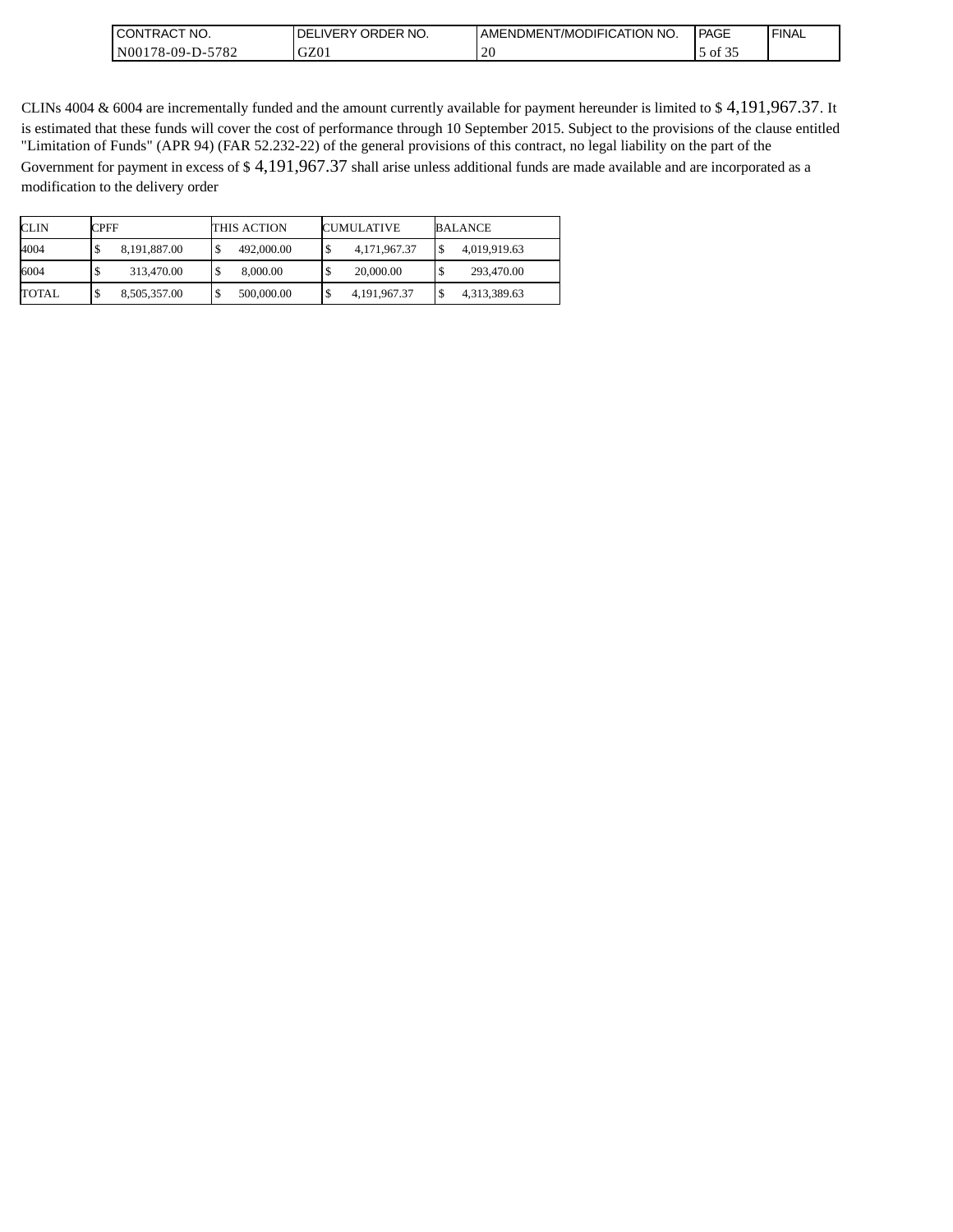| 'NO.<br><b>CON</b><br><b>ITRAC</b>                             | NO.<br><b>ORDER</b><br>DELIVERY | AMENDMENT/MODIFICATION NO. | PAGE                          | <b>FINAL</b> |
|----------------------------------------------------------------|---------------------------------|----------------------------|-------------------------------|--------------|
| 5700<br>N <sub>00</sub><br>$^{\circ}$ 178-09-D- $\sim$<br>∠ه ' | GZ01                            | $\bigcap$<br>ZU            | $\sim$ $\sim$ $\sim$<br>of 35 |              |

CLINs 4004 & 6004 are incrementally funded and the amount currently available for payment hereunder is limited to \$ 4,191,967.37. It is estimated that these funds will cover the cost of performance through 10 September 2015. Subject to the provisions of the clause entitled "Limitation of Funds" (APR 94) (FAR 52.232-22) of the general provisions of this contract, no legal liability on the part of the Government for payment in excess of \$ 4,191,967.37 shall arise unless additional funds are made available and are incorporated as a modification to the delivery order

| <b>CLIN</b> | <b>CPFF</b>  | THIS ACTION | <b>CUMULATIVE</b> | BALANCE      |
|-------------|--------------|-------------|-------------------|--------------|
| 4004        | 8.191.887.00 | 492,000.00  | 4.171.967.37      | 4,019,919.63 |
| 6004        | 313,470.00   | 8,000.00    | 20,000.00         | 293.470.00   |
| TOTAL.      | 8,505,357.00 | 500,000.00  | 4,191,967.37      | 4,313,389.63 |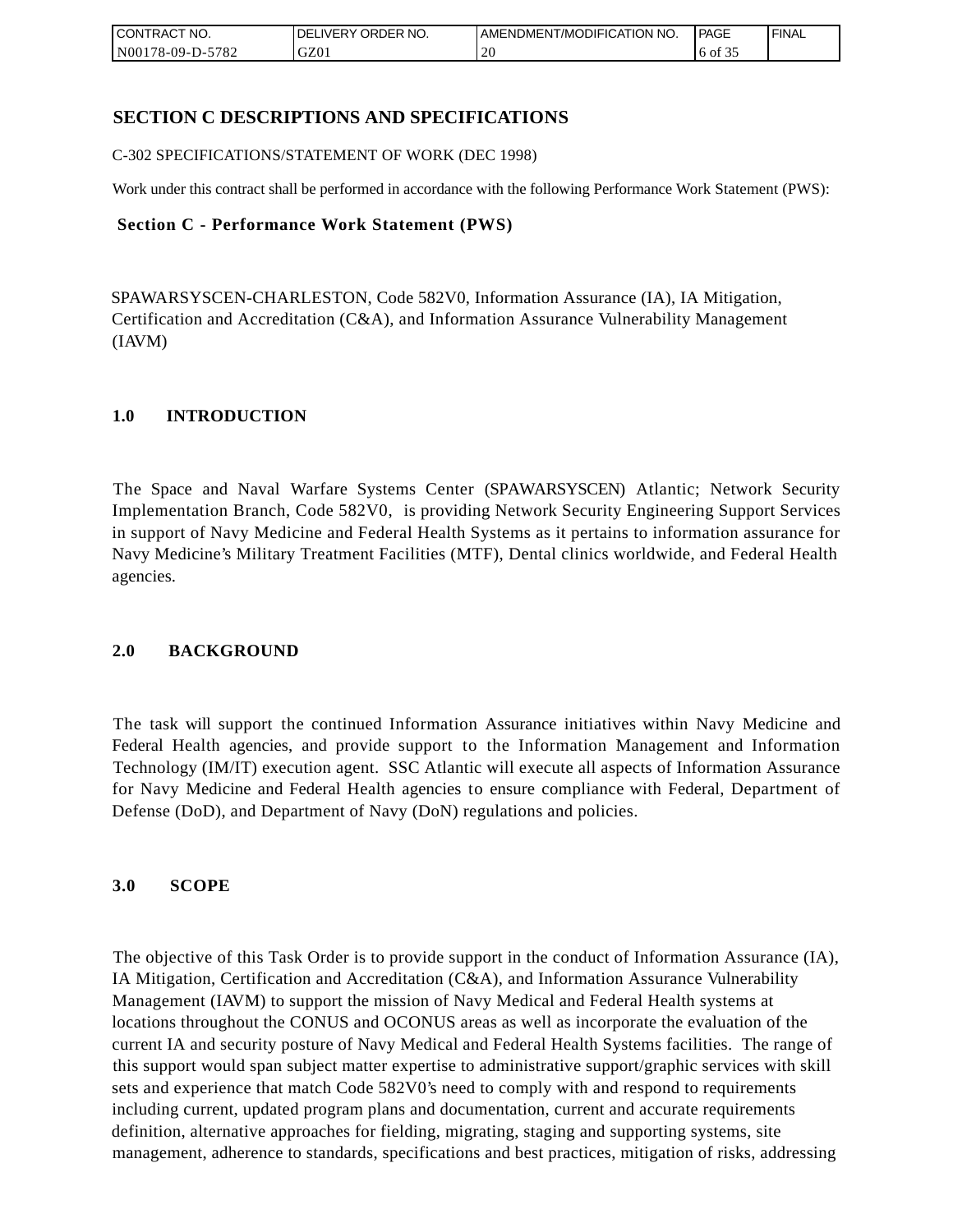| CONTRACT<br>CT NO.                                 | <b>ORDER</b><br>NO.<br><b>DELIVERY</b> | I AMENDMENT/MODIFICATION NO. | PAGE           | <b>I FINAL</b> |
|----------------------------------------------------|----------------------------------------|------------------------------|----------------|----------------|
| 5782<br>N <sub>001</sub><br>'78-09-D- <sub>~</sub> | GZ0 <sub>1</sub>                       | $\Delta$<br>ZU               | to of<br>. J . |                |

# **SECTION C DESCRIPTIONS AND SPECIFICATIONS**

C-302 SPECIFICATIONS/STATEMENT OF WORK (DEC 1998)

Work under this contract shall be performed in accordance with the following Performance Work Statement (PWS):

#### **Section C - Performance Work Statement (PWS)**

SPAWARSYSCEN-CHARLESTON, Code 582V0, Information Assurance (IA), IA Mitigation, Certification and Accreditation (C&A), and Information Assurance Vulnerability Management (IAVM)

### **1.0 INTRODUCTION**

The Space and Naval Warfare Systems Center (SPAWARSYSCEN) Atlantic; Network Security Implementation Branch, Code 582V0, is providing Network Security Engineering Support Services in support of Navy Medicine and Federal Health Systems as it pertains to information assurance for Navy Medicine's Military Treatment Facilities (MTF), Dental clinics worldwide, and Federal Health agencies.

### **2.0 BACKGROUND**

The task will support the continued Information Assurance initiatives within Navy Medicine and Federal Health agencies, and provide support to the Information Management and Information Technology (IM/IT) execution agent. SSC Atlantic will execute all aspects of Information Assurance for Navy Medicine and Federal Health agencies to ensure compliance with Federal, Department of Defense (DoD), and Department of Navy (DoN) regulations and policies.

### **3.0 SCOPE**

The objective of this Task Order is to provide support in the conduct of Information Assurance (IA), IA Mitigation, Certification and Accreditation (C&A), and Information Assurance Vulnerability Management (IAVM) to support the mission of Navy Medical and Federal Health systems at locations throughout the CONUS and OCONUS areas as well as incorporate the evaluation of the current IA and security posture of Navy Medical and Federal Health Systems facilities. The range of this support would span subject matter expertise to administrative support/graphic services with skill sets and experience that match Code 582V0's need to comply with and respond to requirements including current, updated program plans and documentation, current and accurate requirements definition, alternative approaches for fielding, migrating, staging and supporting systems, site management, adherence to standards, specifications and best practices, mitigation of risks, addressing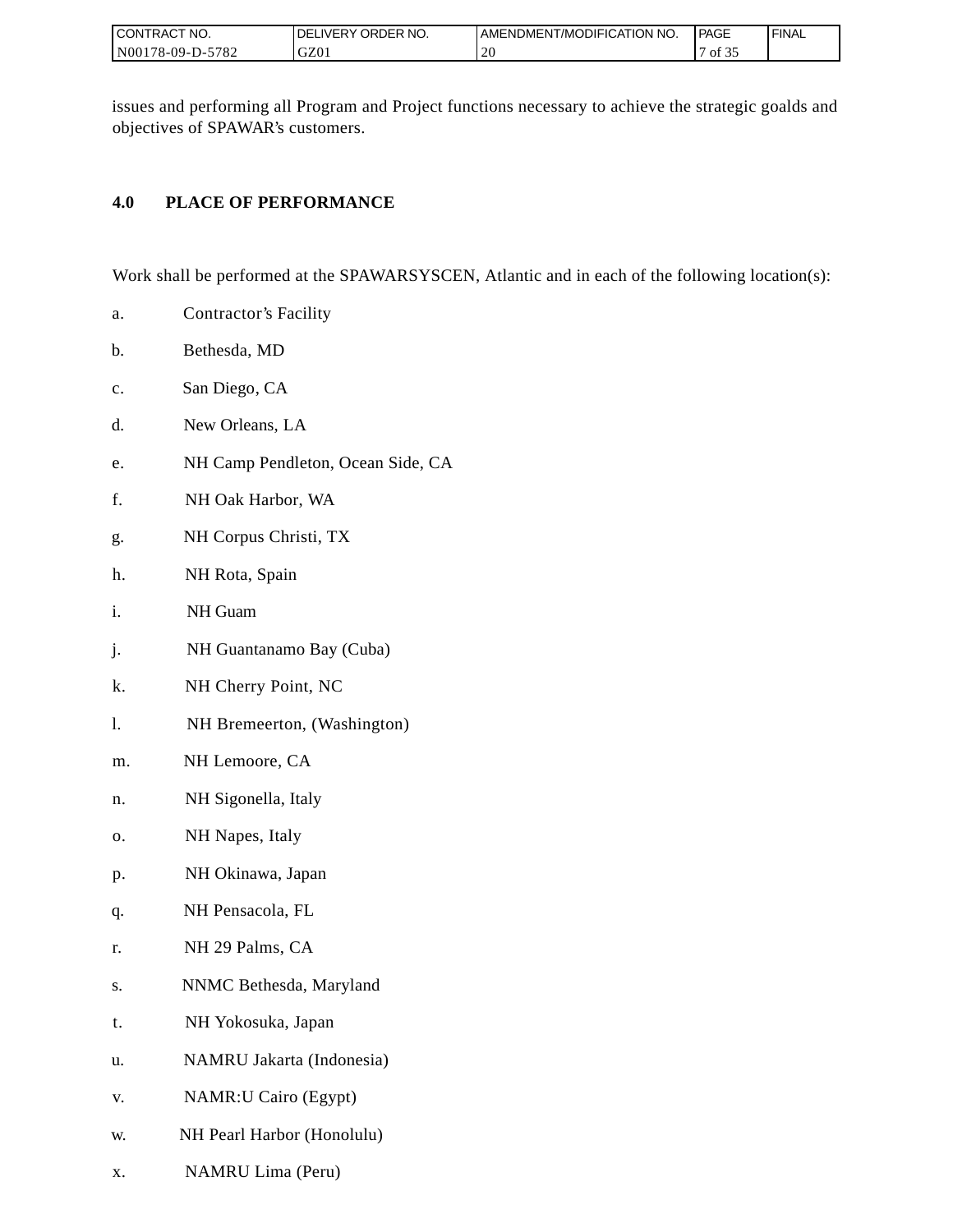| I CONTRACT NO.                       | ORDER NO.<br><b>DELIVERY</b> | AMENDMENT/MODIFICATION NO. | PAGE                       | ' FINAL |
|--------------------------------------|------------------------------|----------------------------|----------------------------|---------|
| N001<br>5700<br>'78-09-L<br>.<br>ے ہ | GZ0.                         | $\sim$<br>∠∪               | $\sim$ $\sim$ $\sim$<br>ΟĪ |         |

issues and performing all Program and Project functions necessary to achieve the strategic goalds and objectives of SPAWAR's customers.

# **4.0 PLACE OF PERFORMANCE**

Work shall be performed at the SPAWARSYSCEN, Atlantic and in each of the following location(s):

- a. Contractor's Facility
- b. Bethesda, MD
- c. San Diego, CA
- d. New Orleans, LA
- e. NH Camp Pendleton, Ocean Side, CA
- f. NH Oak Harbor, WA
- g. NH Corpus Christi, TX
- h. NH Rota, Spain
- i. NH Guam
- j. NH Guantanamo Bay (Cuba)
- k. NH Cherry Point, NC
- l. NH Bremeerton, (Washington)
- m. NH Lemoore, CA
- n. NH Sigonella, Italy
- o. NH Napes, Italy
- p. NH Okinawa, Japan
- q. NH Pensacola, FL
- r. NH 29 Palms, CA
- s. NNMC Bethesda, Maryland
- t. NH Yokosuka, Japan
- u. NAMRU Jakarta (Indonesia)
- v. NAMR:U Cairo (Egypt)
- w. NH Pearl Harbor (Honolulu)
- x. NAMRU Lima (Peru)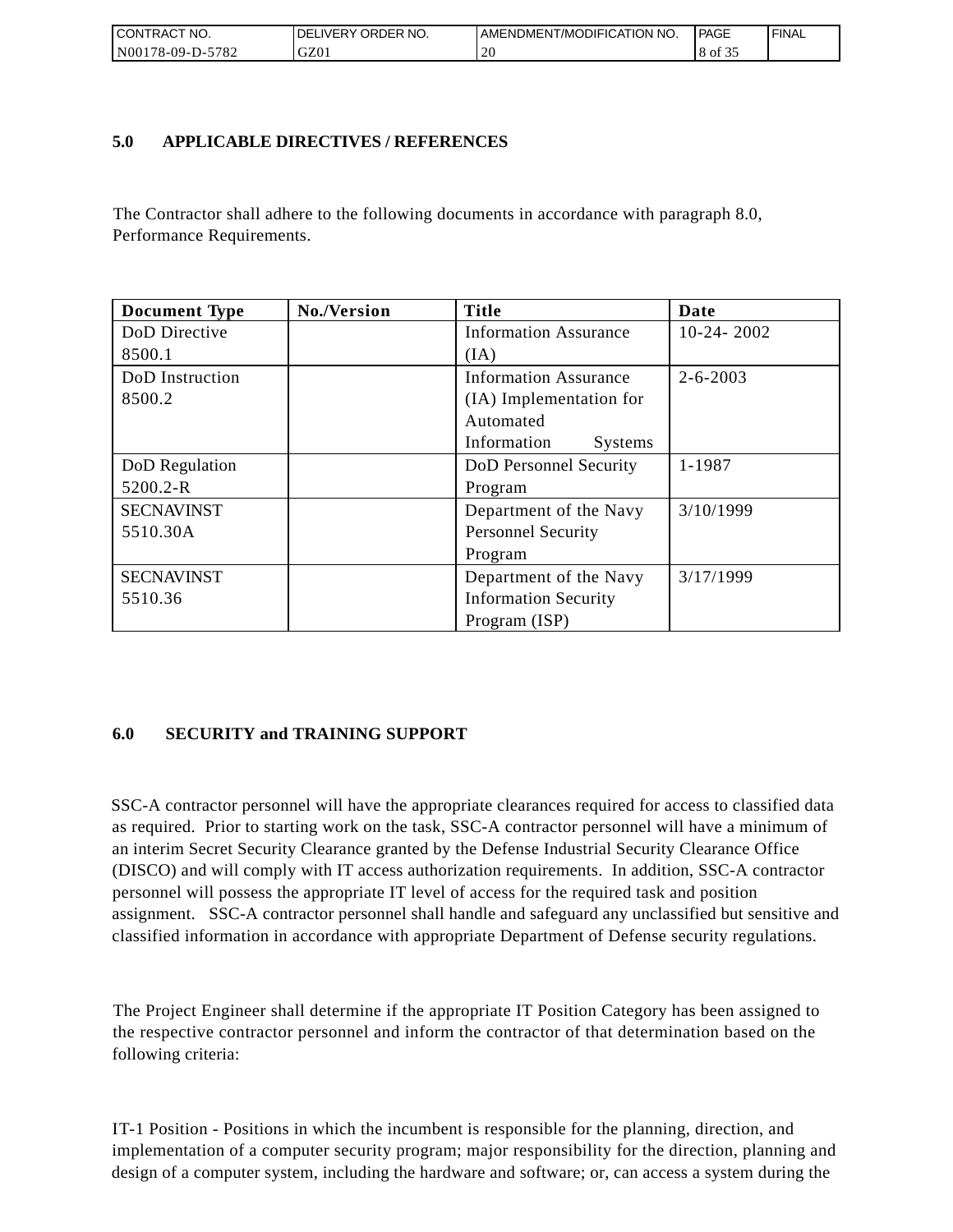| CONTRACT<br>°CT NO.        | ' ORDER NO.<br><b>DELIVERY</b> | AMENDMENT/MODIFICATION NO. | PAGE    | 'FINAL |
|----------------------------|--------------------------------|----------------------------|---------|--------|
| N00<br>5782<br>$78-09-D$ - | GZ01                           | . .                        | 8 of 35 |        |

### **5.0 APPLICABLE DIRECTIVES / REFERENCES**

The Contractor shall adhere to the following documents in accordance with paragraph 8.0, Performance Requirements.

| <b>Document Type</b> | No./Version | <b>Title</b>                  | Date           |
|----------------------|-------------|-------------------------------|----------------|
| DoD Directive        |             | <b>Information Assurance</b>  | $10-24-2002$   |
| 8500.1               |             | (IA)                          |                |
| DoD Instruction      |             | <b>Information Assurance</b>  | $2 - 6 - 2003$ |
| 8500.2               |             | (IA) Implementation for       |                |
|                      |             | Automated                     |                |
|                      |             | Information<br><b>Systems</b> |                |
| DoD Regulation       |             | DoD Personnel Security        | 1-1987         |
| 5200.2-R             |             | Program                       |                |
| <b>SECNAVINST</b>    |             | Department of the Navy        | 3/10/1999      |
| 5510.30A             |             | <b>Personnel Security</b>     |                |
|                      |             | Program                       |                |
| <b>SECNAVINST</b>    |             | Department of the Navy        | 3/17/1999      |
| 5510.36              |             | <b>Information Security</b>   |                |
|                      |             | Program (ISP)                 |                |

# **6.0 SECURITY and TRAINING SUPPORT**

SSC-A contractor personnel will have the appropriate clearances required for access to classified data as required. Prior to starting work on the task, SSC-A contractor personnel will have a minimum of an interim Secret Security Clearance granted by the Defense Industrial Security Clearance Office (DISCO) and will comply with IT access authorization requirements. In addition, SSC-A contractor personnel will possess the appropriate IT level of access for the required task and position assignment. SSC-A contractor personnel shall handle and safeguard any unclassified but sensitive and classified information in accordance with appropriate Department of Defense security regulations.

The Project Engineer shall determine if the appropriate IT Position Category has been assigned to the respective contractor personnel and inform the contractor of that determination based on the following criteria:

IT-1 Position - Positions in which the incumbent is responsible for the planning, direction, and implementation of a computer security program; major responsibility for the direction, planning and design of a computer system, including the hardware and software; or, can access a system during the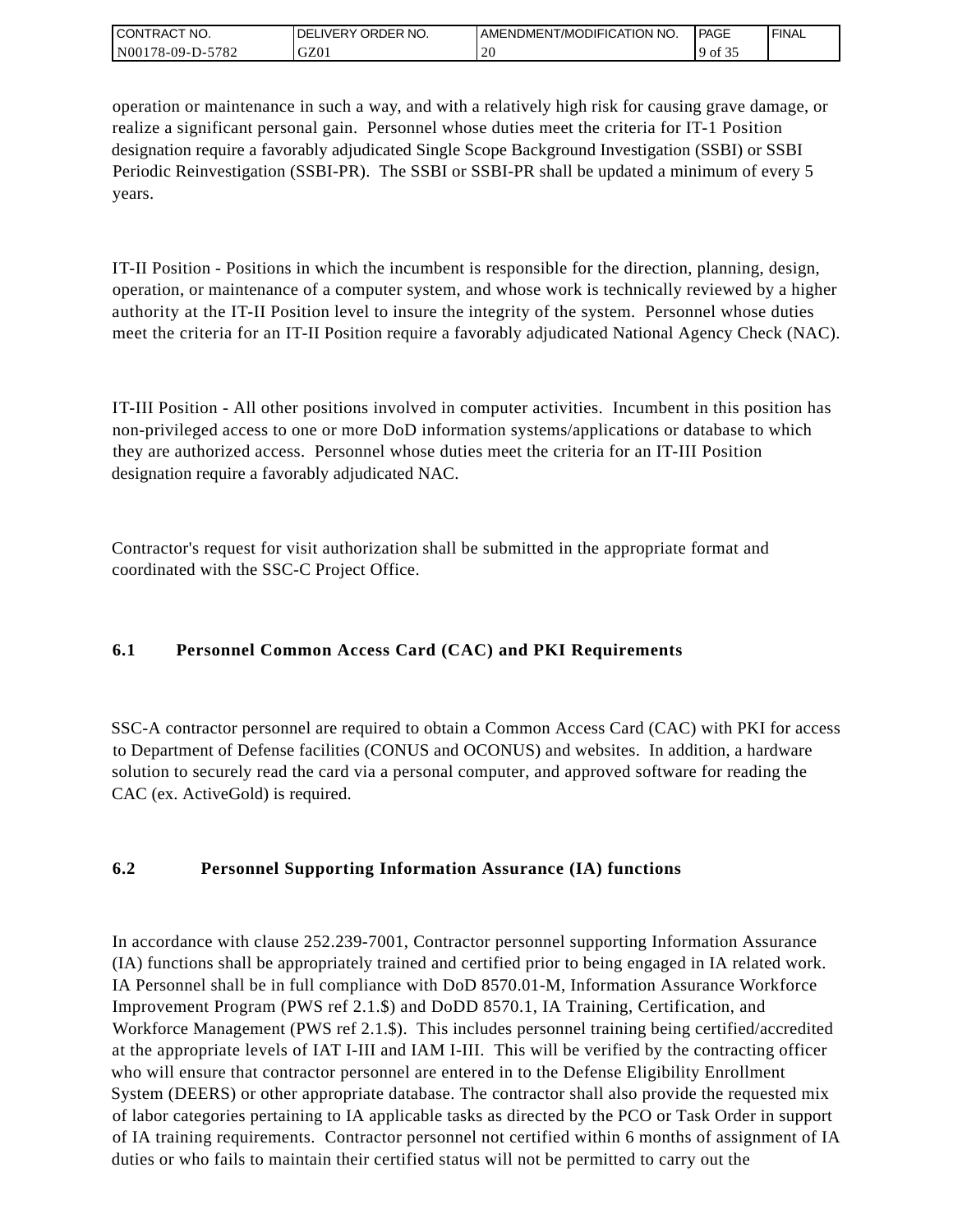| <b>CONTRACT NO.</b>                     | NO.<br>' ORDER<br><b>DELIVERY</b> | AMENDMENT/MODIFICATION NO. | PAGE        | <b>I FINAL</b> |
|-----------------------------------------|-----------------------------------|----------------------------|-------------|----------------|
| 5782<br>N001<br>′8-09-I<br>$\mathbf{L}$ | GZ01                              | 20                         | ΟĪ<br>. J . |                |

operation or maintenance in such a way, and with a relatively high risk for causing grave damage, or realize a significant personal gain. Personnel whose duties meet the criteria for IT-1 Position designation require a favorably adjudicated Single Scope Background Investigation (SSBI) or SSBI Periodic Reinvestigation (SSBI-PR). The SSBI or SSBI-PR shall be updated a minimum of every 5 years.

IT-II Position - Positions in which the incumbent is responsible for the direction, planning, design, operation, or maintenance of a computer system, and whose work is technically reviewed by a higher authority at the IT-II Position level to insure the integrity of the system. Personnel whose duties meet the criteria for an IT-II Position require a favorably adjudicated National Agency Check (NAC).

IT-III Position - All other positions involved in computer activities. Incumbent in this position has non-privileged access to one or more DoD information systems/applications or database to which they are authorized access. Personnel whose duties meet the criteria for an IT-III Position designation require a favorably adjudicated NAC.

Contractor's request for visit authorization shall be submitted in the appropriate format and coordinated with the SSC-C Project Office.

# **6.1 Personnel Common Access Card (CAC) and PKI Requirements**

SSC-A contractor personnel are required to obtain a Common Access Card (CAC) with PKI for access to Department of Defense facilities (CONUS and OCONUS) and websites. In addition, a hardware solution to securely read the card via a personal computer, and approved software for reading the CAC (ex. ActiveGold) is required.

# **6.2 Personnel Supporting Information Assurance (IA) functions**

In accordance with clause 252.239-7001, Contractor personnel supporting Information Assurance (IA) functions shall be appropriately trained and certified prior to being engaged in IA related work. IA Personnel shall be in full compliance with DoD 8570.01-M, Information Assurance Workforce Improvement Program (PWS ref 2.1.\$) and DoDD 8570.1, IA Training, Certification, and Workforce Management (PWS ref 2.1.\$). This includes personnel training being certified/accredited at the appropriate levels of IAT I-III and IAM I-III. This will be verified by the contracting officer who will ensure that contractor personnel are entered in to the Defense Eligibility Enrollment System (DEERS) or other appropriate database. The contractor shall also provide the requested mix of labor categories pertaining to IA applicable tasks as directed by the PCO or Task Order in support of IA training requirements. Contractor personnel not certified within 6 months of assignment of IA duties or who fails to maintain their certified status will not be permitted to carry out the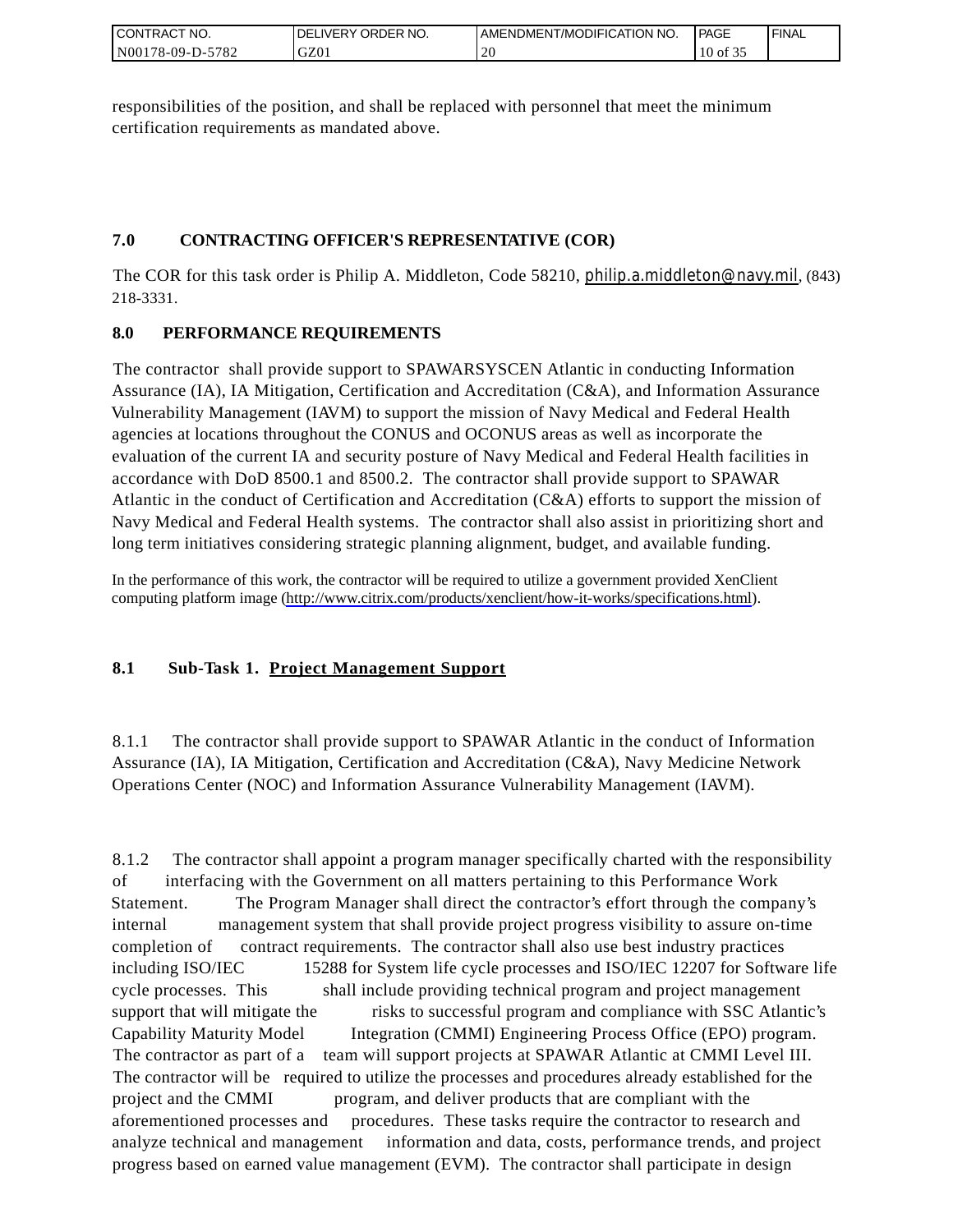| CONTRACT<br>°CT NO.      | NO.<br>' ORDER<br><b>DELIVERY</b> | AMENDMENT/MODIFICATION NO. | <b>PAGE</b> | ' FINAL |
|--------------------------|-----------------------------------|----------------------------|-------------|---------|
| $-5782$<br>N00178-09-D-5 | GZ01                              | 20                         | $10$ of     |         |

responsibilities of the position, and shall be replaced with personnel that meet the minimum certification requirements as mandated above.

# **7.0 CONTRACTING OFFICER'S REPRESENTATIVE (COR)**

The COR for this task order is Philip A. Middleton, Code 58210, [philip.a.middleton@navy.mil](mailto:cphilip.a.middleton@navy.mil), (843) 218-3331.

# **8.0 PERFORMANCE REQUIREMENTS**

The contractor shall provide support to SPAWARSYSCEN Atlantic in conducting Information Assurance (IA), IA Mitigation, Certification and Accreditation (C&A), and Information Assurance Vulnerability Management (IAVM) to support the mission of Navy Medical and Federal Health agencies at locations throughout the CONUS and OCONUS areas as well as incorporate the evaluation of the current IA and security posture of Navy Medical and Federal Health facilities in accordance with DoD 8500.1 and 8500.2. The contractor shall provide support to SPAWAR Atlantic in the conduct of Certification and Accreditation (C&A) efforts to support the mission of Navy Medical and Federal Health systems. The contractor shall also assist in prioritizing short and long term initiatives considering strategic planning alignment, budget, and available funding.

In the performance of this work, the contractor will be required to utilize a government provided XenClient computing platform image [\(http://www.citrix.com/products/xenclient/how-it-works/specifications.html\)](http://www.citrix.com/products/xenclient/how-it-works/specifications.html).

# **8.1 Sub-Task 1. Project Management Support**

8.1.1 The contractor shall provide support to SPAWAR Atlantic in the conduct of Information Assurance (IA), IA Mitigation, Certification and Accreditation (C&A), Navy Medicine Network Operations Center (NOC) and Information Assurance Vulnerability Management (IAVM).

8.1.2 The contractor shall appoint a program manager specifically charted with the responsibility of interfacing with the Government on all matters pertaining to this Performance Work Statement. The Program Manager shall direct the contractor's effort through the company's internal management system that shall provide project progress visibility to assure on-time completion of contract requirements. The contractor shall also use best industry practices including ISO/IEC 15288 for System life cycle processes and ISO/IEC 12207 for Software life cycle processes. This shall include providing technical program and project management support that will mitigate the risks to successful program and compliance with SSC Atlantic's Capability Maturity Model Integration (CMMI) Engineering Process Office (EPO) program. The contractor as part of a team will support projects at SPAWAR Atlantic at CMMI Level III. The contractor will be required to utilize the processes and procedures already established for the project and the CMMI program, and deliver products that are compliant with the aforementioned processes and procedures. These tasks require the contractor to research and analyze technical and management information and data, costs, performance trends, and project progress based on earned value management (EVM). The contractor shall participate in design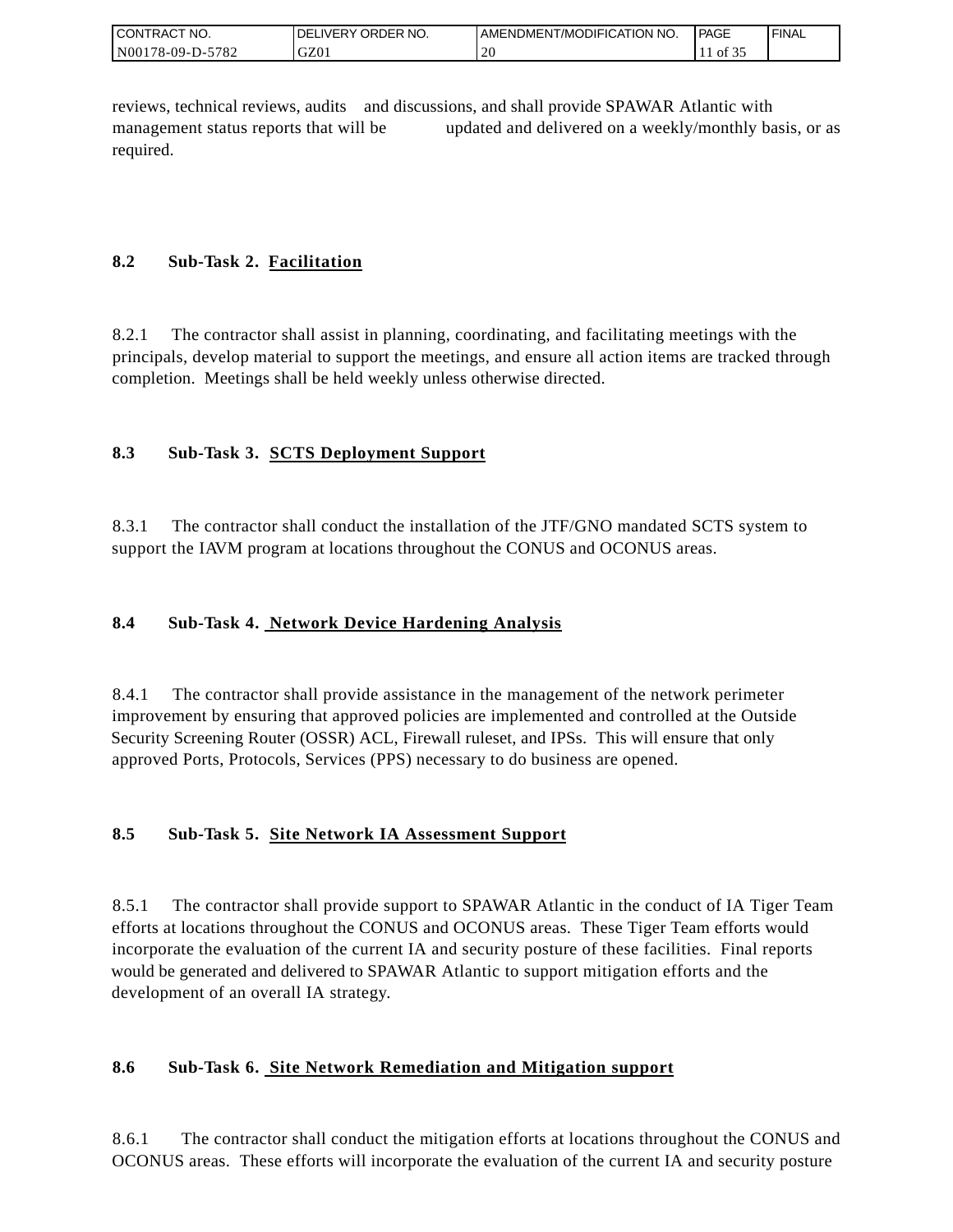| <b>CON</b><br>`CT NO.<br>TRAC | ORDER NO.<br><b>IVERY</b><br>DEI | AMENDMENT/MODIFICATION NO. | <sup>1</sup> PAGE          | ' FINAL |
|-------------------------------|----------------------------------|----------------------------|----------------------------|---------|
| N001<br>5782<br>$178-09-D$ -  | GZ0.                             | $\cap$<br>∠∪               | $\sim$ $\sim$ $\sim$<br>оf |         |

reviews, technical reviews, audits and discussions, and shall provide SPAWAR Atlantic with management status reports that will be updated and delivered on a weekly/monthly basis, or as required.

# **8.2 Sub-Task 2. Facilitation**

8.2.1 The contractor shall assist in planning, coordinating, and facilitating meetings with the principals, develop material to support the meetings, and ensure all action items are tracked through completion. Meetings shall be held weekly unless otherwise directed.

# **8.3 Sub-Task 3. SCTS Deployment Support**

8.3.1 The contractor shall conduct the installation of the JTF/GNO mandated SCTS system to support the IAVM program at locations throughout the CONUS and OCONUS areas.

# **8.4 Sub-Task 4. Network Device Hardening Analysis**

8.4.1 The contractor shall provide assistance in the management of the network perimeter improvement by ensuring that approved policies are implemented and controlled at the Outside Security Screening Router (OSSR) ACL, Firewall ruleset, and IPSs. This will ensure that only approved Ports, Protocols, Services (PPS) necessary to do business are opened.

# **8.5 Sub-Task 5. Site Network IA Assessment Support**

8.5.1 The contractor shall provide support to SPAWAR Atlantic in the conduct of IA Tiger Team efforts at locations throughout the CONUS and OCONUS areas. These Tiger Team efforts would incorporate the evaluation of the current IA and security posture of these facilities. Final reports would be generated and delivered to SPAWAR Atlantic to support mitigation efforts and the development of an overall IA strategy.

# **8.6 Sub-Task 6. Site Network Remediation and Mitigation support**

8.6.1 The contractor shall conduct the mitigation efforts at locations throughout the CONUS and OCONUS areas. These efforts will incorporate the evaluation of the current IA and security posture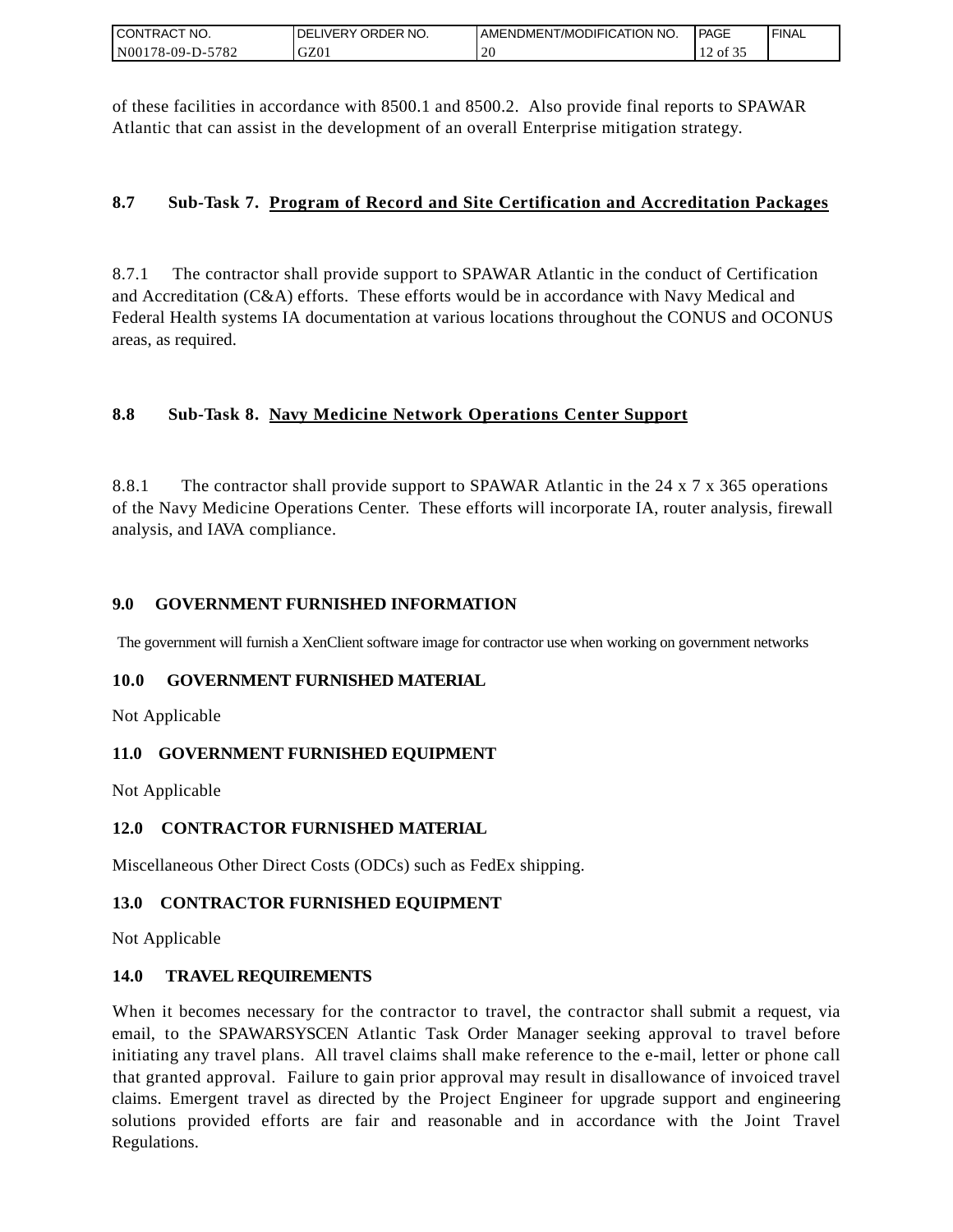| I CONTRACT NO.   | <b>DELIVERY ORDER NO.</b> | I AMENDMENT/MODIFICATION NO. | PAGE  | 'FINAL |
|------------------|---------------------------|------------------------------|-------|--------|
| N00178-09-D-5782 | GZ01                      | $\Delta$ r                   | of 35 |        |

of these facilities in accordance with 8500.1 and 8500.2. Also provide final reports to SPAWAR Atlantic that can assist in the development of an overall Enterprise mitigation strategy.

### **8.7 Sub-Task 7. Program of Record and Site Certification and Accreditation Packages**

8.7.1 The contractor shall provide support to SPAWAR Atlantic in the conduct of Certification and Accreditation (C&A) efforts. These efforts would be in accordance with Navy Medical and Federal Health systems IA documentation at various locations throughout the CONUS and OCONUS areas, as required.

# **8.8 Sub-Task 8. Navy Medicine Network Operations Center Support**

8.8.1 The contractor shall provide support to SPAWAR Atlantic in the 24 x 7 x 365 operations of the Navy Medicine Operations Center. These efforts will incorporate IA, router analysis, firewall analysis, and IAVA compliance.

### **9.0 GOVERNMENT FURNISHED INFORMATION**

The government will furnish a XenClient software image for contractor use when working on government networks

### **10.0 GOVERNMENT FURNISHED MATERIAL**

Not Applicable

### **11.0 GOVERNMENT FURNISHED EQUIPMENT**

Not Applicable

### **12.0 CONTRACTOR FURNISHED MATERIAL**

Miscellaneous Other Direct Costs (ODCs) such as FedEx shipping.

### **13.0 CONTRACTOR FURNISHED EQUIPMENT**

Not Applicable

### **14.0 TRAVEL REQUIREMENTS**

CONTRACT NO.<br>
NO0178-09-D-5<br>
CONTRACT NO.<br>
NO0178-09-D-5<br>
Of these facili<br>
Atlantic that of<br>
8.7 Sub-1<br>
8.7 Sub-1<br>
8.7 Sub-1<br>
8.8 Sub-1<br>
8.8 Sub-1<br>
8.8 Sub-1<br>
8.8.1 The of the Navy M<br>
8.8.1 The of the Navy M<br>
analysis, and When it becomes necessary for the contractor to travel, the contractor shall submit a request, via email, to the SPAWARSYSCEN Atlantic Task Order Manager seeking approval to travel before initiating any travel plans. All travel claims shall make reference to the e-mail, letter or phone call that granted approval. Failure to gain prior approval may result in disallowance of invoiced travel claims. Emergent travel as directed by the Project Engineer for upgrade support and engineering solutions provided efforts are fair and reasonable and in accordance with the Joint Travel Regulations.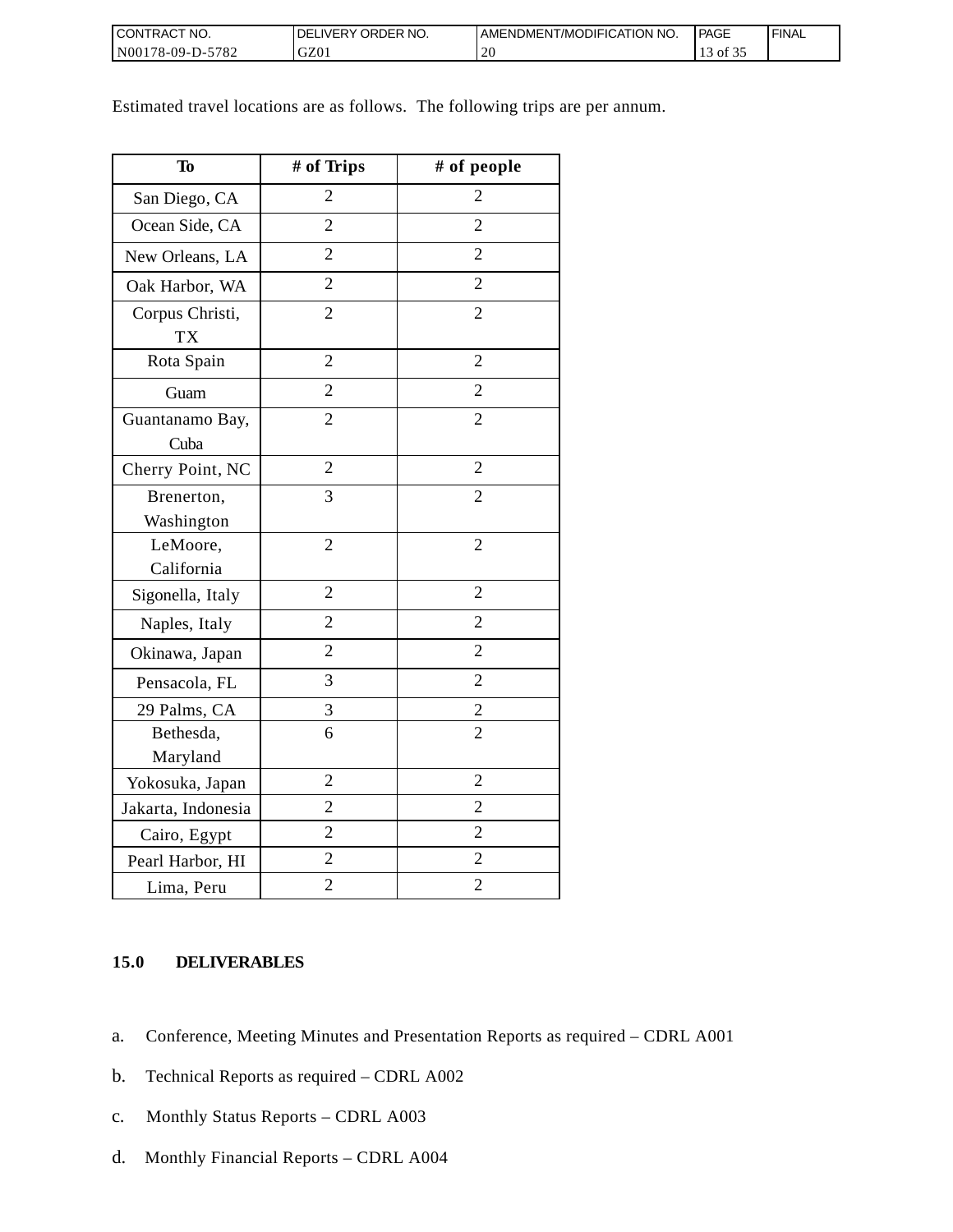| <b>I CONTRACT NO.</b>   | DELIVERY ORDER NO. | AMENDMENT/MODIFICATION NO. | <b>PAGE</b> | ' FINAL |
|-------------------------|--------------------|----------------------------|-------------|---------|
| $N00178-09-D-2$<br>5782 | GZ01               | 20                         | of 32       |         |

Estimated travel locations are as follows. The following trips are per annum.

| <b>To</b>                    | # of Trips     | # of people    |
|------------------------------|----------------|----------------|
| San Diego, CA                | $\overline{2}$ | 2              |
| Ocean Side, CA               | $\overline{2}$ | $\overline{2}$ |
| New Orleans, LA              | $\overline{2}$ | $\overline{2}$ |
| Oak Harbor, WA               | $\overline{2}$ | $\overline{2}$ |
| Corpus Christi,<br><b>TX</b> | $\overline{2}$ | $\overline{2}$ |
| Rota Spain                   | $\overline{2}$ | $\overline{2}$ |
| Guam                         | $\overline{2}$ | $\overline{2}$ |
| Guantanamo Bay,<br>Cuba      | $\overline{2}$ | $\overline{2}$ |
| Cherry Point, NC             | $\overline{2}$ | $\overline{2}$ |
| Brenerton,<br>Washington     | 3              | $\overline{2}$ |
| LeMoore,<br>California       | $\overline{2}$ | $\overline{2}$ |
| Sigonella, Italy             | $\overline{2}$ | $\overline{2}$ |
| Naples, Italy                | $\overline{2}$ | $\overline{2}$ |
| Okinawa, Japan               | $\overline{2}$ | $\overline{2}$ |
| Pensacola, FL                | 3              | $\overline{2}$ |
| 29 Palms, CA                 | 3              | $\overline{c}$ |
| Bethesda,<br>Maryland        | 6              | $\overline{2}$ |
| Yokosuka, Japan              | $\overline{2}$ | $\overline{2}$ |
| Jakarta, Indonesia           | $\overline{2}$ | $\overline{2}$ |
| Cairo, Egypt                 | $\overline{2}$ | $\overline{2}$ |
| Pearl Harbor, HI             | $\overline{2}$ | $\overline{2}$ |
| Lima, Peru                   | $\overline{2}$ | $\overline{2}$ |

### **15.0 DELIVERABLES**

- a. Conference, Meeting Minutes and Presentation Reports as required CDRL A001
- b. Technical Reports as required CDRL A002
- c. Monthly Status Reports CDRL A003
- d. Monthly Financial Reports CDRL A004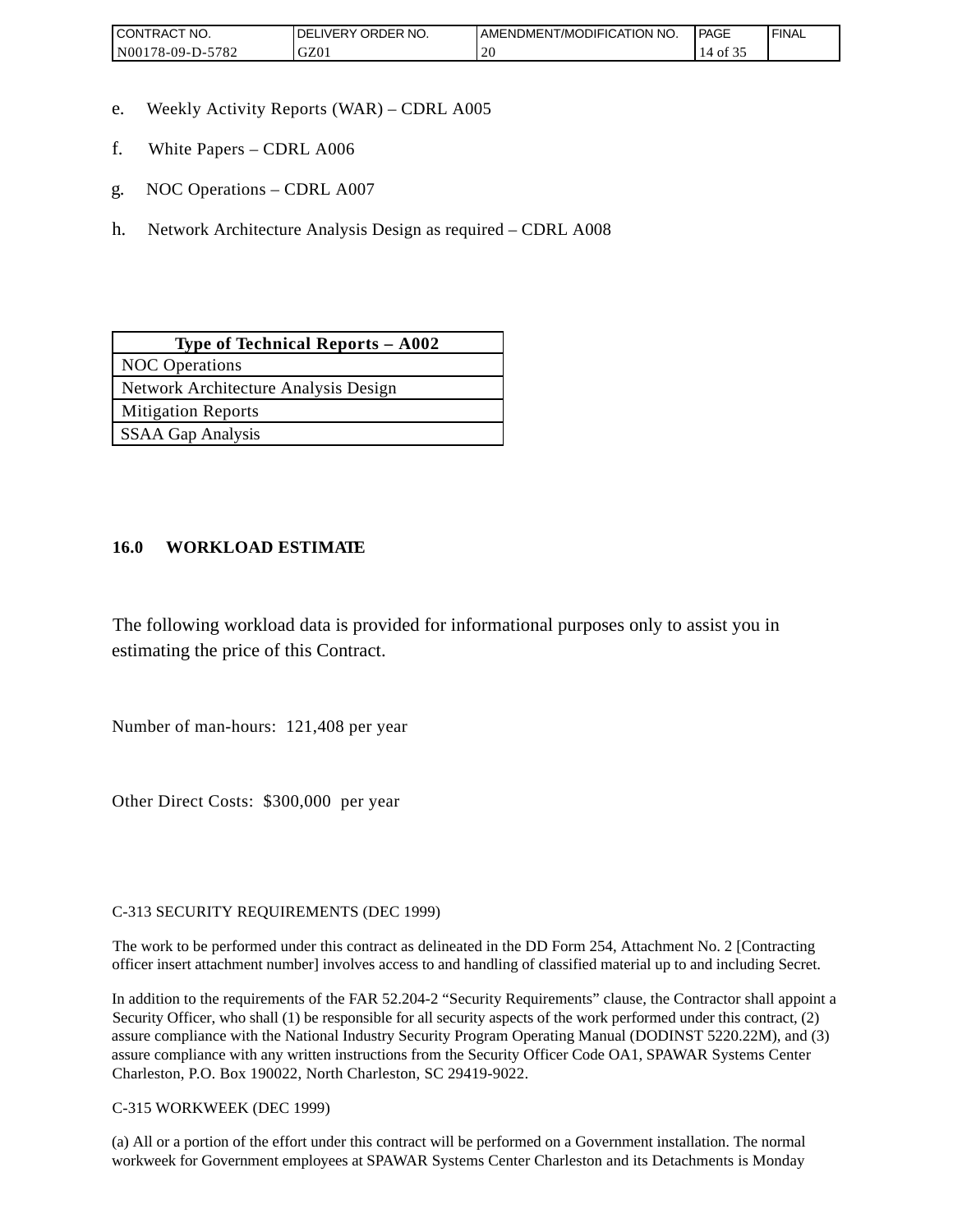| <b>CONTRAC</b><br>'NO.          | NO.<br><b>ORDER</b><br><b>DELIVERY</b> | AMENDMENT/MODIFICATION NO. | <b>PAGE</b> | 'FINAL |
|---------------------------------|----------------------------------------|----------------------------|-------------|--------|
| 5700<br>N00<br>78-09-D-.<br>104 | $\sim$<br>UZU.                         | ້                          | ΟĪ          |        |

- e. Weekly Activity Reports (WAR) CDRL A005
- f. White Papers CDRL A006
- g. NOC Operations CDRL A007
- h. Network Architecture Analysis Design as required CDRL A008

| Type of Technical Reports $- A002$   |
|--------------------------------------|
| <b>NOC</b> Operations                |
| Network Architecture Analysis Design |
| <b>Mitigation Reports</b>            |
| SSAA Gap Analysis                    |

### **16.0 WORKLOAD ESTIMATE**

The following workload data is provided for informational purposes only to assist you in estimating the price of this Contract.

Number of man-hours: 121,408 per year

Other Direct Costs: \$300,000 per year

C-313 SECURITY REQUIREMENTS (DEC 1999)

The work to be performed under this contract as delineated in the DD Form 254, Attachment No. 2 [Contracting officer insert attachment number] involves access to and handling of classified material up to and including Secret.

In addition to the requirements of the FAR 52.204-2 "Security Requirements" clause, the Contractor shall appoint a Security Officer, who shall (1) be responsible for all security aspects of the work performed under this contract, (2) assure compliance with the National Industry Security Program Operating Manual (DODINST 5220.22M), and (3) assure compliance with any written instructions from the Security Officer Code OA1, SPAWAR Systems Center Charleston, P.O. Box 190022, North Charleston, SC 29419-9022.

C-315 WORKWEEK (DEC 1999)

(a) All or a portion of the effort under this contract will be performed on a Government installation. The normal workweek for Government employees at SPAWAR Systems Center Charleston and its Detachments is Monday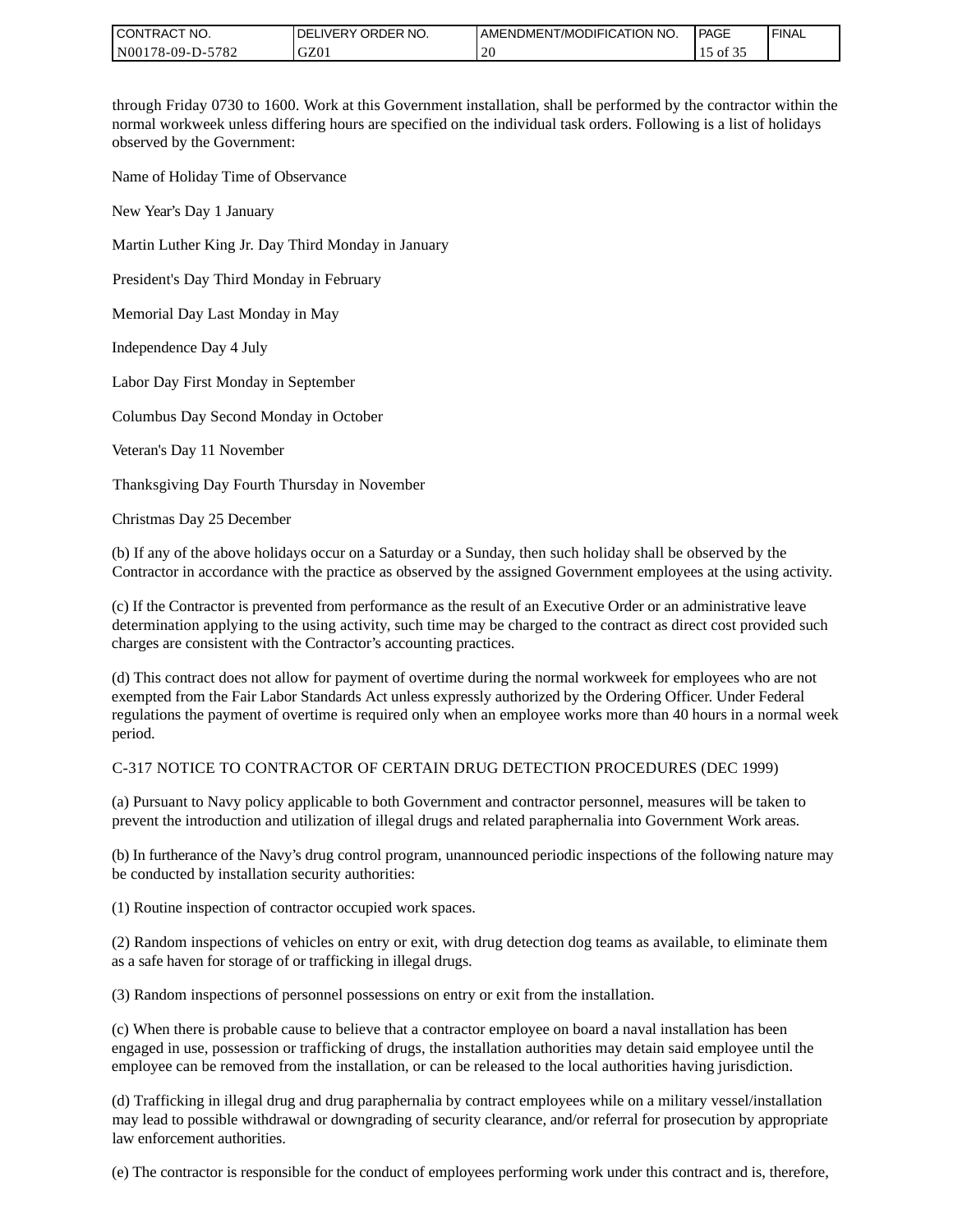| I CONTRACT NO.   | ' ORDER NO.<br><b>DELIVERY</b> | I AMENDMENT/MODIFICATION NO. | PAGE      | ' FINAL |
|------------------|--------------------------------|------------------------------|-----------|---------|
| N00178-09-D-5782 | GZ0.                           | <b>20</b>                    | د ot or ' |         |

through Friday 0730 to 1600. Work at this Government installation, shall be performed by the contractor within the normal workweek unless differing hours are specified on the individual task orders. Following is a list of holidays observed by the Government:

Name of Holiday Time of Observance

New Year's Day 1 January

Martin Luther King Jr. Day Third Monday in January

President's Day Third Monday in February

Memorial Day Last Monday in May

Independence Day 4 July

Labor Day First Monday in September

Columbus Day Second Monday in October

Veteran's Day 11 November

Thanksgiving Day Fourth Thursday in November

Christmas Day 25 December

(b) If any of the above holidays occur on a Saturday or a Sunday, then such holiday shall be observed by the Contractor in accordance with the practice as observed by the assigned Government employees at the using activity.

(c) If the Contractor is prevented from performance as the result of an Executive Order or an administrative leave determination applying to the using activity, such time may be charged to the contract as direct cost provided such charges are consistent with the Contractor's accounting practices.

(d) This contract does not allow for payment of overtime during the normal workweek for employees who are not exempted from the Fair Labor Standards Act unless expressly authorized by the Ordering Officer. Under Federal regulations the payment of overtime is required only when an employee works more than 40 hours in a normal week period.

#### C-317 NOTICE TO CONTRACTOR OF CERTAIN DRUG DETECTION PROCEDURES (DEC 1999)

(a) Pursuant to Navy policy applicable to both Government and contractor personnel, measures will be taken to prevent the introduction and utilization of illegal drugs and related paraphernalia into Government Work areas.

(b) In furtherance of the Navy's drug control program, unannounced periodic inspections of the following nature may be conducted by installation security authorities:

(1) Routine inspection of contractor occupied work spaces.

(2) Random inspections of vehicles on entry or exit, with drug detection dog teams as available, to eliminate them as a safe haven for storage of or trafficking in illegal drugs.

(3) Random inspections of personnel possessions on entry or exit from the installation.

(c) When there is probable cause to believe that a contractor employee on board a naval installation has been engaged in use, possession or trafficking of drugs, the installation authorities may detain said employee until the employee can be removed from the installation, or can be released to the local authorities having jurisdiction.

(d) Trafficking in illegal drug and drug paraphernalia by contract employees while on a military vessel/installation may lead to possible withdrawal or downgrading of security clearance, and/or referral for prosecution by appropriate law enforcement authorities.

(e) The contractor is responsible for the conduct of employees performing work under this contract and is, therefore,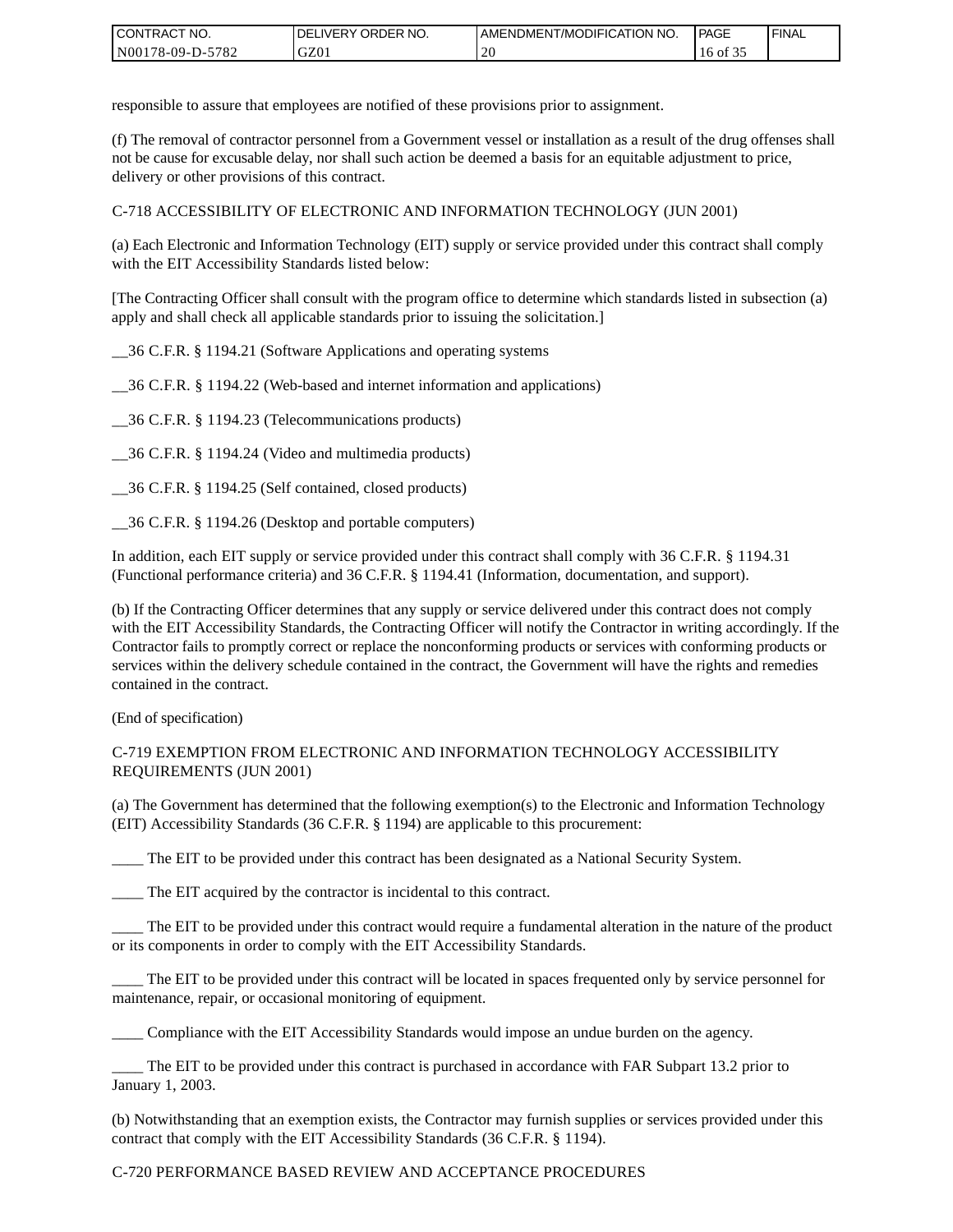| CONTRACT<br>°CT NO.      | NO.<br>' ORDER<br><b>DELIVERY</b> | AMENDMENT/MODIFICATION NO. | <b>PAGE</b> | ' FINAL |
|--------------------------|-----------------------------------|----------------------------|-------------|---------|
| $-5782$<br>N00178-09-D-5 | GZ01                              | 20                         | 16 of       |         |

responsible to assure that employees are notified of these provisions prior to assignment.

(f) The removal of contractor personnel from a Government vessel or installation as a result of the drug offenses shall not be cause for excusable delay, nor shall such action be deemed a basis for an equitable adjustment to price, delivery or other provisions of this contract.

C-718 ACCESSIBILITY OF ELECTRONIC AND INFORMATION TECHNOLOGY (JUN 2001)

(a) Each Electronic and Information Technology (EIT) supply or service provided under this contract shall comply with the EIT Accessibility Standards listed below:

[The Contracting Officer shall consult with the program office to determine which standards listed in subsection (a) apply and shall check all applicable standards prior to issuing the solicitation.]

\_\_36 C.F.R. § 1194.21 (Software Applications and operating systems

\_\_36 C.F.R. § 1194.22 (Web-based and internet information and applications)

\_\_36 C.F.R. § 1194.23 (Telecommunications products)

\_\_36 C.F.R. § 1194.24 (Video and multimedia products)

\_\_36 C.F.R. § 1194.25 (Self contained, closed products)

\_\_36 C.F.R. § 1194.26 (Desktop and portable computers)

In addition, each EIT supply or service provided under this contract shall comply with 36 C.F.R. § 1194.31 (Functional performance criteria) and 36 C.F.R. § 1194.41 (Information, documentation, and support).

(b) If the Contracting Officer determines that any supply or service delivered under this contract does not comply with the EIT Accessibility Standards, the Contracting Officer will notify the Contractor in writing accordingly. If the Contractor fails to promptly correct or replace the nonconforming products or services with conforming products or services within the delivery schedule contained in the contract, the Government will have the rights and remedies contained in the contract.

(End of specification)

#### C-719 EXEMPTION FROM ELECTRONIC AND INFORMATION TECHNOLOGY ACCESSIBILITY REQUIREMENTS (JUN 2001)

(a) The Government has determined that the following exemption(s) to the Electronic and Information Technology (EIT) Accessibility Standards (36 C.F.R. § 1194) are applicable to this procurement:

The EIT to be provided under this contract has been designated as a National Security System.

\_\_\_\_ The EIT acquired by the contractor is incidental to this contract.

\_\_\_\_ The EIT to be provided under this contract would require a fundamental alteration in the nature of the product or its components in order to comply with the EIT Accessibility Standards.

The EIT to be provided under this contract will be located in spaces frequented only by service personnel for maintenance, repair, or occasional monitoring of equipment.

\_\_\_\_ Compliance with the EIT Accessibility Standards would impose an undue burden on the agency.

\_\_\_\_ The EIT to be provided under this contract is purchased in accordance with FAR Subpart 13.2 prior to January 1, 2003.

(b) Notwithstanding that an exemption exists, the Contractor may furnish supplies or services provided under this contract that comply with the EIT Accessibility Standards (36 C.F.R. § 1194).

#### C-720 PERFORMANCE BASED REVIEW AND ACCEPTANCE PROCEDURES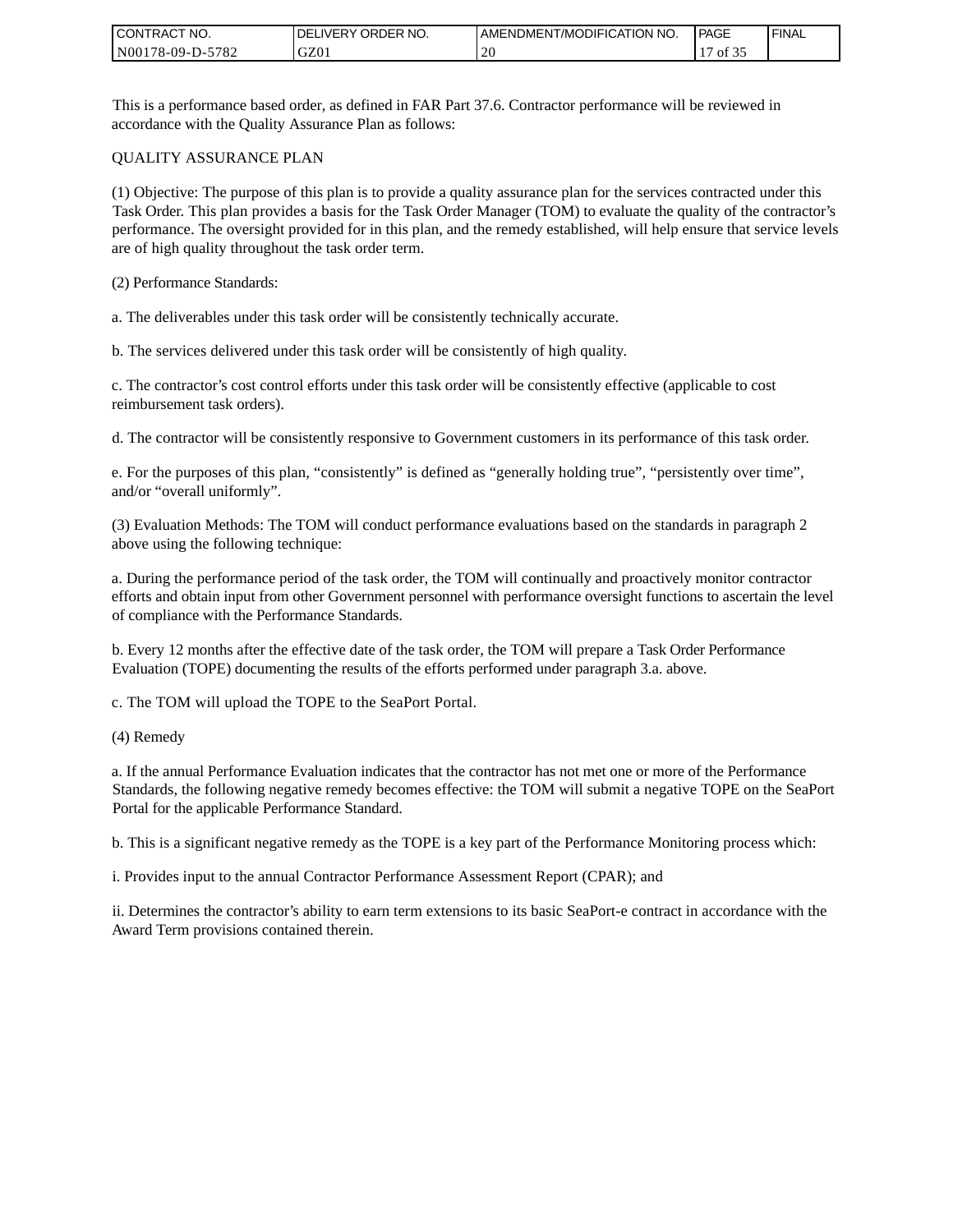| CONTRACT<br>`CT NO.      | `NO.<br>DELIVERY ORDER | AMENDMENT/MODIFICATION NO. | <b>PAGE</b> | ' FINAL |
|--------------------------|------------------------|----------------------------|-------------|---------|
| N00178-09-D-5<br>$-5782$ | GZ01                   | 20                         | ΟĪ          |         |

This is a performance based order, as defined in FAR Part 37.6. Contractor performance will be reviewed in accordance with the Quality Assurance Plan as follows:

#### QUALITY ASSURANCE PLAN

(1) Objective: The purpose of this plan is to provide a quality assurance plan for the services contracted under this Task Order. This plan provides a basis for the Task Order Manager (TOM) to evaluate the quality of the contractor's performance. The oversight provided for in this plan, and the remedy established, will help ensure that service levels are of high quality throughout the task order term.

(2) Performance Standards:

a. The deliverables under this task order will be consistently technically accurate.

b. The services delivered under this task order will be consistently of high quality.

c. The contractor's cost control efforts under this task order will be consistently effective (applicable to cost reimbursement task orders).

d. The contractor will be consistently responsive to Government customers in its performance of this task order.

e. For the purposes of this plan, "consistently" is defined as "generally holding true", "persistently over time", and/or "overall uniformly".

(3) Evaluation Methods: The TOM will conduct performance evaluations based on the standards in paragraph 2 above using the following technique:

a. During the performance period of the task order, the TOM will continually and proactively monitor contractor efforts and obtain input from other Government personnel with performance oversight functions to ascertain the level of compliance with the Performance Standards.

b. Every 12 months after the effective date of the task order, the TOM will prepare a Task Order Performance Evaluation (TOPE) documenting the results of the efforts performed under paragraph 3.a. above.

c. The TOM will upload the TOPE to the SeaPort Portal.

(4) Remedy

a. If the annual Performance Evaluation indicates that the contractor has not met one or more of the Performance Standards, the following negative remedy becomes effective: the TOM will submit a negative TOPE on the SeaPort Portal for the applicable Performance Standard.

b. This is a significant negative remedy as the TOPE is a key part of the Performance Monitoring process which:

i. Provides input to the annual Contractor Performance Assessment Report (CPAR); and

ii. Determines the contractor's ability to earn term extensions to its basic SeaPort-e contract in accordance with the Award Term provisions contained therein.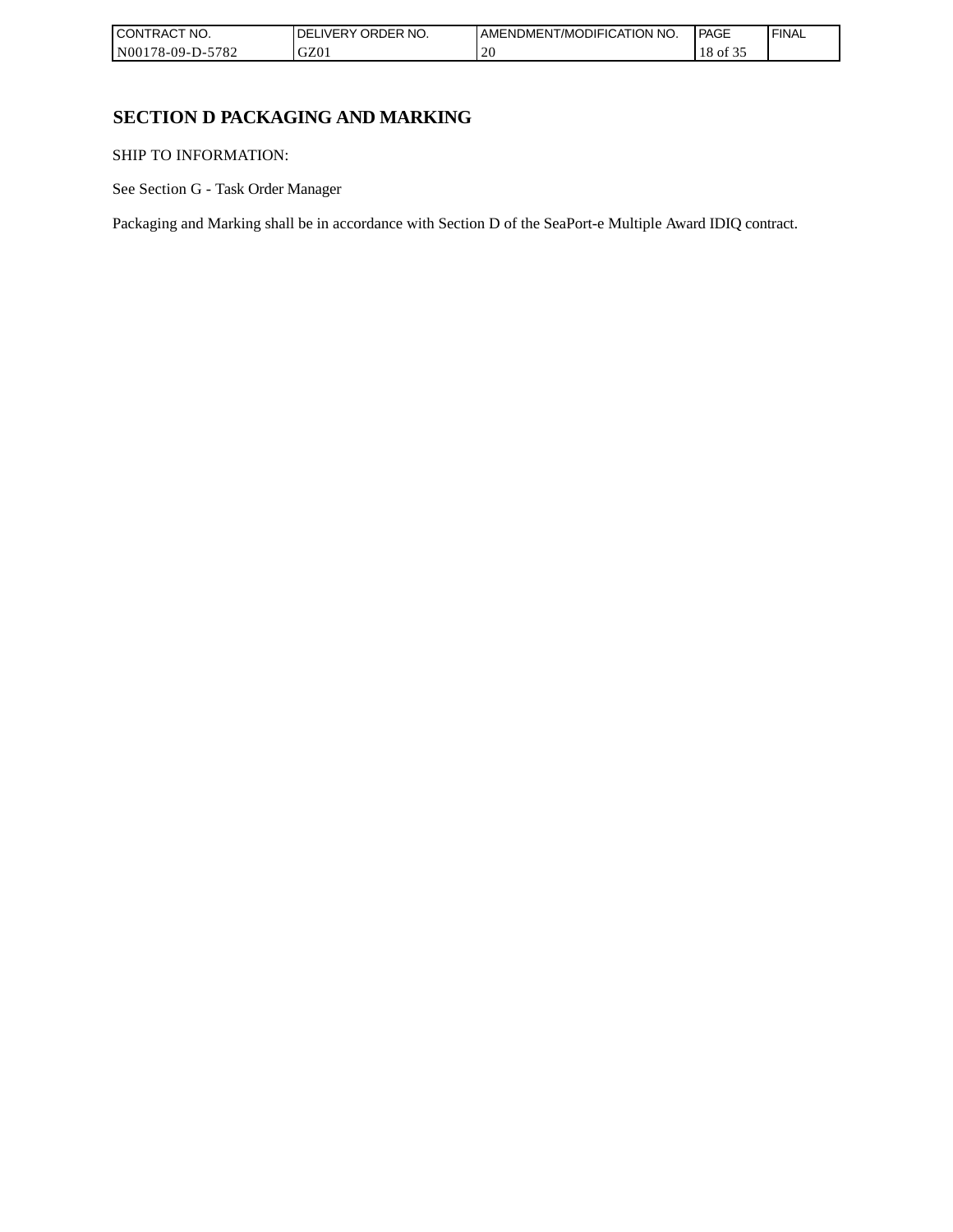| `CT NO.<br><b>CONT</b><br>TRAC'         | NO.<br><b>ORDER</b><br>IVERY<br>DEI | AMENDMENT/MODIFICATION NO. | <b>PAGE</b> | ' FINAL |
|-----------------------------------------|-------------------------------------|----------------------------|-------------|---------|
| N0017 <sup>c</sup><br>5782<br>78-09-D-: | GZ0 <sub>1</sub>                    | 20                         | 18<br>` Oİ  |         |

# **SECTION D PACKAGING AND MARKING**

SHIP TO INFORMATION:

See Section G - Task Order Manager

Packaging and Marking shall be in accordance with Section D of the SeaPort-e Multiple Award IDIQ contract.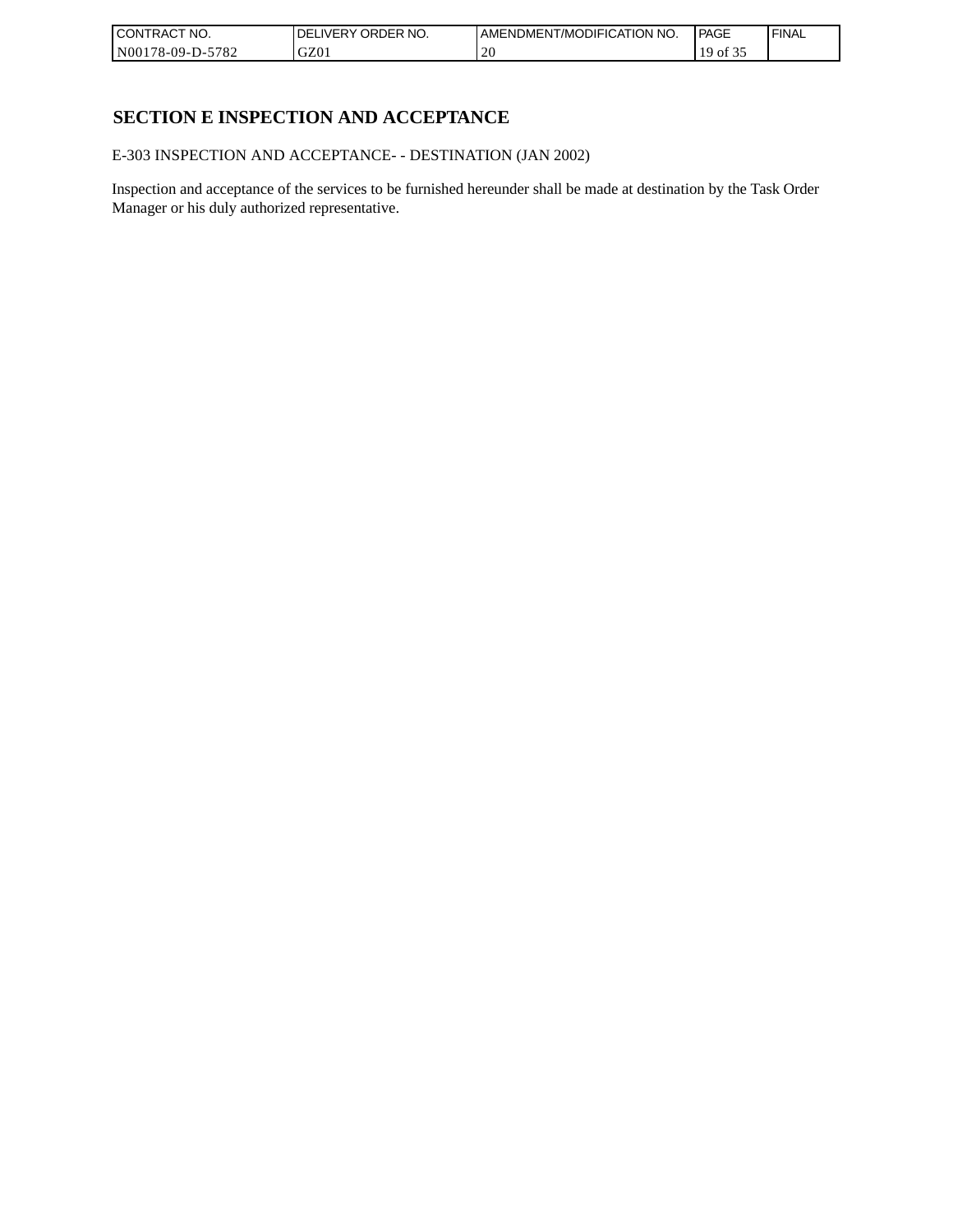| CONTRACT<br>`CT NO.      | NO.<br>' ORDER<br><b>DELIVERY</b> | AMENDMENT/MODIFICATION NO. | l PAGE | ' FINAL |
|--------------------------|-----------------------------------|----------------------------|--------|---------|
| $-5782$<br>N00178-09-D-5 | GZ01                              | 20                         | οt     |         |

# **SECTION E INSPECTION AND ACCEPTANCE**

E-303 INSPECTION AND ACCEPTANCE- - DESTINATION (JAN 2002)

Inspection and acceptance of the services to be furnished hereunder shall be made at destination by the Task Order Manager or his duly authorized representative.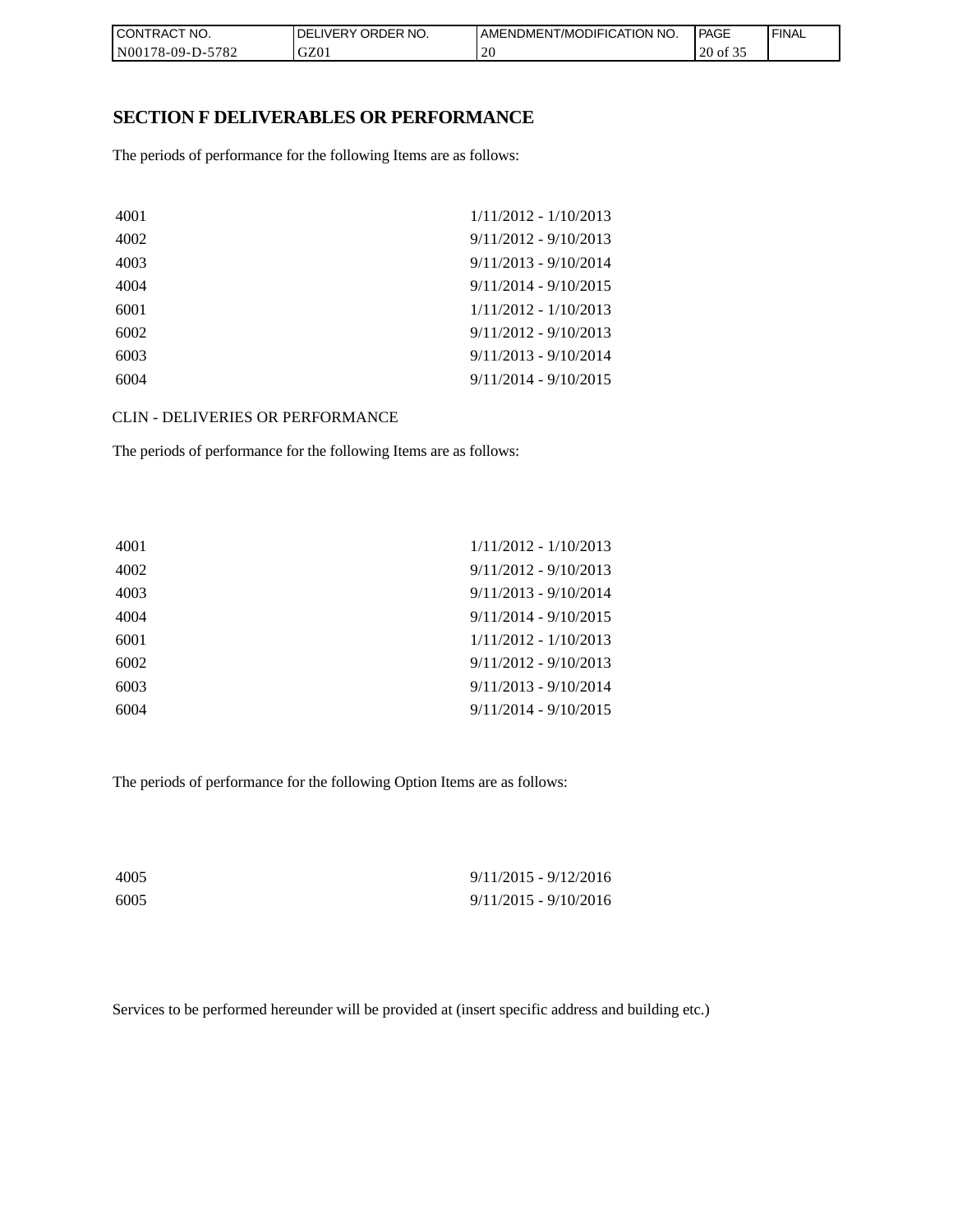| CON <sub>1</sub><br>TRACT NO. | NO.<br>' ORDER<br><b>DELIVERY</b> | <b>I AMENDMENT/MODIFICATION NO.</b> | <b>PAGE</b> | ' FINAL |
|-------------------------------|-----------------------------------|-------------------------------------|-------------|---------|
| N00178-09-D-5782              | GZ01                              | $\overline{f}$<br>∠                 | 20 of 35    |         |

### **SECTION F DELIVERABLES OR PERFORMANCE**

The periods of performance for the following Items are as follows:

| 4001 | $1/11/2012 - 1/10/2013$ |
|------|-------------------------|
| 4002 | $9/11/2012 - 9/10/2013$ |
| 4003 | $9/11/2013 - 9/10/2014$ |
| 4004 | $9/11/2014 - 9/10/2015$ |
| 6001 | $1/11/2012 - 1/10/2013$ |
| 6002 | $9/11/2012 - 9/10/2013$ |
| 6003 | $9/11/2013 - 9/10/2014$ |
| 6004 | $9/11/2014 - 9/10/2015$ |

CLIN - DELIVERIES OR PERFORMANCE

The periods of performance for the following Items are as follows:

| 4001 | $1/11/2012 - 1/10/2013$ |
|------|-------------------------|
| 4002 | $9/11/2012 - 9/10/2013$ |
| 4003 | $9/11/2013 - 9/10/2014$ |
| 4004 | $9/11/2014 - 9/10/2015$ |
| 6001 | 1/11/2012 - 1/10/2013   |
| 6002 | $9/11/2012 - 9/10/2013$ |
| 6003 | $9/11/2013 - 9/10/2014$ |
| 6004 | $9/11/2014 - 9/10/2015$ |
|      |                         |

The periods of performance for the following Option Items are as follows:

| 4005 | $9/11/2015 - 9/12/2016$ |
|------|-------------------------|
| 6005 | $9/11/2015 - 9/10/2016$ |

Services to be performed hereunder will be provided at (insert specific address and building etc.)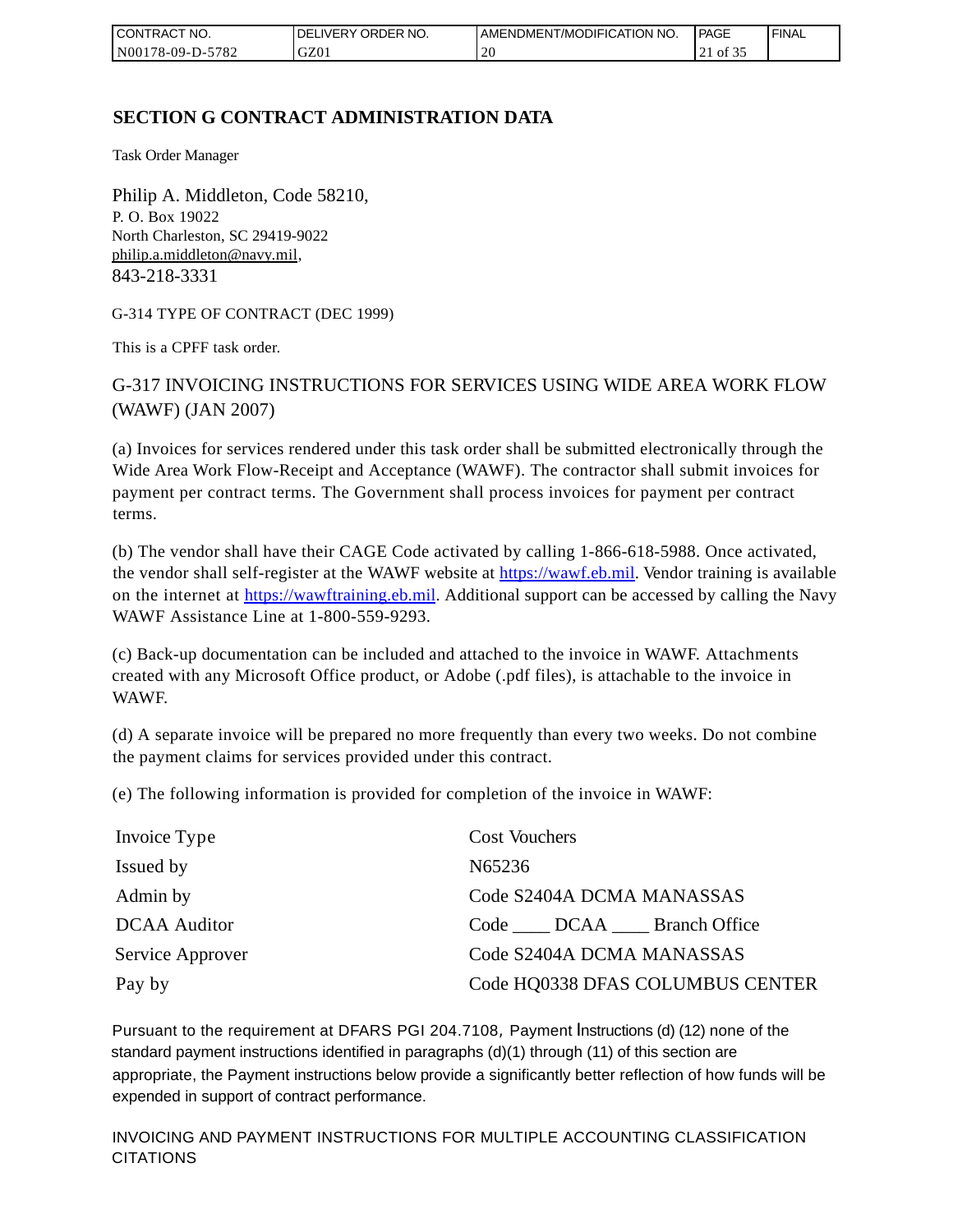| CONTRACT<br>`CT NO. | `NO.<br>DELIVERY ORDER | AMENDMENT/MODIFICATION NO. | <b>PAGE</b> | ' FINAL |
|---------------------|------------------------|----------------------------|-------------|---------|
| N00178-09-D-5782    | GZ01                   | 20                         | 1013.       |         |

# **SECTION G CONTRACT ADMINISTRATION DATA**

Task Order Manager

Philip A. Middleton, Code 58210, P. O. Box 19022 North Charleston, SC 29419-9022 [philip.a.middleton@navy.mil,](mailto:cphilip.a.middleton@navy.mil) 843-218-3331

G-314 TYPE OF CONTRACT (DEC 1999)

This is a CPFF task order.

G-317 INVOICING INSTRUCTIONS FOR SERVICES USING WIDE AREA WORK FLOW (WAWF) (JAN 2007)

(a) Invoices for services rendered under this task order shall be submitted electronically through the Wide Area Work Flow-Receipt and Acceptance (WAWF). The contractor shall submit invoices for payment per contract terms. The Government shall process invoices for payment per contract terms.

(b) The vendor shall have their CAGE Code activated by calling 1-866-618-5988. Once activated, the vendor shall self-register at the WAWF website at [https://wawf.eb.mil.](https://wawf.eb.mil/) Vendor training is available on the internet at [https://wawftraining.eb.mil.](https://wawftraining.eb.mil/) Additional support can be accessed by calling the Navy WAWF Assistance Line at 1-800-559-9293.

(c) Back-up documentation can be included and attached to the invoice in WAWF. Attachments created with any Microsoft Office product, or Adobe (.pdf files), is attachable to the invoice in WAWF.

(d) A separate invoice will be prepared no more frequently than every two weeks. Do not combine the payment claims for services provided under this contract.

(e) The following information is provided for completion of the invoice in WAWF:

| Invoice Type        | <b>Cost Vouchers</b>             |
|---------------------|----------------------------------|
| Issued by           | N65236                           |
| Admin by            | Code S2404A DCMA MANASSAS        |
| <b>DCAA</b> Auditor | Code DCAA Branch Office          |
| Service Approver    | Code S2404A DCMA MANASSAS        |
| Pay by              | Code HQ0338 DFAS COLUMBUS CENTER |

Pursuant to the requirement at DFARS PGI 204.7108, Payment Instructions (d) (12) none of the standard payment instructions identified in paragraphs (d)(1) through (11) of this section are appropriate, the Payment instructions below provide a significantly better reflection of how funds will be expended in support of contract performance.

INVOICING AND PAYMENT INSTRUCTIONS FOR MULTIPLE ACCOUNTING CLASSIFICATION CITATIONS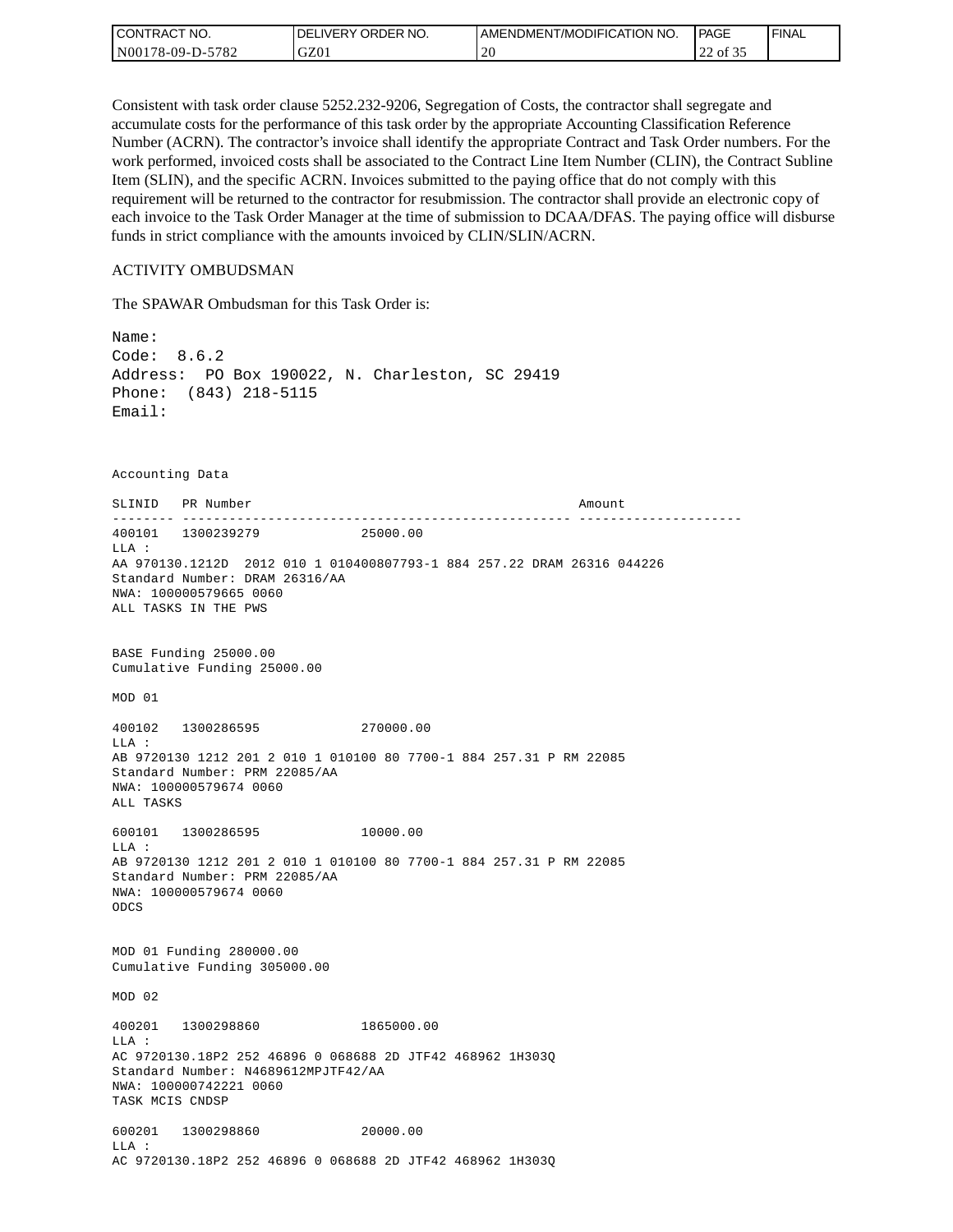| <b>CONTRACT NO.</b> | <b>IDELIVERY ORDER NO.</b> | AMENDMENT/MODIFICATION NO. | PAGE                  | ' FINAL |
|---------------------|----------------------------|----------------------------|-----------------------|---------|
| N00178-09-D-5782    | GZ01                       | 20                         | $\sim$<br>of 35<br>∠∠ |         |

Consistent with task order clause 5252.232-9206, Segregation of Costs, the contractor shall segregate and accumulate costs for the performance of this task order by the appropriate Accounting Classification Reference Number (ACRN). The contractor's invoice shall identify the appropriate Contract and Task Order numbers. For the work performed, invoiced costs shall be associated to the Contract Line Item Number (CLIN), the Contract Subline Item (SLIN), and the specific ACRN. Invoices submitted to the paying office that do not comply with this requirement will be returned to the contractor for resubmission. The contractor shall provide an electronic copy of each invoice to the Task Order Manager at the time of submission to DCAA/DFAS. The paying office will disburse funds in strict compliance with the amounts invoiced by CLIN/SLIN/ACRN.

#### ACTIVITY OMBUDSMAN

The SPAWAR Ombudsman for this Task Order is:

Name: Code: 8.6.2 Address: PO Box 190022, N. Charleston, SC 29419 Phone: (843) 218-5115 Email: Accounting Data SLINID PR Number **Amount** -------- -------------------------------------------------- --------------------- 400101 1300239279 25000.00 LLA : AA 970130.1212D 2012 010 1 010400807793-1 884 257.22 DRAM 26316 044226 Standard Number: DRAM 26316/AA NWA: 100000579665 0060 ALL TASKS IN THE PWS BASE Funding 25000.00 Cumulative Funding 25000.00 MOD 01 400102 1300286595 270000.00 LLA : AB 9720130 1212 201 2 010 1 010100 80 7700-1 884 257.31 P RM 22085 Standard Number: PRM 22085/AA NWA: 100000579674 0060 ALL TASKS 600101 1300286595 10000.00 LLA : AB 9720130 1212 201 2 010 1 010100 80 7700-1 884 257.31 P RM 22085 Standard Number: PRM 22085/AA NWA: 100000579674 0060 ODCS MOD 01 Funding 280000.00 Cumulative Funding 305000.00 MOD 02 400201 1300298860 1865000.00  $T.T.A$  : AC 9720130.18P2 252 46896 0 068688 2D JTF42 468962 1H303Q Standard Number: N4689612MPJTF42/AA NWA: 100000742221 0060 TASK MCIS CNDSP 600201 1300298860 20000.00 LLA : AC 9720130.18P2 252 46896 0 068688 2D JTF42 468962 1H303Q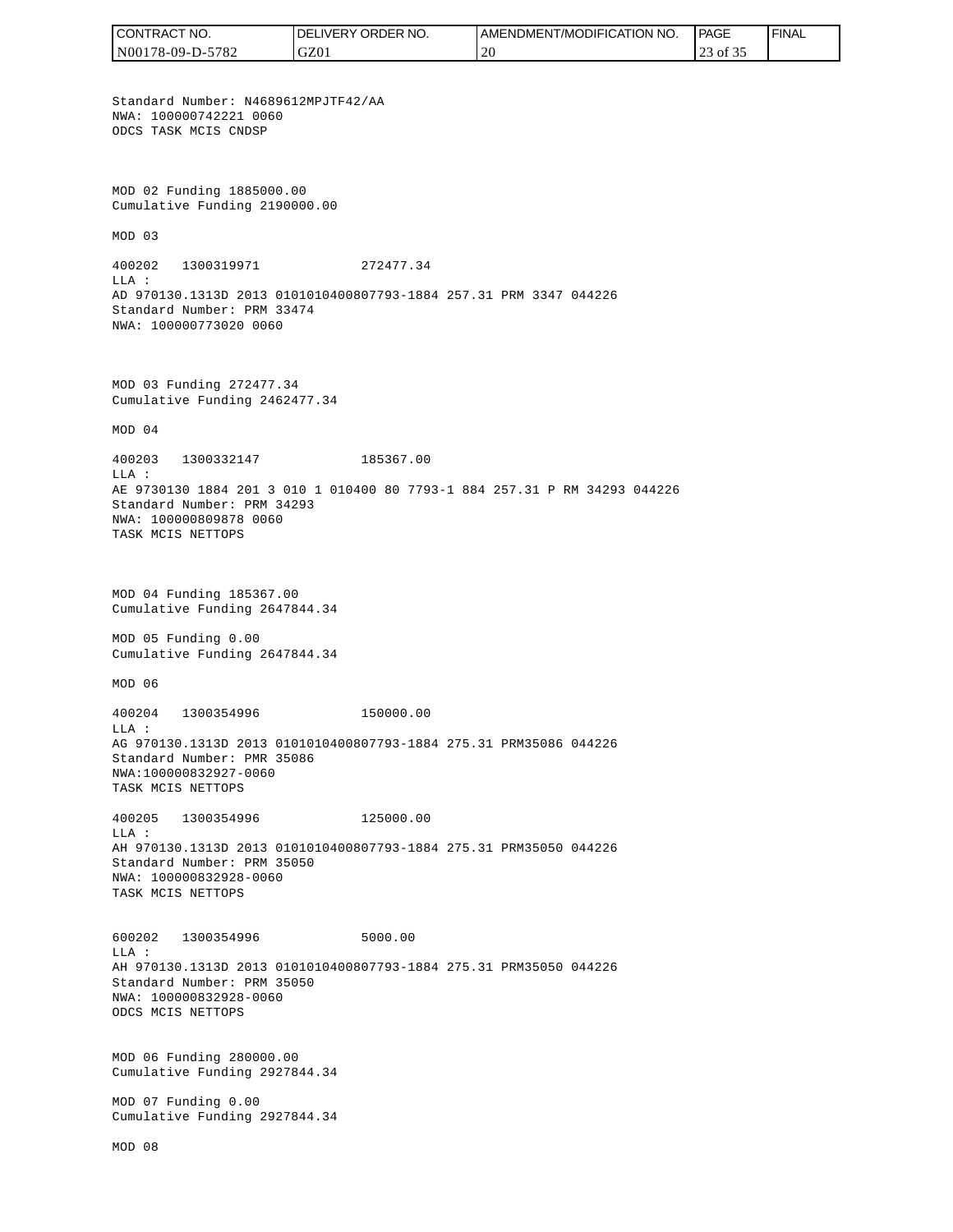CONTRACT NO. DELIVERY ORDER NO. AMENDMENT/MODIFICATION NO. **PAGE**  FINALCONTRACT NO.<br>NO0178-09-D-5<br>Standard Numb<br>NMA: 10000074<br>ODCS TASK MCI<br>ODCS TASK MCI<br>NMA: 10000074<br>ODCS TASK MCI<br>Cumulative Fu<br>MOD 03<br>400202 1300<br>LLA:<br>AD 970130.131<br>Standard Numb<br>NMA: 10000080<br>TASK MCIS NET<br>NMA: 1000080<br>TASK N00178-09-D-5782 GZ01 20 23 of 35 Standard Number: N4689612MPJTF42/AA NWA: 100000742221 0060 ODCS TASK MCIS CNDSP MOD 02 Funding 1885000.00 Cumulative Funding 2190000.00 MOD 03 400202 1300319971 272477.34  $T.T.A$  : AD 970130.1313D 2013 0101010400807793-1884 257.31 PRM 3347 044226 Standard Number: PRM 33474 NWA: 100000773020 0060 MOD 03 Funding 272477.34 Cumulative Funding 2462477.34 MOD 04 400203 1300332147 185367.00 LLA : AE 9730130 1884 201 3 010 1 010400 80 7793-1 884 257.31 P RM 34293 044226 Standard Number: PRM 34293 NWA: 100000809878 0060 TASK MCIS NETTOPS MOD 04 Funding 185367.00 Cumulative Funding 2647844.34 MOD 05 Funding 0.00 Cumulative Funding 2647844.34 MOD 06 400204 1300354996 150000.00  $T.T.A$  : AG 970130.1313D 2013 0101010400807793-1884 275.31 PRM35086 044226 Standard Number: PMR 35086 NWA:100000832927-0060 TASK MCIS NETTOPS 400205 1300354996 125000.00 LLA : AH 970130.1313D 2013 0101010400807793-1884 275.31 PRM35050 044226 Standard Number: PRM 35050 NWA: 100000832928-0060 TASK MCIS NETTOPS 600202 1300354996 5000.00 LLA : AH 970130.1313D 2013 0101010400807793-1884 275.31 PRM35050 044226 Standard Number: PRM 35050 NWA: 100000832928-0060 ODCS MCIS NETTOPS MOD 06 Funding 280000.00 Cumulative Funding 2927844.34 MOD 07 Funding 0.00 Cumulative Funding 2927844.34 MOD 08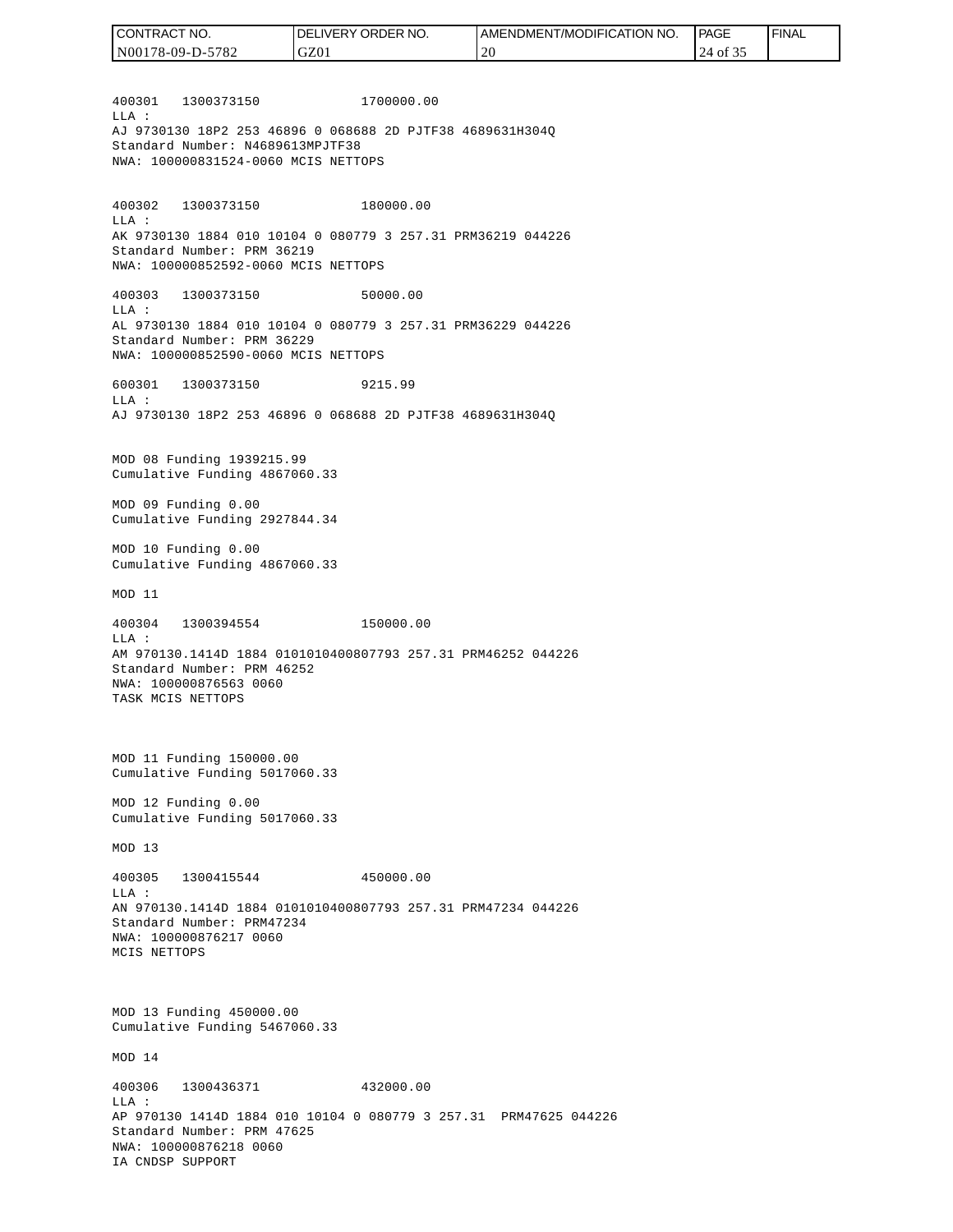400301 1300373150 1700000.00  $T.T.A$  : AJ 9730130 18P2 253 46896 0 068688 2D PJTF38 4689631H304Q Standard Number: N4689613MPJTF38 NWA: 100000831524-0060 MCIS NETTOPS 400302 1300373150 180000.00 LLA : AK 9730130 1884 010 10104 0 080779 3 257.31 PRM36219 044226 Standard Number: PRM 36219 NWA: 100000852592-0060 MCIS NETTOPS 400303 1300373150 50000.00 LLA : AL 9730130 1884 010 10104 0 080779 3 257.31 PRM36229 044226 Standard Number: PRM 36229 NWA: 100000852590-0060 MCIS NETTOPS 600301 1300373150 9215.99  $T.T.A$  : AJ 9730130 18P2 253 46896 0 068688 2D PJTF38 4689631H304Q MOD 08 Funding 1939215.99 Cumulative Funding 4867060.33 MOD 09 Funding 0.00 Cumulative Funding 2927844.34 MOD 10 Funding 0.00 Cumulative Funding 4867060.33 MOD 11 400304 1300394554 150000.00 LLA : AM 970130.1414D 1884 0101010400807793 257.31 PRM46252 044226 Standard Number: PRM 46252 NWA: 100000876563 0060 TASK MCIS NETTOPS MOD 11 Funding 150000.00 Cumulative Funding 5017060.33 MOD 12 Funding 0.00 Cumulative Funding 5017060.33 MOD 13 400305 1300415544 450000.00  $T.T.A$  : AN 970130.1414D 1884 0101010400807793 257.31 PRM47234 044226 Standard Number: PRM47234 NWA: 100000876217 0060 MCIS NETTOPS MOD 13 Funding 450000.00 Cumulative Funding 5467060.33 MOD 14 400306 1300436371 432000.00  $L.L.A$  : AP 970130 1414D 1884 010 10104 0 080779 3 257.31 PRM47625 044226 Standard Number: PRM 47625 NWA: 100000876218 0060 IA CNDSP SUPPORT CONTRACT NO. N00178-09-D-5782 DELIVERY ORDER NO. GZ01 AMENDMENT/MODIFICATION NO. 20 **PAGE**  24 of 35 FINAL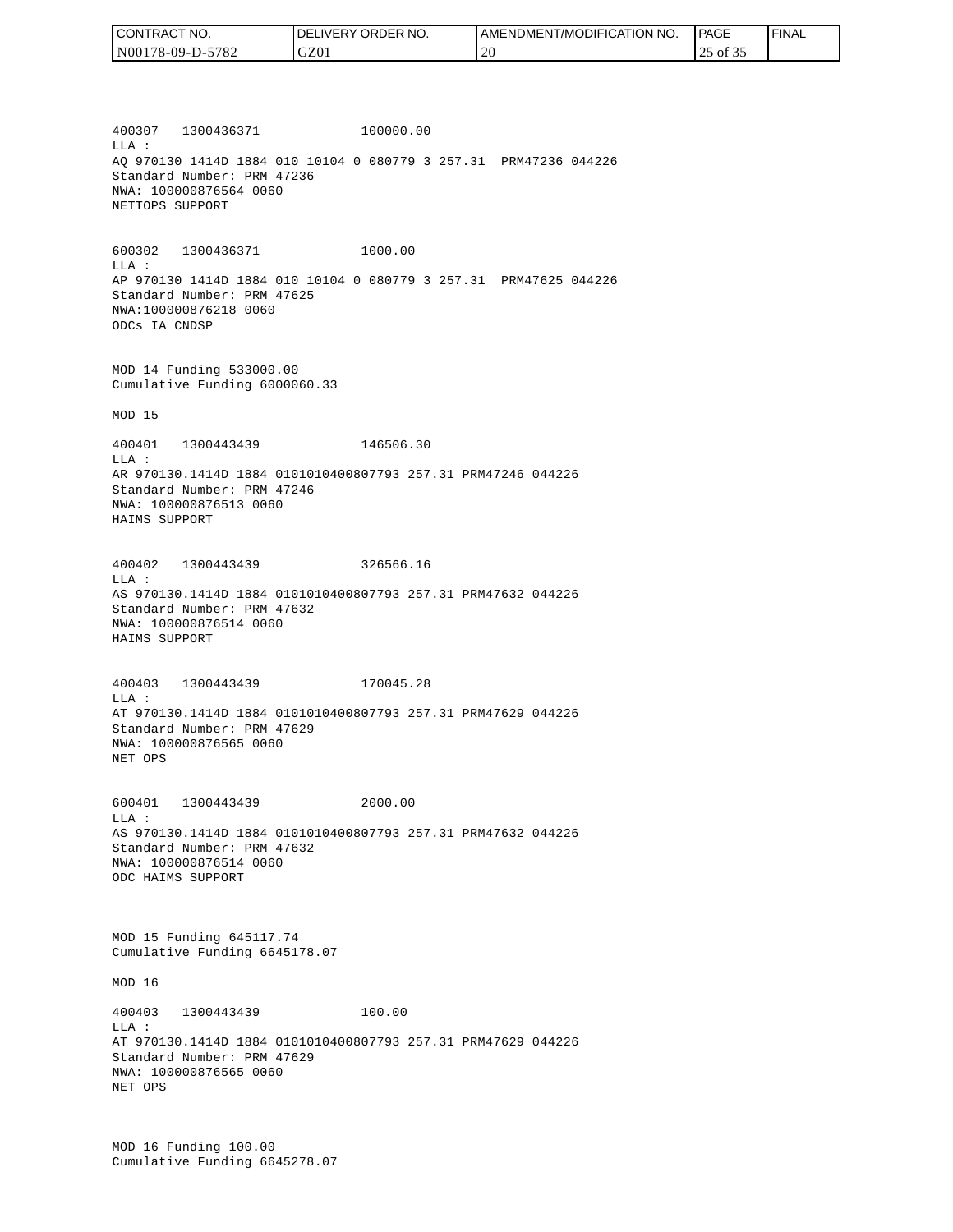| CONTRACT NO.     | <b>IDELIVERY ORDER NO.</b> | I AMENDMENT/MODIFICATION NO. | PAGE        | ' FINAL |
|------------------|----------------------------|------------------------------|-------------|---------|
| N00178-09-D-5782 | GZ01                       | -20                          | of 35<br>ر_ |         |

400307 1300436371 100000.00 LLA : AQ 970130 1414D 1884 010 10104 0 080779 3 257.31 PRM47236 044226 Standard Number: PRM 47236 NWA: 100000876564 0060 NETTOPS SUPPORT

600302 1300436371 1000.00 LLA : AP 970130 1414D 1884 010 10104 0 080779 3 257.31 PRM47625 044226 Standard Number: PRM 47625 NWA:100000876218 0060 ODCs IA CNDSP

MOD 14 Funding 533000.00 Cumulative Funding 6000060.33

MOD 15

400401 1300443439 146506.30 LLA : AR 970130.1414D 1884 0101010400807793 257.31 PRM47246 044226 Standard Number: PRM 47246 NWA: 100000876513 0060 HAIMS SUPPORT

400402 1300443439 326566.16 LLA : AS 970130.1414D 1884 0101010400807793 257.31 PRM47632 044226 Standard Number: PRM 47632 NWA: 100000876514 0060 HAIMS SUPPORT

400403 1300443439 170045.28 LLA : AT 970130.1414D 1884 0101010400807793 257.31 PRM47629 044226 Standard Number: PRM 47629 NWA: 100000876565 0060 NET OPS

600401 1300443439 2000.00  $L.L.A$  : AS 970130.1414D 1884 0101010400807793 257.31 PRM47632 044226 Standard Number: PRM 47632 NWA: 100000876514 0060 ODC HAIMS SUPPORT

MOD 15 Funding 645117.74 Cumulative Funding 6645178.07

MOD 16

400403 1300443439 100.00 LLA : AT 970130.1414D 1884 0101010400807793 257.31 PRM47629 044226 Standard Number: PRM 47629 NWA: 100000876565 0060 NET OPS

MOD 16 Funding 100.00 Cumulative Funding 6645278.07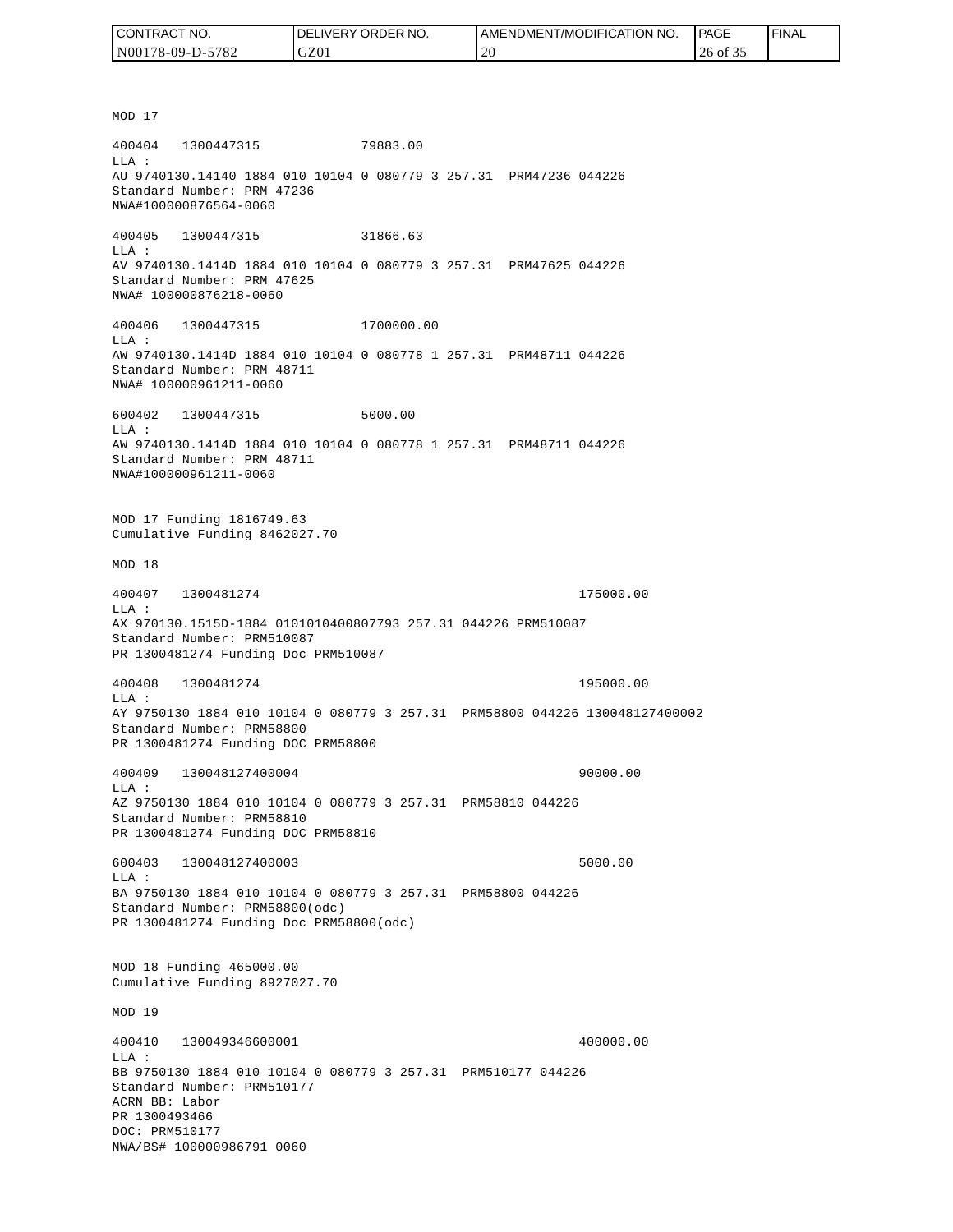| CONTRACT NO.                   | NO.<br>' ORDER<br><b>DELIVERY</b> | 'NO.<br>AMENDMENT/MODIFICATION | <b>PAGE</b> | 'FINAL |
|--------------------------------|-----------------------------------|--------------------------------|-------------|--------|
| 5793<br>$N00178-09-D-5$<br>102 | GZ01                              |                                | 26 of 35    |        |

MOD 17 400404 1300447315 79883.00 LLA : AU 9740130.14140 1884 010 10104 0 080779 3 257.31 PRM47236 044226 Standard Number: PRM 47236 NWA#100000876564-0060 400405 1300447315 31866.63 LLA : AV 9740130.1414D 1884 010 10104 0 080779 3 257.31 PRM47625 044226 Standard Number: PRM 47625 NWA# 100000876218-0060 400406 1300447315 1700000.00 LLA : AW 9740130.1414D 1884 010 10104 0 080778 1 257.31 PRM48711 044226 Standard Number: PRM 48711 NWA# 100000961211-0060 600402 1300447315 5000.00 LLA : AW 9740130.1414D 1884 010 10104 0 080778 1 257.31 PRM48711 044226 Standard Number: PRM 48711 NWA#100000961211-0060 MOD 17 Funding 1816749.63 Cumulative Funding 8462027.70 MOD 18 400407 1300481274 175000.00 LLA : AX 970130.1515D-1884 0101010400807793 257.31 044226 PRM510087 Standard Number: PRM510087 PR 1300481274 Funding Doc PRM510087 400408 1300481274 195000.00 LLA : AY 9750130 1884 010 10104 0 080779 3 257.31 PRM58800 044226 130048127400002 Standard Number: PRM58800 PR 1300481274 Funding DOC PRM58800 400409 130048127400004 90000.00 LLA : AZ 9750130 1884 010 10104 0 080779 3 257.31 PRM58810 044226 Standard Number: PRM58810 PR 1300481274 Funding DOC PRM58810 600403 130048127400003 5000.00  $L.L.A$  : BA 9750130 1884 010 10104 0 080779 3 257.31 PRM58800 044226 Standard Number: PRM58800(odc) PR 1300481274 Funding Doc PRM58800(odc) MOD 18 Funding 465000.00 Cumulative Funding 8927027.70 MOD 19 400410 130049346600001 400000.00 LLA : BB 9750130 1884 010 10104 0 080779 3 257.31 PRM510177 044226 Standard Number: PRM510177 ACRN BB: Labor PR 1300493466 DOC: PRM510177<br>NWA/BS# 100000986791 0060 (CONTRACT NO. 1986)<br>
NO0178-09-D-5782<br>
NO0178-09-D-5782<br>
MDB10<br>
NOD 17<br>
400404 1300447315<br>
NAJ 9740130.14140 1884 010<br>
Standard Number: PRM 47236<br>
NWA#100000876564-0060<br>
10405 1300447315<br>
Standard Number: PRM 47625<br>
NAJ 97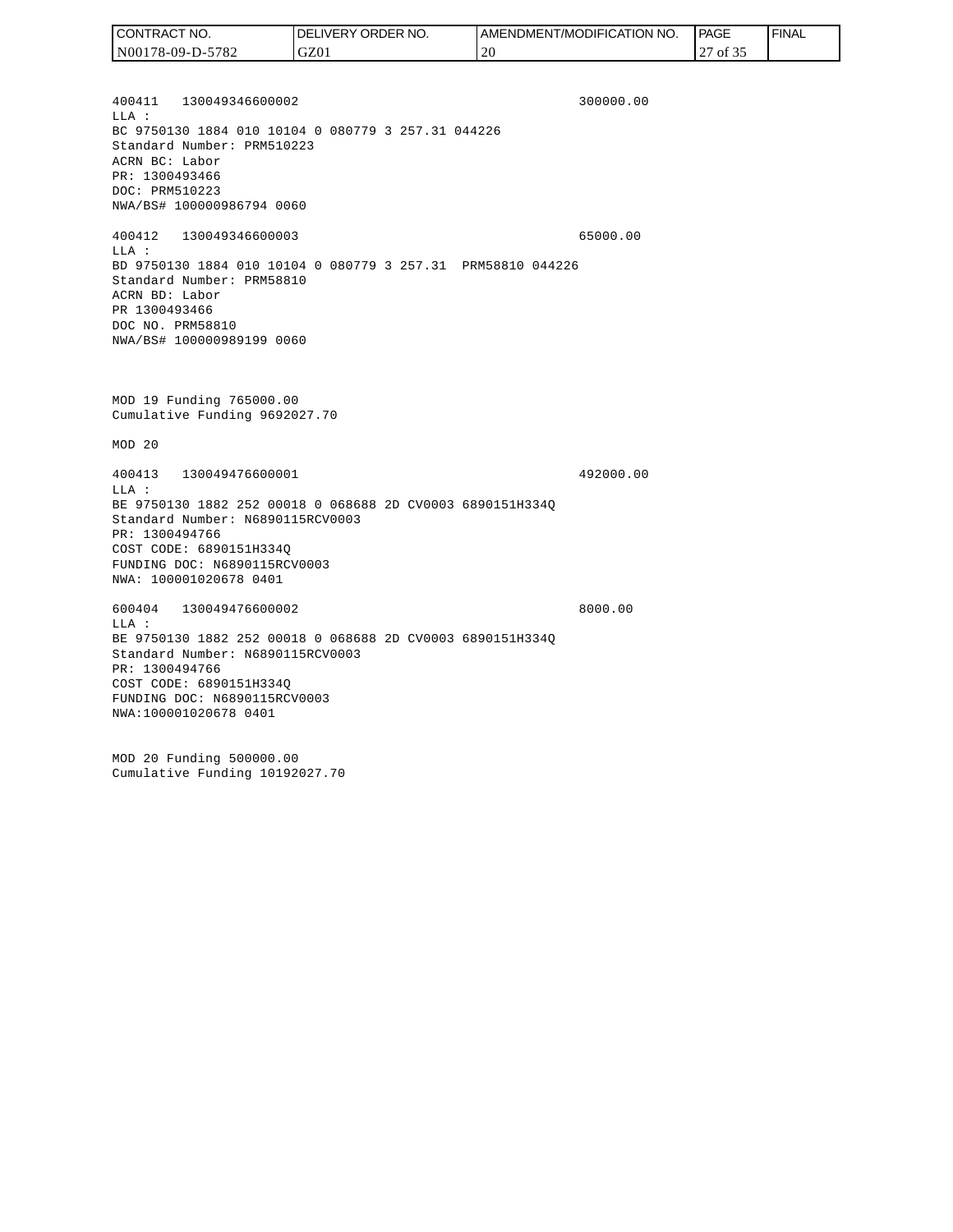400411 130049346600002 300000.00 LLA : BC 9750130 1884 010 10104 0 080779 3 257.31 044226 Standard Number: PRM510223 ACRN BC: Labor PR: 1300493466 DOC: PRM510223 NWA/BS# 100000986794 0060 400412 130049346600003 65000.00 LLA : BD 9750130 1884 010 10104 0 080779 3 257.31 PRM58810 044226 Standard Number: PRM58810 ACRN BD: Labor PR 1300493466 DOC NO. PRM58810 NWA/BS# 100000989199 0060 MOD 19 Funding 765000.00 Cumulative Funding 9692027.70 MOD 20 400413 130049476600001 492000.00 LLA : BE 9750130 1882 252 00018 0 068688 2D CV0003 6890151H334Q Standard Number: N6890115RCV0003 PR: 1300494766 COST CODE: 6890151H334Q FUNDING DOC: N6890115RCV0003 NWA: 100001020678 0401 600404 130049476600002 8000.00 LLA : BE 9750130 1882 252 00018 0 068688 2D CV0003 6890151H334Q Standard Number: N6890115RCV0003 PR: 1300494766 COST CODE: 6890151H334Q FUNDING DOC: N6890115RCV0003 NWA:100001020678 0401 MOD 20 Funding 500000.00 Cumulative Funding 10192027.70 CONTRACT NO. N00178-09-D-5782 DELIVERY ORDER NO. GZ01 AMENDMENT/MODIFICATION NO. 20 **PAGE**  27 of 35 **FINAL**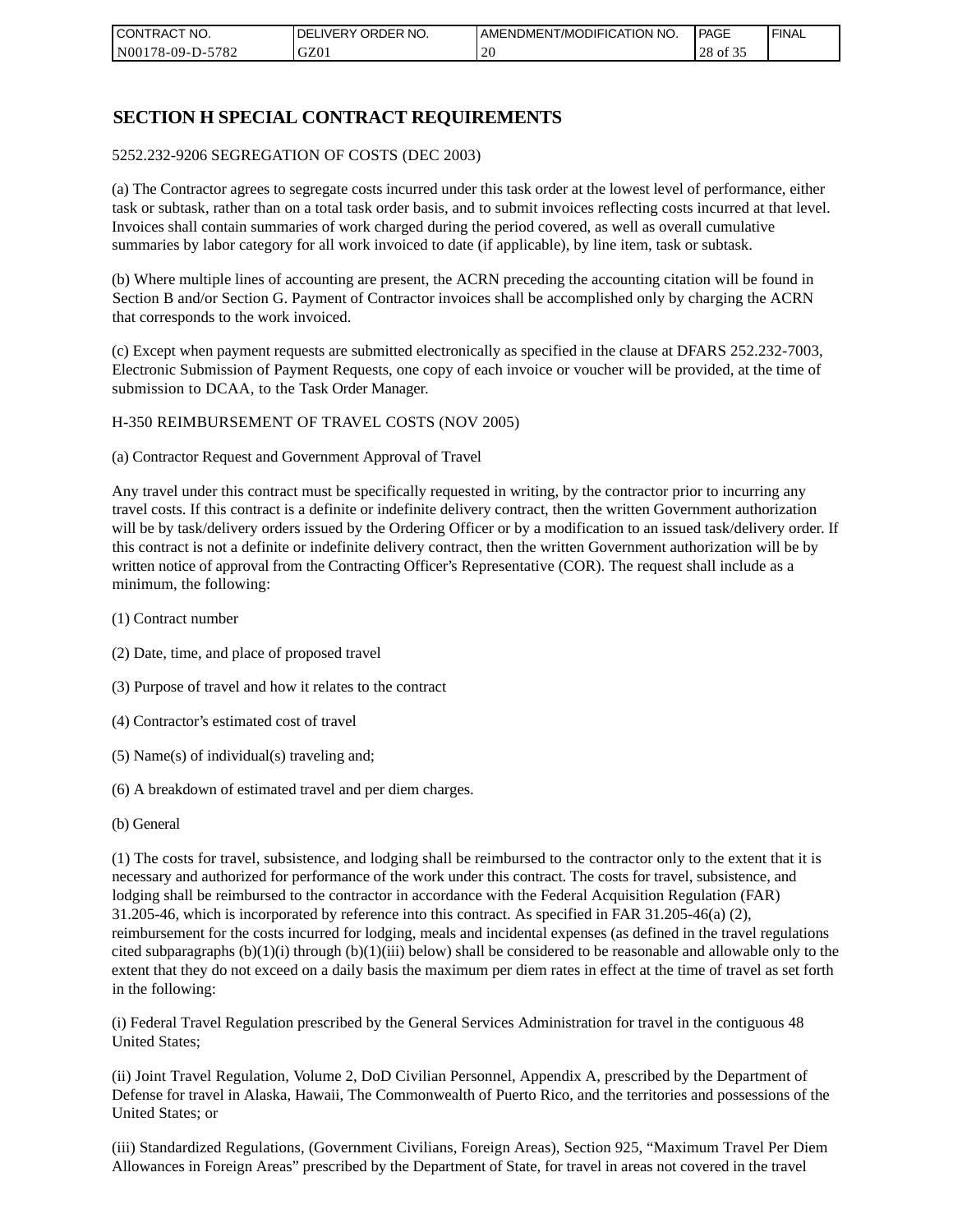| I CONTRACT NO.   | NO.<br>DELIVERY ORDER | AMENDMENT/MODIFICATION NO. | PAGE            | ' FINAL |
|------------------|-----------------------|----------------------------|-----------------|---------|
| N00178-09-D-5782 | GZ01                  | 20                         | 28<br>0Ť<br>. ٻ |         |

# **SECTION H SPECIAL CONTRACT REQUIREMENTS**

#### 5252.232-9206 SEGREGATION OF COSTS (DEC 2003)

(a) The Contractor agrees to segregate costs incurred under this task order at the lowest level of performance, either task or subtask, rather than on a total task order basis, and to submit invoices reflecting costs incurred at that level. Invoices shall contain summaries of work charged during the period covered, as well as overall cumulative summaries by labor category for all work invoiced to date (if applicable), by line item, task or subtask.

(b) Where multiple lines of accounting are present, the ACRN preceding the accounting citation will be found in Section B and/or Section G. Payment of Contractor invoices shall be accomplished only by charging the ACRN that corresponds to the work invoiced.

(c) Except when payment requests are submitted electronically as specified in the clause at DFARS 252.232-7003, Electronic Submission of Payment Requests, one copy of each invoice or voucher will be provided, at the time of submission to DCAA, to the Task Order Manager.

#### H-350 REIMBURSEMENT OF TRAVEL COSTS (NOV 2005)

(a) Contractor Request and Government Approval of Travel

Any travel under this contract must be specifically requested in writing, by the contractor prior to incurring any travel costs. If this contract is a definite or indefinite delivery contract, then the written Government authorization will be by task/delivery orders issued by the Ordering Officer or by a modification to an issued task/delivery order. If this contract is not a definite or indefinite delivery contract, then the written Government authorization will be by written notice of approval from the Contracting Officer's Representative (COR). The request shall include as a minimum, the following:

- (1) Contract number
- (2) Date, time, and place of proposed travel
- (3) Purpose of travel and how it relates to the contract
- (4) Contractor's estimated cost of travel
- (5) Name(s) of individual(s) traveling and;
- (6) A breakdown of estimated travel and per diem charges.
- (b) General

(1) The costs for travel, subsistence, and lodging shall be reimbursed to the contractor only to the extent that it is necessary and authorized for performance of the work under this contract. The costs for travel, subsistence, and lodging shall be reimbursed to the contractor in accordance with the Federal Acquisition Regulation (FAR) 31.205-46, which is incorporated by reference into this contract. As specified in FAR 31.205-46(a) (2), reimbursement for the costs incurred for lodging, meals and incidental expenses (as defined in the travel regulations cited subparagraphs  $(b)(1)(i)$  through  $(b)(1)(iii)$  below) shall be considered to be reasonable and allowable only to the extent that they do not exceed on a daily basis the maximum per diem rates in effect at the time of travel as set forth in the following:

(i) Federal Travel Regulation prescribed by the General Services Administration for travel in the contiguous 48 United States;

(ii) Joint Travel Regulation, Volume 2, DoD Civilian Personnel, Appendix A, prescribed by the Department of Defense for travel in Alaska, Hawaii, The Commonwealth of Puerto Rico, and the territories and possessions of the United States; or

(iii) Standardized Regulations, (Government Civilians, Foreign Areas), Section 925, "Maximum Travel Per Diem Allowances in Foreign Areas" prescribed by the Department of State, for travel in areas not covered in the travel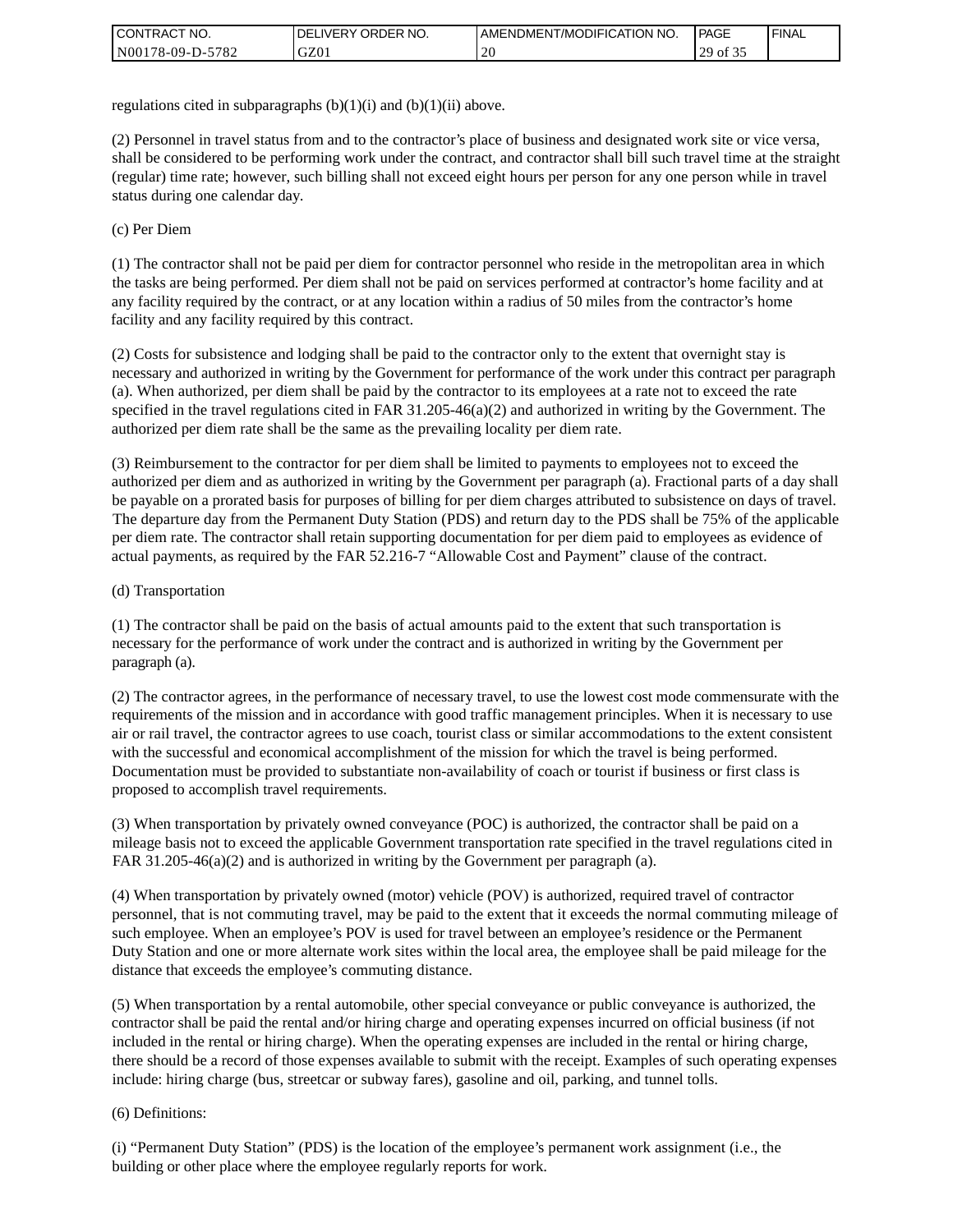| <b>I CONTRACT NO.</b> | ' ORDER NO.<br><b>DELIVERY</b> | I AMENDMENT/MODIFICATION NO. | <b>PAGE</b>   | <b>I FINAL</b> |
|-----------------------|--------------------------------|------------------------------|---------------|----------------|
| N00178-09-D-5782      | GZ0 <sub>1</sub>               | $\Delta$<br>ZU               | ንባ<br>' of 35 |                |

regulations cited in subparagraphs  $(b)(1)(i)$  and  $(b)(1)(ii)$  above.

(2) Personnel in travel status from and to the contractor's place of business and designated work site or vice versa, shall be considered to be performing work under the contract, and contractor shall bill such travel time at the straight (regular) time rate; however, such billing shall not exceed eight hours per person for any one person while in travel status during one calendar day.

(c) Per Diem

(1) The contractor shall not be paid per diem for contractor personnel who reside in the metropolitan area in which the tasks are being performed. Per diem shall not be paid on services performed at contractor's home facility and at any facility required by the contract, or at any location within a radius of 50 miles from the contractor's home facility and any facility required by this contract.

(2) Costs for subsistence and lodging shall be paid to the contractor only to the extent that overnight stay is necessary and authorized in writing by the Government for performance of the work under this contract per paragraph (a). When authorized, per diem shall be paid by the contractor to its employees at a rate not to exceed the rate specified in the travel regulations cited in FAR 31.205-46(a)(2) and authorized in writing by the Government. The authorized per diem rate shall be the same as the prevailing locality per diem rate.

(3) Reimbursement to the contractor for per diem shall be limited to payments to employees not to exceed the authorized per diem and as authorized in writing by the Government per paragraph (a). Fractional parts of a day shall be payable on a prorated basis for purposes of billing for per diem charges attributed to subsistence on days of travel. The departure day from the Permanent Duty Station (PDS) and return day to the PDS shall be 75% of the applicable per diem rate. The contractor shall retain supporting documentation for per diem paid to employees as evidence of actual payments, as required by the FAR 52.216-7 "Allowable Cost and Payment" clause of the contract.

#### (d) Transportation

(1) The contractor shall be paid on the basis of actual amounts paid to the extent that such transportation is necessary for the performance of work under the contract and is authorized in writing by the Government per paragraph (a).

(2) The contractor agrees, in the performance of necessary travel, to use the lowest cost mode commensurate with the requirements of the mission and in accordance with good traffic management principles. When it is necessary to use air or rail travel, the contractor agrees to use coach, tourist class or similar accommodations to the extent consistent with the successful and economical accomplishment of the mission for which the travel is being performed. Documentation must be provided to substantiate non-availability of coach or tourist if business or first class is proposed to accomplish travel requirements.

(3) When transportation by privately owned conveyance (POC) is authorized, the contractor shall be paid on a mileage basis not to exceed the applicable Government transportation rate specified in the travel regulations cited in FAR 31.205-46(a)(2) and is authorized in writing by the Government per paragraph (a).

(4) When transportation by privately owned (motor) vehicle (POV) is authorized, required travel of contractor personnel, that is not commuting travel, may be paid to the extent that it exceeds the normal commuting mileage of such employee. When an employee's POV is used for travel between an employee's residence or the Permanent Duty Station and one or more alternate work sites within the local area, the employee shall be paid mileage for the distance that exceeds the employee's commuting distance.

(5) When transportation by a rental automobile, other special conveyance or public conveyance is authorized, the contractor shall be paid the rental and/or hiring charge and operating expenses incurred on official business (if not included in the rental or hiring charge). When the operating expenses are included in the rental or hiring charge, there should be a record of those expenses available to submit with the receipt. Examples of such operating expenses include: hiring charge (bus, streetcar or subway fares), gasoline and oil, parking, and tunnel tolls.

#### (6) Definitions:

(i) "Permanent Duty Station" (PDS) is the location of the employee's permanent work assignment (i.e., the building or other place where the employee regularly reports for work.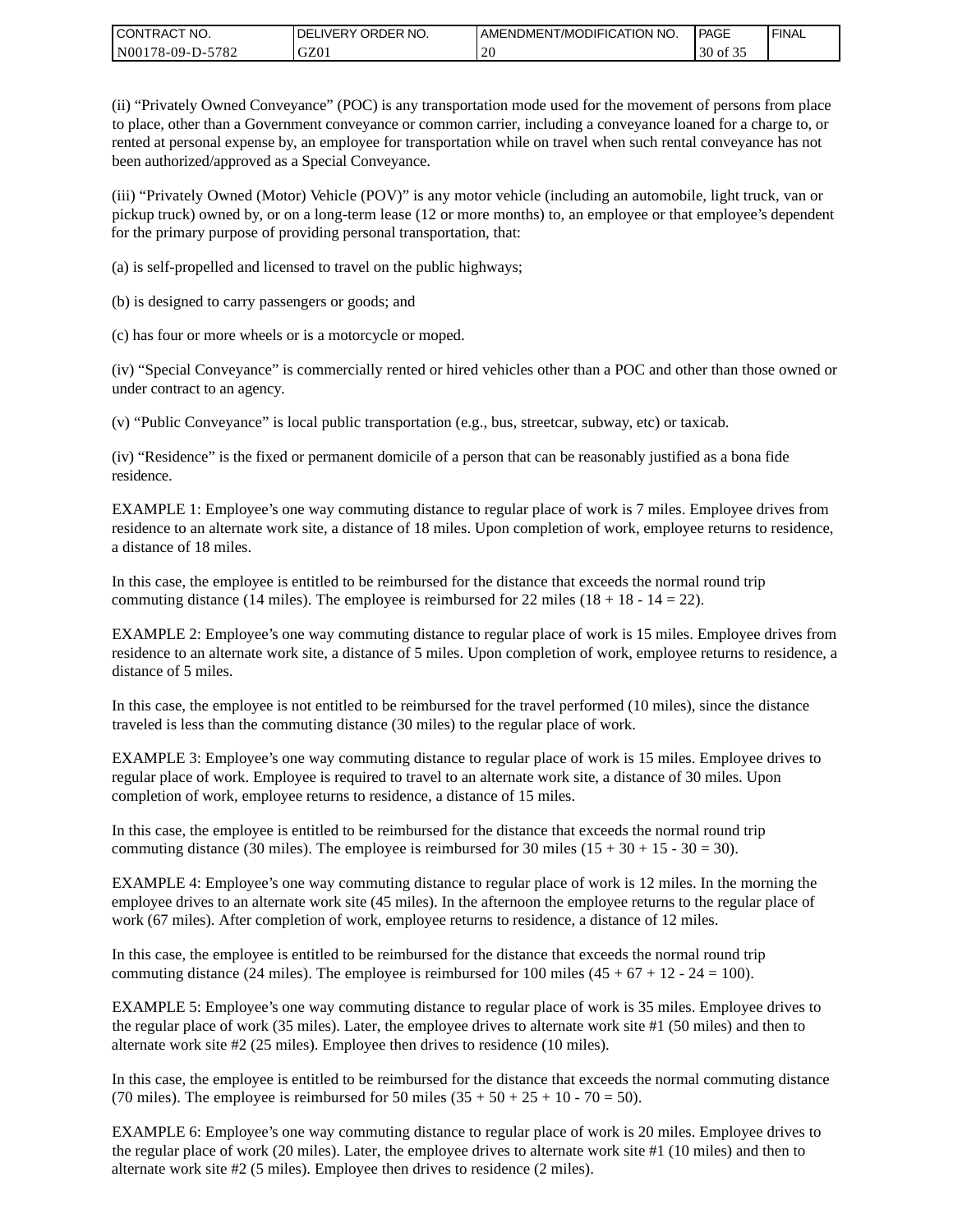| CONTRACT<br>CT NO.                                    | ORDER<br>NO.<br><b>DELIVERY</b> | I AMENDMENT/MODIFICATION NO. | PAGE     | <b>I FINAL</b> |
|-------------------------------------------------------|---------------------------------|------------------------------|----------|----------------|
| $-5782$<br>N <sub>001</sub><br>*78-09-D- <sub>~</sub> | GZ0 <sub>1</sub>                | $\gamma$<br>ZU               | 30 of 35 |                |

(ii) "Privately Owned Conveyance" (POC) is any transportation mode used for the movement of persons from place to place, other than a Government conveyance or common carrier, including a conveyance loaned for a charge to, or rented at personal expense by, an employee for transportation while on travel when such rental conveyance has not been authorized/approved as a Special Conveyance.

(iii) "Privately Owned (Motor) Vehicle (POV)" is any motor vehicle (including an automobile, light truck, van or pickup truck) owned by, or on a long-term lease (12 or more months) to, an employee or that employee's dependent for the primary purpose of providing personal transportation, that:

(a) is self-propelled and licensed to travel on the public highways;

(b) is designed to carry passengers or goods; and

(c) has four or more wheels or is a motorcycle or moped.

(iv) "Special Conveyance" is commercially rented or hired vehicles other than a POC and other than those owned or under contract to an agency.

(v) "Public Conveyance" is local public transportation (e.g., bus, streetcar, subway, etc) or taxicab.

(iv) "Residence" is the fixed or permanent domicile of a person that can be reasonably justified as a bona fide residence.

EXAMPLE 1: Employee's one way commuting distance to regular place of work is 7 miles. Employee drives from residence to an alternate work site, a distance of 18 miles. Upon completion of work, employee returns to residence, a distance of 18 miles.

In this case, the employee is entitled to be reimbursed for the distance that exceeds the normal round trip commuting distance (14 miles). The employee is reimbursed for 22 miles (18 + 18 - 14 = 22).

EXAMPLE 2: Employee's one way commuting distance to regular place of work is 15 miles. Employee drives from residence to an alternate work site, a distance of 5 miles. Upon completion of work, employee returns to residence, a distance of 5 miles.

In this case, the employee is not entitled to be reimbursed for the travel performed (10 miles), since the distance traveled is less than the commuting distance (30 miles) to the regular place of work.

EXAMPLE 3: Employee's one way commuting distance to regular place of work is 15 miles. Employee drives to regular place of work. Employee is required to travel to an alternate work site, a distance of 30 miles. Upon completion of work, employee returns to residence, a distance of 15 miles.

In this case, the employee is entitled to be reimbursed for the distance that exceeds the normal round trip commuting distance (30 miles). The employee is reimbursed for 30 miles  $(15 + 30 + 15 - 30 = 30)$ .

EXAMPLE 4: Employee's one way commuting distance to regular place of work is 12 miles. In the morning the employee drives to an alternate work site (45 miles). In the afternoon the employee returns to the regular place of work (67 miles). After completion of work, employee returns to residence, a distance of 12 miles.

In this case, the employee is entitled to be reimbursed for the distance that exceeds the normal round trip commuting distance (24 miles). The employee is reimbursed for 100 miles  $(45 + 67 + 12 - 24 = 100)$ .

EXAMPLE 5: Employee's one way commuting distance to regular place of work is 35 miles. Employee drives to the regular place of work (35 miles). Later, the employee drives to alternate work site #1 (50 miles) and then to alternate work site #2 (25 miles). Employee then drives to residence (10 miles).

In this case, the employee is entitled to be reimbursed for the distance that exceeds the normal commuting distance (70 miles). The employee is reimbursed for 50 miles  $(35 + 50 + 25 + 10 - 70 = 50)$ .

EXAMPLE 6: Employee's one way commuting distance to regular place of work is 20 miles. Employee drives to the regular place of work (20 miles). Later, the employee drives to alternate work site #1 (10 miles) and then to alternate work site #2 (5 miles). Employee then drives to residence (2 miles).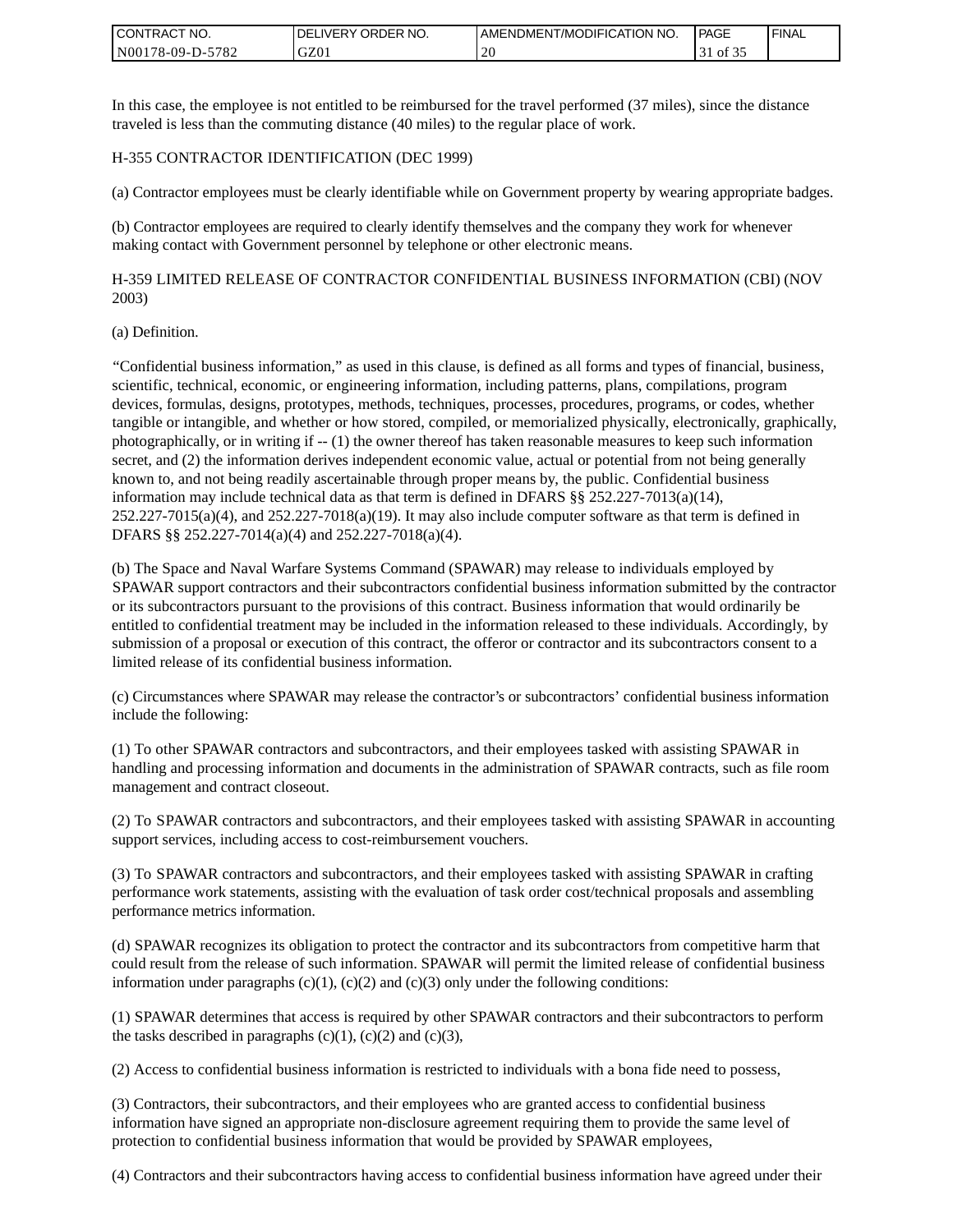| <b>I CONTRACT NO.</b>             | NO.<br>DELIVERY ORDER | AMENDMENT/MODIFICATION NO. | PAGE  | <b>I FINAL</b> |
|-----------------------------------|-----------------------|----------------------------|-------|----------------|
| 5782<br>N001<br>78-09-E<br>$D$ -f | GZ01                  | 20                         | of 35 |                |

In this case, the employee is not entitled to be reimbursed for the travel performed (37 miles), since the distance traveled is less than the commuting distance (40 miles) to the regular place of work.

#### H-355 CONTRACTOR IDENTIFICATION (DEC 1999)

(a) Contractor employees must be clearly identifiable while on Government property by wearing appropriate badges.

(b) Contractor employees are required to clearly identify themselves and the company they work for whenever making contact with Government personnel by telephone or other electronic means.

H-359 LIMITED RELEASE OF CONTRACTOR CONFIDENTIAL BUSINESS INFORMATION (CBI) (NOV 2003)

#### (a) Definition.

"Confidential business information," as used in this clause, is defined as all forms and types of financial, business, scientific, technical, economic, or engineering information, including patterns, plans, compilations, program devices, formulas, designs, prototypes, methods, techniques, processes, procedures, programs, or codes, whether tangible or intangible, and whether or how stored, compiled, or memorialized physically, electronically, graphically, photographically, or in writing if -- (1) the owner thereof has taken reasonable measures to keep such information secret, and (2) the information derives independent economic value, actual or potential from not being generally known to, and not being readily ascertainable through proper means by, the public. Confidential business information may include technical data as that term is defined in DFARS  $\S$ § 252.227-7013(a)(14),  $252.227-7015(a)(4)$ , and  $252.227-7018(a)(19)$ . It may also include computer software as that term is defined in DFARS §§ 252.227-7014(a)(4) and 252.227-7018(a)(4).

(b) The Space and Naval Warfare Systems Command (SPAWAR) may release to individuals employed by SPAWAR support contractors and their subcontractors confidential business information submitted by the contractor or its subcontractors pursuant to the provisions of this contract. Business information that would ordinarily be entitled to confidential treatment may be included in the information released to these individuals. Accordingly, by submission of a proposal or execution of this contract, the offeror or contractor and its subcontractors consent to a limited release of its confidential business information.

(c) Circumstances where SPAWAR may release the contractor's or subcontractors' confidential business information include the following:

(1) To other SPAWAR contractors and subcontractors, and their employees tasked with assisting SPAWAR in handling and processing information and documents in the administration of SPAWAR contracts, such as file room management and contract closeout.

(2) To SPAWAR contractors and subcontractors, and their employees tasked with assisting SPAWAR in accounting support services, including access to cost-reimbursement vouchers.

(3) To SPAWAR contractors and subcontractors, and their employees tasked with assisting SPAWAR in crafting performance work statements, assisting with the evaluation of task order cost/technical proposals and assembling performance metrics information.

(d) SPAWAR recognizes its obligation to protect the contractor and its subcontractors from competitive harm that could result from the release of such information. SPAWAR will permit the limited release of confidential business information under paragraphs  $(c)(1)$ ,  $(c)(2)$  and  $(c)(3)$  only under the following conditions:

(1) SPAWAR determines that access is required by other SPAWAR contractors and their subcontractors to perform the tasks described in paragraphs  $(c)(1)$ ,  $(c)(2)$  and  $(c)(3)$ ,

(2) Access to confidential business information is restricted to individuals with a bona fide need to possess,

(3) Contractors, their subcontractors, and their employees who are granted access to confidential business information have signed an appropriate non-disclosure agreement requiring them to provide the same level of protection to confidential business information that would be provided by SPAWAR employees,

(4) Contractors and their subcontractors having access to confidential business information have agreed under their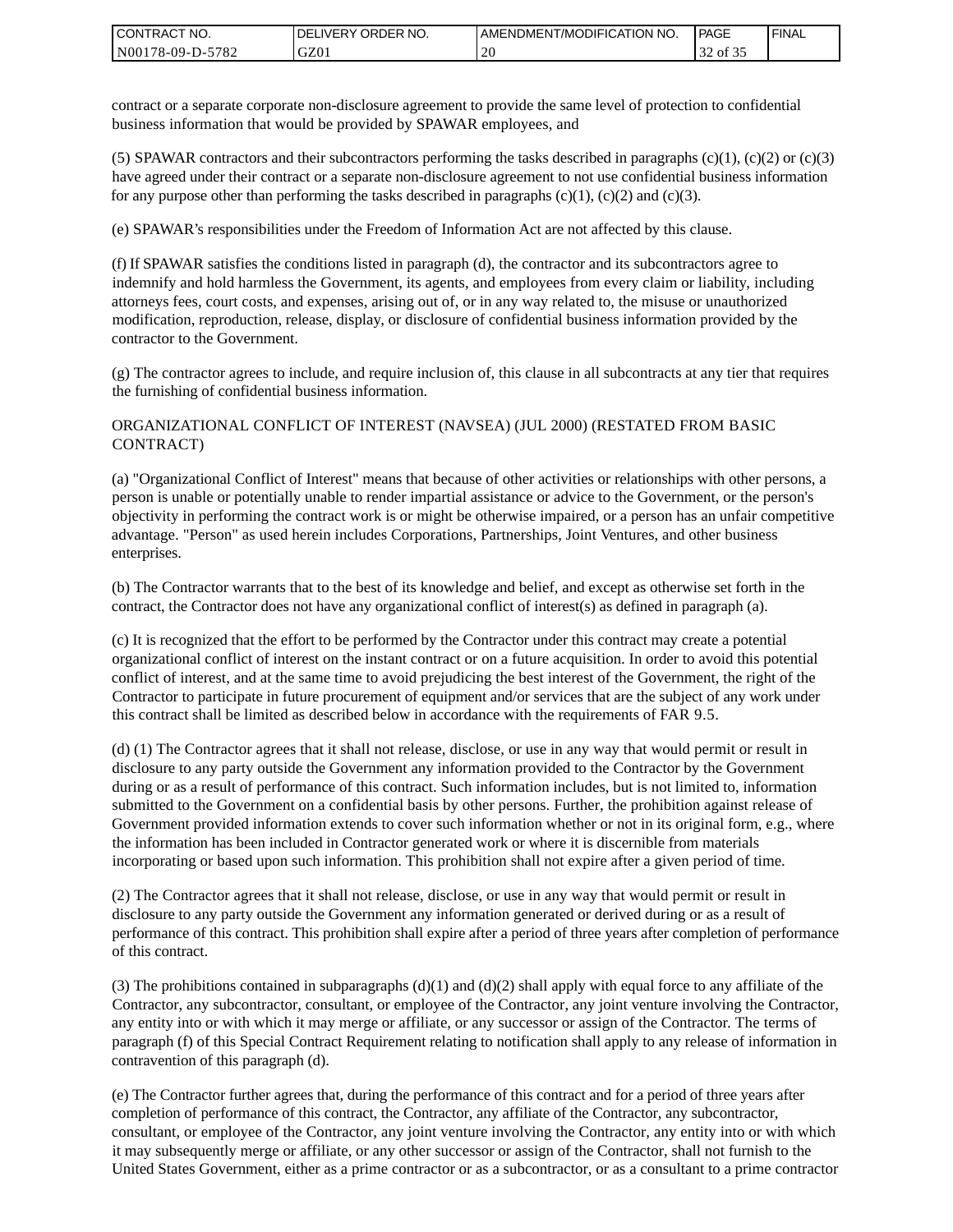| CONTRACT<br>`CT NO.      | `NO.<br>DELIVERY ORDER | AMENDMENT/MODIFICATION NO. | <b>PAGE</b> | ' FINAL |
|--------------------------|------------------------|----------------------------|-------------|---------|
| N00178-09-D-5<br>$-5782$ | GZ01                   | 20                         | 32 of 35    |         |

contract or a separate corporate non-disclosure agreement to provide the same level of protection to confidential business information that would be provided by SPAWAR employees, and

(5) SPAWAR contractors and their subcontractors performing the tasks described in paragraphs  $(c)(1)$ ,  $(c)(2)$  or  $(c)(3)$ have agreed under their contract or a separate non-disclosure agreement to not use confidential business information for any purpose other than performing the tasks described in paragraphs  $(c)(1)$ ,  $(c)(2)$  and  $(c)(3)$ .

(e) SPAWAR's responsibilities under the Freedom of Information Act are not affected by this clause.

(f) If SPAWAR satisfies the conditions listed in paragraph (d), the contractor and its subcontractors agree to indemnify and hold harmless the Government, its agents, and employees from every claim or liability, including attorneys fees, court costs, and expenses, arising out of, or in any way related to, the misuse or unauthorized modification, reproduction, release, display, or disclosure of confidential business information provided by the contractor to the Government.

(g) The contractor agrees to include, and require inclusion of, this clause in all subcontracts at any tier that requires the furnishing of confidential business information.

#### ORGANIZATIONAL CONFLICT OF INTEREST (NAVSEA) (JUL 2000) (RESTATED FROM BASIC CONTRACT)

(a) "Organizational Conflict of Interest" means that because of other activities or relationships with other persons, a person is unable or potentially unable to render impartial assistance or advice to the Government, or the person's objectivity in performing the contract work is or might be otherwise impaired, or a person has an unfair competitive advantage. "Person" as used herein includes Corporations, Partnerships, Joint Ventures, and other business enterprises.

(b) The Contractor warrants that to the best of its knowledge and belief, and except as otherwise set forth in the contract, the Contractor does not have any organizational conflict of interest(s) as defined in paragraph (a).

(c) It is recognized that the effort to be performed by the Contractor under this contract may create a potential organizational conflict of interest on the instant contract or on a future acquisition. In order to avoid this potential conflict of interest, and at the same time to avoid prejudicing the best interest of the Government, the right of the Contractor to participate in future procurement of equipment and/or services that are the subject of any work under this contract shall be limited as described below in accordance with the requirements of FAR 9.5.

(d) (1) The Contractor agrees that it shall not release, disclose, or use in any way that would permit or result in disclosure to any party outside the Government any information provided to the Contractor by the Government during or as a result of performance of this contract. Such information includes, but is not limited to, information submitted to the Government on a confidential basis by other persons. Further, the prohibition against release of Government provided information extends to cover such information whether or not in its original form, e.g., where the information has been included in Contractor generated work or where it is discernible from materials incorporating or based upon such information. This prohibition shall not expire after a given period of time.

(2) The Contractor agrees that it shall not release, disclose, or use in any way that would permit or result in disclosure to any party outside the Government any information generated or derived during or as a result of performance of this contract. This prohibition shall expire after a period of three years after completion of performance of this contract.

(3) The prohibitions contained in subparagraphs  $(d)(1)$  and  $(d)(2)$  shall apply with equal force to any affiliate of the Contractor, any subcontractor, consultant, or employee of the Contractor, any joint venture involving the Contractor, any entity into or with which it may merge or affiliate, or any successor or assign of the Contractor. The terms of paragraph (f) of this Special Contract Requirement relating to notification shall apply to any release of information in contravention of this paragraph (d).

(e) The Contractor further agrees that, during the performance of this contract and for a period of three years after completion of performance of this contract, the Contractor, any affiliate of the Contractor, any subcontractor, consultant, or employee of the Contractor, any joint venture involving the Contractor, any entity into or with which it may subsequently merge or affiliate, or any other successor or assign of the Contractor, shall not furnish to the United States Government, either as a prime contractor or as a subcontractor, or as a consultant to a prime contractor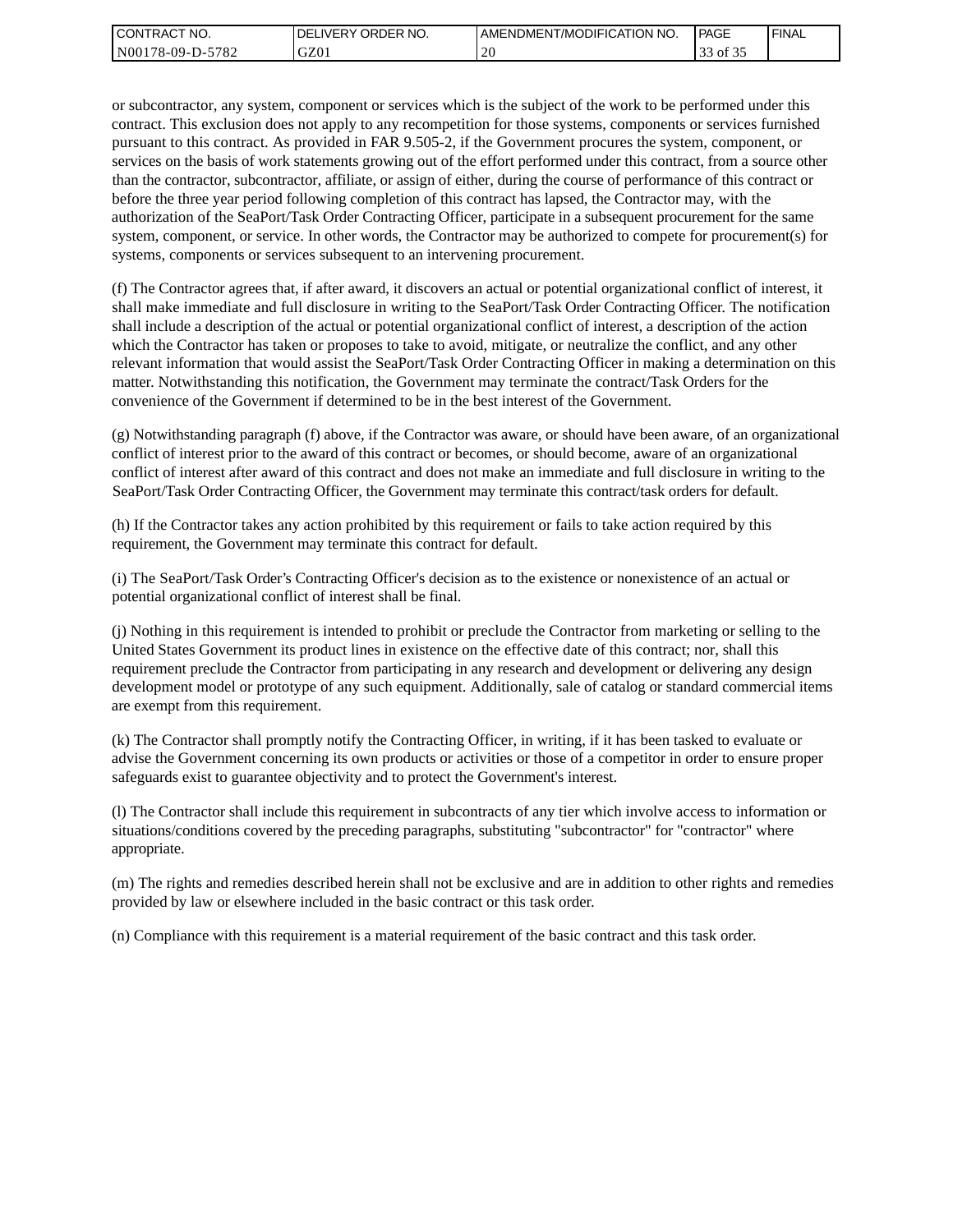| I CONTRACT NO.             | NO.<br>' ORDER<br><b>DELIVERY</b> | AMENDMENT/MODIFICATION NO. | PAGE                       | ' FINAL |
|----------------------------|-----------------------------------|----------------------------|----------------------------|---------|
| $-5782$<br>  N00178-09-D-5 | GZ01                              | 20                         | $\sim$<br>ΟĪ<br>ر ر<br>. ٻ |         |

or subcontractor, any system, component or services which is the subject of the work to be performed under this contract. This exclusion does not apply to any recompetition for those systems, components or services furnished pursuant to this contract. As provided in FAR 9.505-2, if the Government procures the system, component, or services on the basis of work statements growing out of the effort performed under this contract, from a source other than the contractor, subcontractor, affiliate, or assign of either, during the course of performance of this contract or before the three year period following completion of this contract has lapsed, the Contractor may, with the authorization of the SeaPort/Task Order Contracting Officer, participate in a subsequent procurement for the same system, component, or service. In other words, the Contractor may be authorized to compete for procurement(s) for systems, components or services subsequent to an intervening procurement.

(f) The Contractor agrees that, if after award, it discovers an actual or potential organizational conflict of interest, it shall make immediate and full disclosure in writing to the SeaPort/Task Order Contracting Officer. The notification shall include a description of the actual or potential organizational conflict of interest, a description of the action which the Contractor has taken or proposes to take to avoid, mitigate, or neutralize the conflict, and any other relevant information that would assist the SeaPort/Task Order Contracting Officer in making a determination on this matter. Notwithstanding this notification, the Government may terminate the contract/Task Orders for the convenience of the Government if determined to be in the best interest of the Government.

(g) Notwithstanding paragraph (f) above, if the Contractor was aware, or should have been aware, of an organizational conflict of interest prior to the award of this contract or becomes, or should become, aware of an organizational conflict of interest after award of this contract and does not make an immediate and full disclosure in writing to the SeaPort/Task Order Contracting Officer, the Government may terminate this contract/task orders for default.

(h) If the Contractor takes any action prohibited by this requirement or fails to take action required by this requirement, the Government may terminate this contract for default.

(i) The SeaPort/Task Order's Contracting Officer's decision as to the existence or nonexistence of an actual or potential organizational conflict of interest shall be final.

(j) Nothing in this requirement is intended to prohibit or preclude the Contractor from marketing or selling to the United States Government its product lines in existence on the effective date of this contract; nor, shall this requirement preclude the Contractor from participating in any research and development or delivering any design development model or prototype of any such equipment. Additionally, sale of catalog or standard commercial items are exempt from this requirement.

(k) The Contractor shall promptly notify the Contracting Officer, in writing, if it has been tasked to evaluate or advise the Government concerning its own products or activities or those of a competitor in order to ensure proper safeguards exist to guarantee objectivity and to protect the Government's interest.

(l) The Contractor shall include this requirement in subcontracts of any tier which involve access to information or situations/conditions covered by the preceding paragraphs, substituting "subcontractor" for "contractor" where appropriate.

(m) The rights and remedies described herein shall not be exclusive and are in addition to other rights and remedies provided by law or elsewhere included in the basic contract or this task order.

(n) Compliance with this requirement is a material requirement of the basic contract and this task order.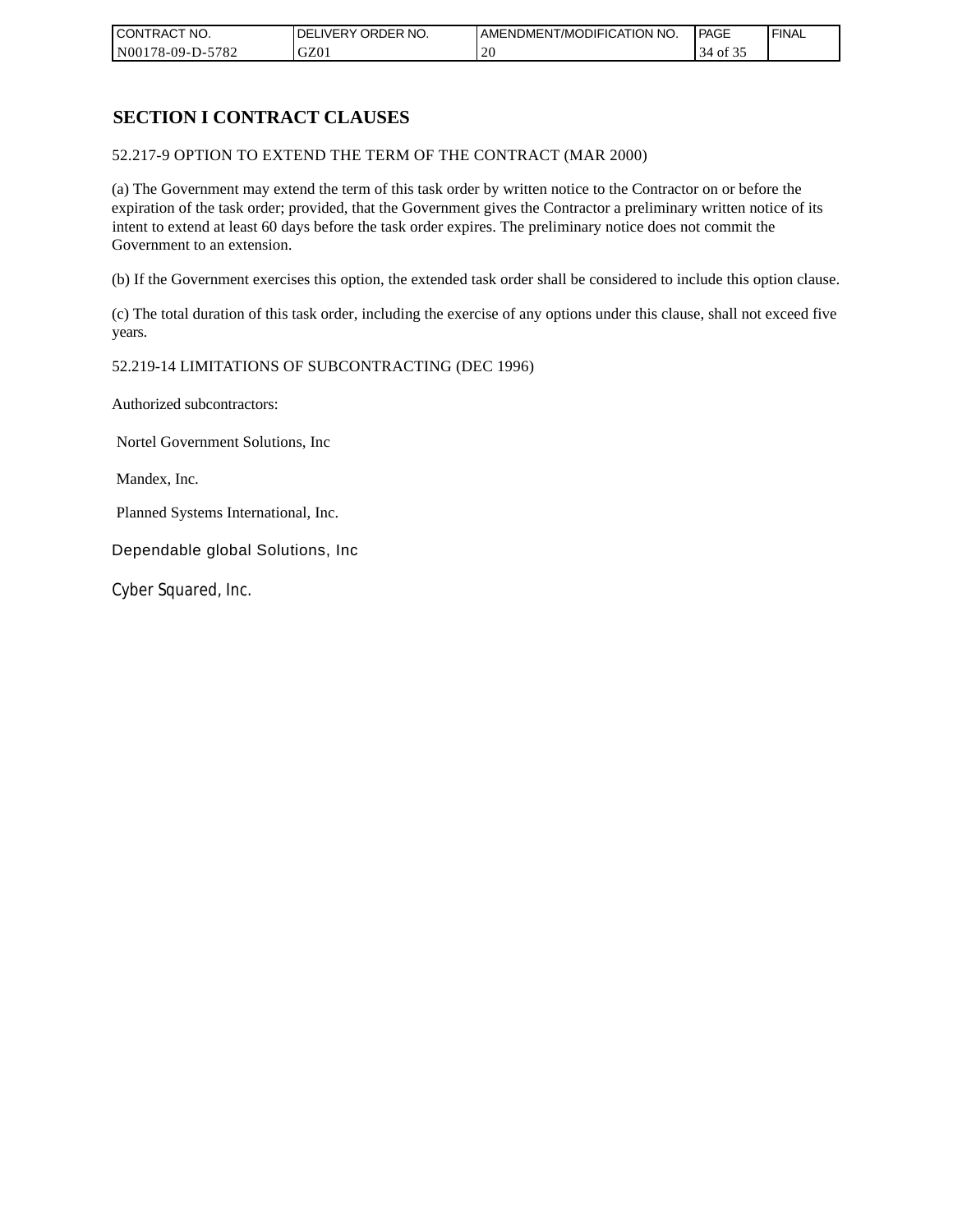| CONTRACT NO.     | `NO.<br>DELIVERY ORDER | AMENDMENT/MODIFICATION<br>' NO. | <b>PAGE</b> | 'FINAL |
|------------------|------------------------|---------------------------------|-------------|--------|
| N00178-09-D-5782 | GZ01                   | 20                              | of 35       |        |

# **SECTION I CONTRACT CLAUSES**

52.217-9 OPTION TO EXTEND THE TERM OF THE CONTRACT (MAR 2000)

(a) The Government may extend the term of this task order by written notice to the Contractor on or before the expiration of the task order; provided, that the Government gives the Contractor a preliminary written notice of its intent to extend at least 60 days before the task order expires. The preliminary notice does not commit the Government to an extension.

(b) If the Government exercises this option, the extended task order shall be considered to include this option clause.

(c) The total duration of this task order, including the exercise of any options under this clause, shall not exceed five years.

#### 52.219-14 LIMITATIONS OF SUBCONTRACTING (DEC 1996)

Authorized subcontractors:

Nortel Government Solutions, Inc

Mandex, Inc.

Planned Systems International, Inc.

Dependable global Solutions, Inc

Cyber Squared, Inc.